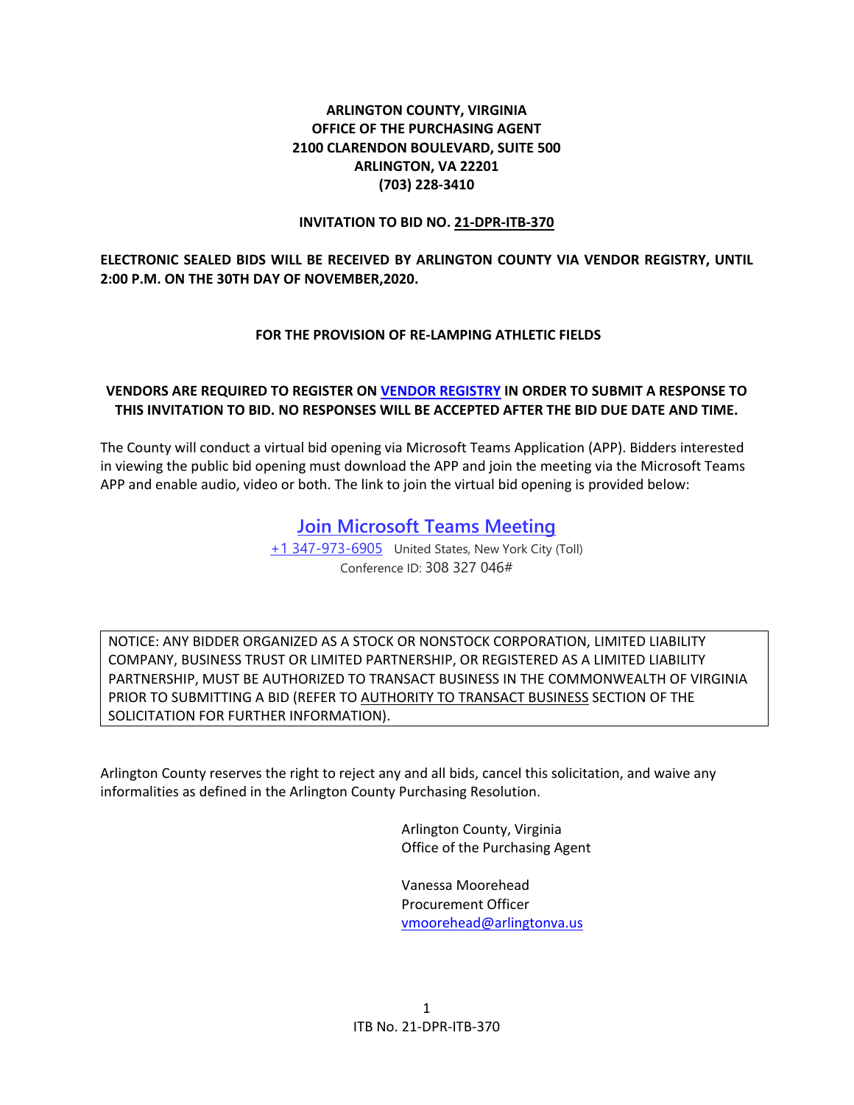#### **ARLINGTON COUNTY, VIRGINIA OFFICE OF THE PURCHASING AGENT 2100 CLARENDON BOULEVARD, SUITE 500 ARLINGTON, VA 22201 (703) 228-3410**

#### **INVITATION TO BID NO. 21-DPR-ITB-370**

**ELECTRONIC SEALED BIDS WILL BE RECEIVED BY ARLINGTON COUNTY VIA VENDOR REGISTRY, UNTIL 2:00 P.M. ON THE 30TH DAY OF NOVEMBER,2020.** 

#### **FOR THE PROVISION OF RE-LAMPING ATHLETIC FIELDS**

#### **VENDORS ARE REQUIRED TO REGISTER ON [VENDOR REGISTRY](https://vrapp.vendorregistry.com/Vendor/Register/Index/arlington-county-government-va-vendor-registration) IN ORDER TO SUBMIT A RESPONSE TO THIS INVITATION TO BID. NO RESPONSES WILL BE ACCEPTED AFTER THE BID DUE DATE AND TIME.**

The County will conduct a virtual bid opening via Microsoft Teams Application (APP). Bidders interested in viewing the public bid opening must download the APP and join the meeting via the Microsoft Teams APP and enable audio, video or both. The link to join the virtual bid opening is provided below:

# **[Join Microsoft Teams Meeting](https://teams.microsoft.com/l/meetup-join/19%3ameeting_MWE4MDhlZDAtMjdkNS00NDE2LTk3MTAtNzY0NjJhOWE5YjMy%40thread.v2/0?context=%7b%22Tid%22%3a%2280354804-1fdf-428e-9f5f-5091e994cf54%22%2c%22Oid%22%3a%22ea2b716c-bdf2-4a7e-af9f-b5d9f72c6f0c%22%7d)**

[+1 347-973-6905](tel:+1%20347-973-6905,,308327046# ) United States, New York City (Toll) Conference ID: 308 327 046#

NOTICE: ANY BIDDER ORGANIZED AS A STOCK OR NONSTOCK CORPORATION, LIMITED LIABILITY COMPANY, BUSINESS TRUST OR LIMITED PARTNERSHIP, OR REGISTERED AS A LIMITED LIABILITY PARTNERSHIP, MUST BE AUTHORIZED TO TRANSACT BUSINESS IN THE COMMONWEALTH OF VIRGINIA PRIOR TO SUBMITTING A BID (REFER TO AUTHORITY TO TRANSACT BUSINESS SECTION OF THE SOLICITATION FOR FURTHER INFORMATION).

Arlington County reserves the right to reject any and all bids, cancel this solicitation, and waive any informalities as defined in the Arlington County Purchasing Resolution.

> Arlington County, Virginia Office of the Purchasing Agent

Vanessa Moorehead Procurement Officer [vmoorehead@arlingtonva.us](mailto:vmoorehead@arlingtonva.us)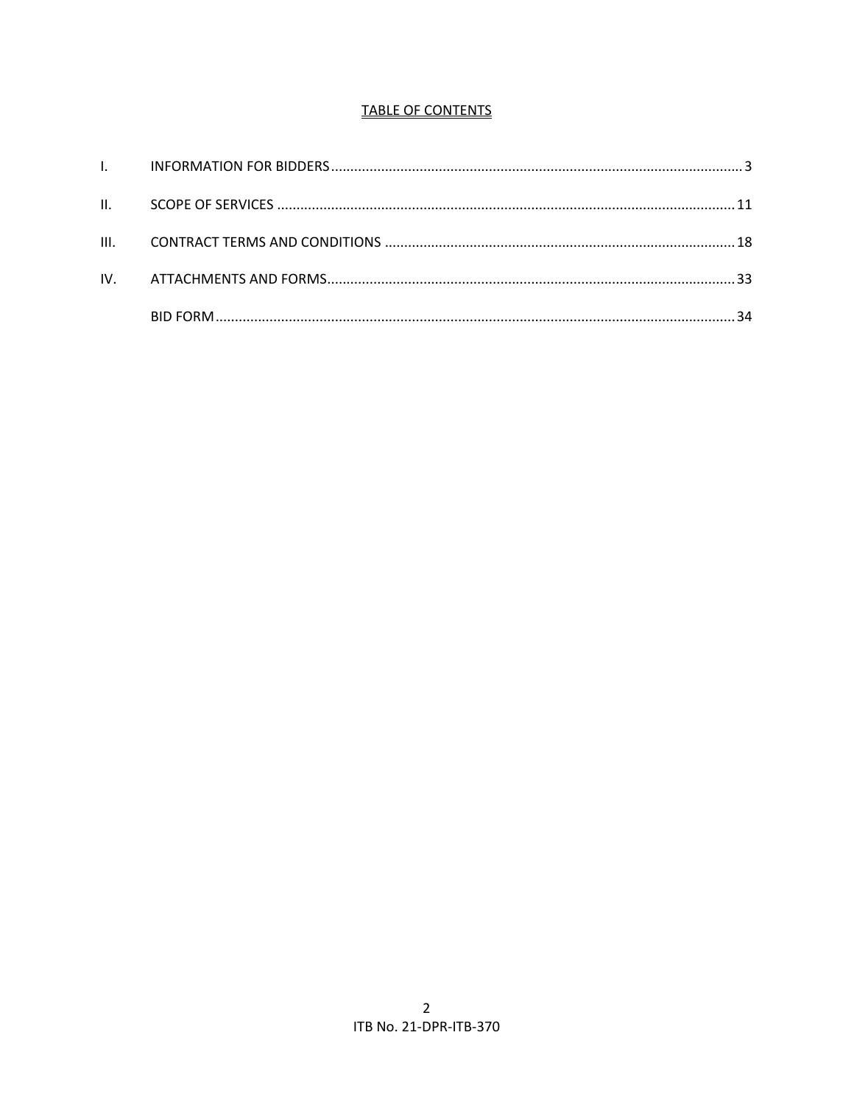# **TABLE OF CONTENTS**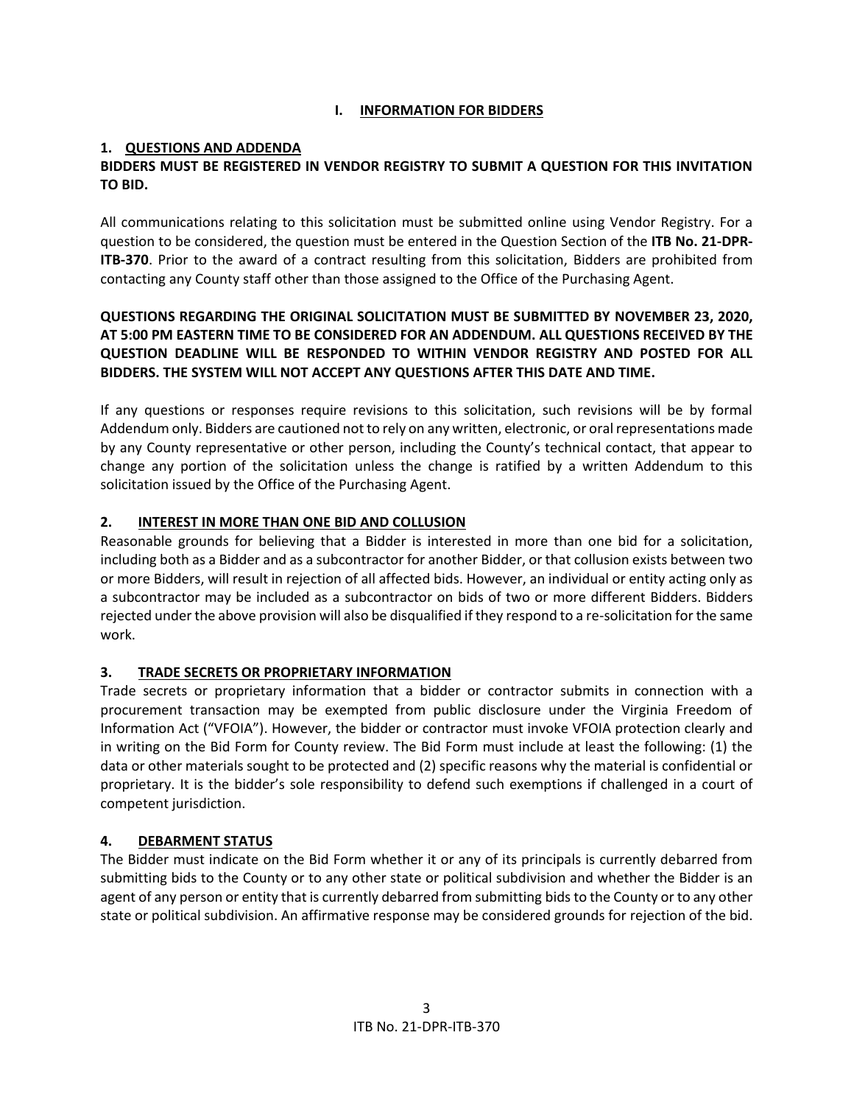## **I. INFORMATION FOR BIDDERS**

#### <span id="page-2-0"></span>**1. QUESTIONS AND ADDENDA**

## **BIDDERS MUST BE REGISTERED IN VENDOR REGISTRY TO SUBMIT A QUESTION FOR THIS INVITATION TO BID.**

All communications relating to this solicitation must be submitted online using Vendor Registry. For a question to be considered, the question must be entered in the Question Section of the **ITB No. 21-DPR-ITB-370**. Prior to the award of a contract resulting from this solicitation, Bidders are prohibited from contacting any County staff other than those assigned to the Office of the Purchasing Agent.

## **QUESTIONS REGARDING THE ORIGINAL SOLICITATION MUST BE SUBMITTED BY NOVEMBER 23, 2020, AT 5:00 PM EASTERN TIME TO BE CONSIDERED FOR AN ADDENDUM. ALL QUESTIONS RECEIVED BY THE QUESTION DEADLINE WILL BE RESPONDED TO WITHIN VENDOR REGISTRY AND POSTED FOR ALL BIDDERS. THE SYSTEM WILL NOT ACCEPT ANY QUESTIONS AFTER THIS DATE AND TIME.**

If any questions or responses require revisions to this solicitation, such revisions will be by formal Addendum only. Bidders are cautioned not to rely on any written, electronic, or oral representations made by any County representative or other person, including the County's technical contact, that appear to change any portion of the solicitation unless the change is ratified by a written Addendum to this solicitation issued by the Office of the Purchasing Agent.

## **2. INTEREST IN MORE THAN ONE BID AND COLLUSION**

Reasonable grounds for believing that a Bidder is interested in more than one bid for a solicitation, including both as a Bidder and as a subcontractor for another Bidder, or that collusion exists between two or more Bidders, will result in rejection of all affected bids. However, an individual or entity acting only as a subcontractor may be included as a subcontractor on bids of two or more different Bidders. Bidders rejected under the above provision will also be disqualified if they respond to a re-solicitation for the same work.

## **3. TRADE SECRETS OR PROPRIETARY INFORMATION**

Trade secrets or proprietary information that a bidder or contractor submits in connection with a procurement transaction may be exempted from public disclosure under the Virginia Freedom of Information Act ("VFOIA"). However, the bidder or contractor must invoke VFOIA protection clearly and in writing on the Bid Form for County review. The Bid Form must include at least the following: (1) the data or other materials sought to be protected and (2) specific reasons why the material is confidential or proprietary. It is the bidder's sole responsibility to defend such exemptions if challenged in a court of competent jurisdiction.

#### **4. DEBARMENT STATUS**

The Bidder must indicate on the Bid Form whether it or any of its principals is currently debarred from submitting bids to the County or to any other state or political subdivision and whether the Bidder is an agent of any person or entity that is currently debarred from submitting bids to the County or to any other state or political subdivision. An affirmative response may be considered grounds for rejection of the bid.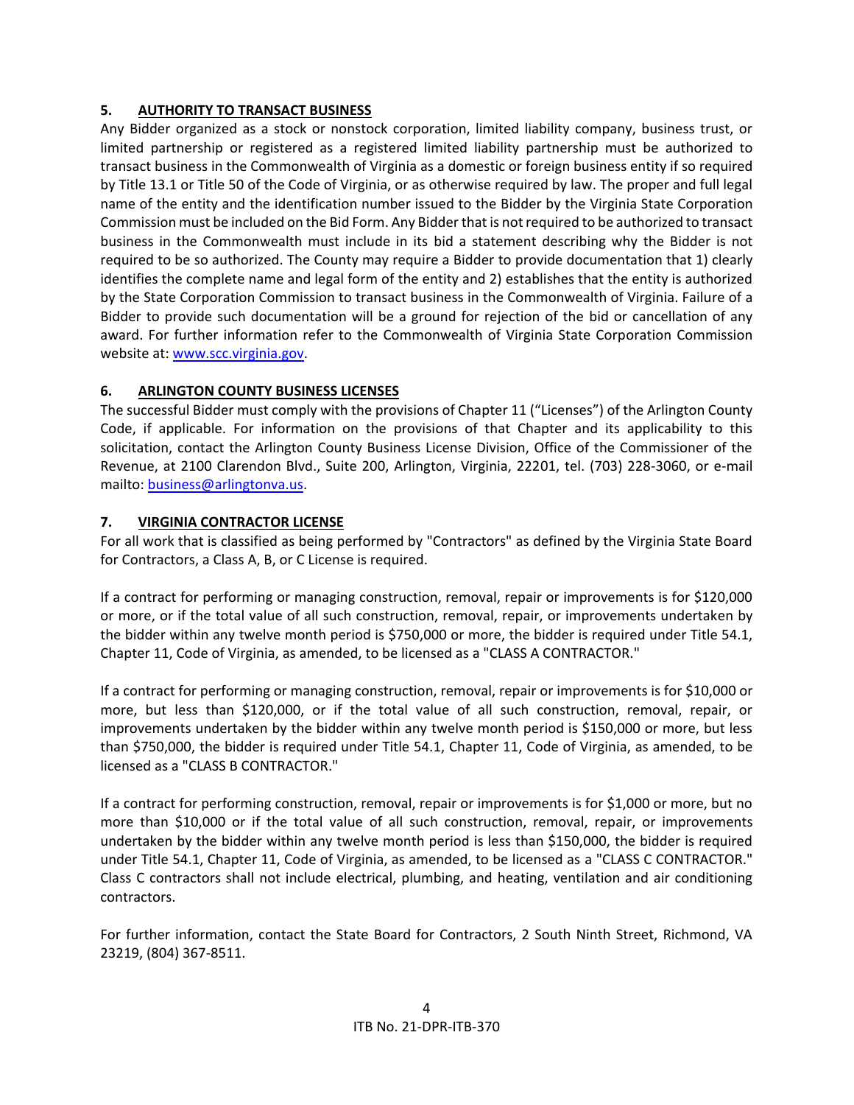#### **5. AUTHORITY TO TRANSACT BUSINESS**

Any Bidder organized as a stock or nonstock corporation, limited liability company, business trust, or limited partnership or registered as a registered limited liability partnership must be authorized to transact business in the Commonwealth of Virginia as a domestic or foreign business entity if so required by Title 13.1 or Title 50 of the Code of Virginia, or as otherwise required by law. The proper and full legal name of the entity and the identification number issued to the Bidder by the Virginia State Corporation Commission must be included on the Bid Form. Any Bidder that is not required to be authorized to transact business in the Commonwealth must include in its bid a statement describing why the Bidder is not required to be so authorized. The County may require a Bidder to provide documentation that 1) clearly identifies the complete name and legal form of the entity and 2) establishes that the entity is authorized by the State Corporation Commission to transact business in the Commonwealth of Virginia. Failure of a Bidder to provide such documentation will be a ground for rejection of the bid or cancellation of any award. For further information refer to the Commonwealth of Virginia State Corporation Commission website at: [www.scc.virginia.gov.](http://www.scc.virginia.gov/)

## **6. ARLINGTON COUNTY BUSINESS LICENSES**

The successful Bidder must comply with the provisions of Chapter 11 ("Licenses") of the Arlington County Code, if applicable. For information on the provisions of that Chapter and its applicability to this solicitation, contact the Arlington County Business License Division, Office of the Commissioner of the Revenue, at 2100 Clarendon Blvd., Suite 200, Arlington, Virginia, 22201, tel. (703) 228-3060, or e-mail mailto: [business@arlingtonva.us.](mailto:business@arlingtonva.us)

#### **7. VIRGINIA CONTRACTOR LICENSE**

For all work that is classified as being performed by "Contractors" as defined by the Virginia State Board for Contractors, a Class A, B, or C License is required.

If a contract for performing or managing construction, removal, repair or improvements is for \$120,000 or more, or if the total value of all such construction, removal, repair, or improvements undertaken by the bidder within any twelve month period is \$750,000 or more, the bidder is required under Title 54.1, Chapter 11, Code of Virginia, as amended, to be licensed as a "CLASS A CONTRACTOR."

If a contract for performing or managing construction, removal, repair or improvements is for \$10,000 or more, but less than \$120,000, or if the total value of all such construction, removal, repair, or improvements undertaken by the bidder within any twelve month period is \$150,000 or more, but less than \$750,000, the bidder is required under Title 54.1, Chapter 11, Code of Virginia, as amended, to be licensed as a "CLASS B CONTRACTOR."

If a contract for performing construction, removal, repair or improvements is for \$1,000 or more, but no more than \$10,000 or if the total value of all such construction, removal, repair, or improvements undertaken by the bidder within any twelve month period is less than \$150,000, the bidder is required under Title 54.1, Chapter 11, Code of Virginia, as amended, to be licensed as a "CLASS C CONTRACTOR." Class C contractors shall not include electrical, plumbing, and heating, ventilation and air conditioning contractors.

For further information, contact the State Board for Contractors, 2 South Ninth Street, Richmond, VA 23219, (804) 367-8511.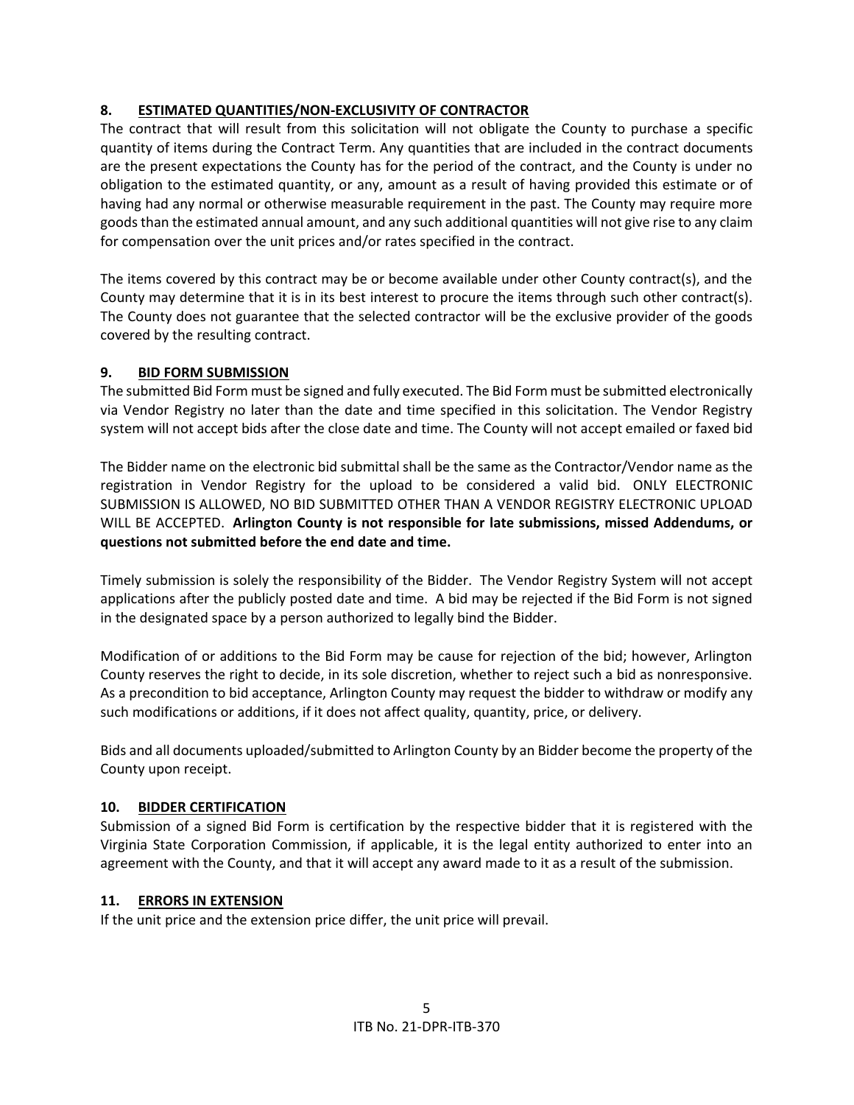# **8. ESTIMATED QUANTITIES/NON-EXCLUSIVITY OF CONTRACTOR**

The contract that will result from this solicitation will not obligate the County to purchase a specific quantity of items during the Contract Term. Any quantities that are included in the contract documents are the present expectations the County has for the period of the contract, and the County is under no obligation to the estimated quantity, or any, amount as a result of having provided this estimate or of having had any normal or otherwise measurable requirement in the past. The County may require more goods than the estimated annual amount, and any such additional quantities will not give rise to any claim for compensation over the unit prices and/or rates specified in the contract.

The items covered by this contract may be or become available under other County contract(s), and the County may determine that it is in its best interest to procure the items through such other contract(s). The County does not guarantee that the selected contractor will be the exclusive provider of the goods covered by the resulting contract.

## **9. BID FORM SUBMISSION**

The submitted Bid Form must be signed and fully executed. The Bid Form must be submitted electronically via Vendor Registry no later than the date and time specified in this solicitation. The Vendor Registry system will not accept bids after the close date and time. The County will not accept emailed or faxed bid

The Bidder name on the electronic bid submittal shall be the same as the Contractor/Vendor name as the registration in Vendor Registry for the upload to be considered a valid bid. ONLY ELECTRONIC SUBMISSION IS ALLOWED, NO BID SUBMITTED OTHER THAN A VENDOR REGISTRY ELECTRONIC UPLOAD WILL BE ACCEPTED. **Arlington County is not responsible for late submissions, missed Addendums, or questions not submitted before the end date and time.**

Timely submission is solely the responsibility of the Bidder. The Vendor Registry System will not accept applications after the publicly posted date and time. A bid may be rejected if the Bid Form is not signed in the designated space by a person authorized to legally bind the Bidder.

Modification of or additions to the Bid Form may be cause for rejection of the bid; however, Arlington County reserves the right to decide, in its sole discretion, whether to reject such a bid as nonresponsive. As a precondition to bid acceptance, Arlington County may request the bidder to withdraw or modify any such modifications or additions, if it does not affect quality, quantity, price, or delivery.

Bids and all documents uploaded/submitted to Arlington County by an Bidder become the property of the County upon receipt.

## **10. BIDDER CERTIFICATION**

Submission of a signed Bid Form is certification by the respective bidder that it is registered with the Virginia State Corporation Commission, if applicable, it is the legal entity authorized to enter into an agreement with the County, and that it will accept any award made to it as a result of the submission.

## **11. ERRORS IN EXTENSION**

If the unit price and the extension price differ, the unit price will prevail.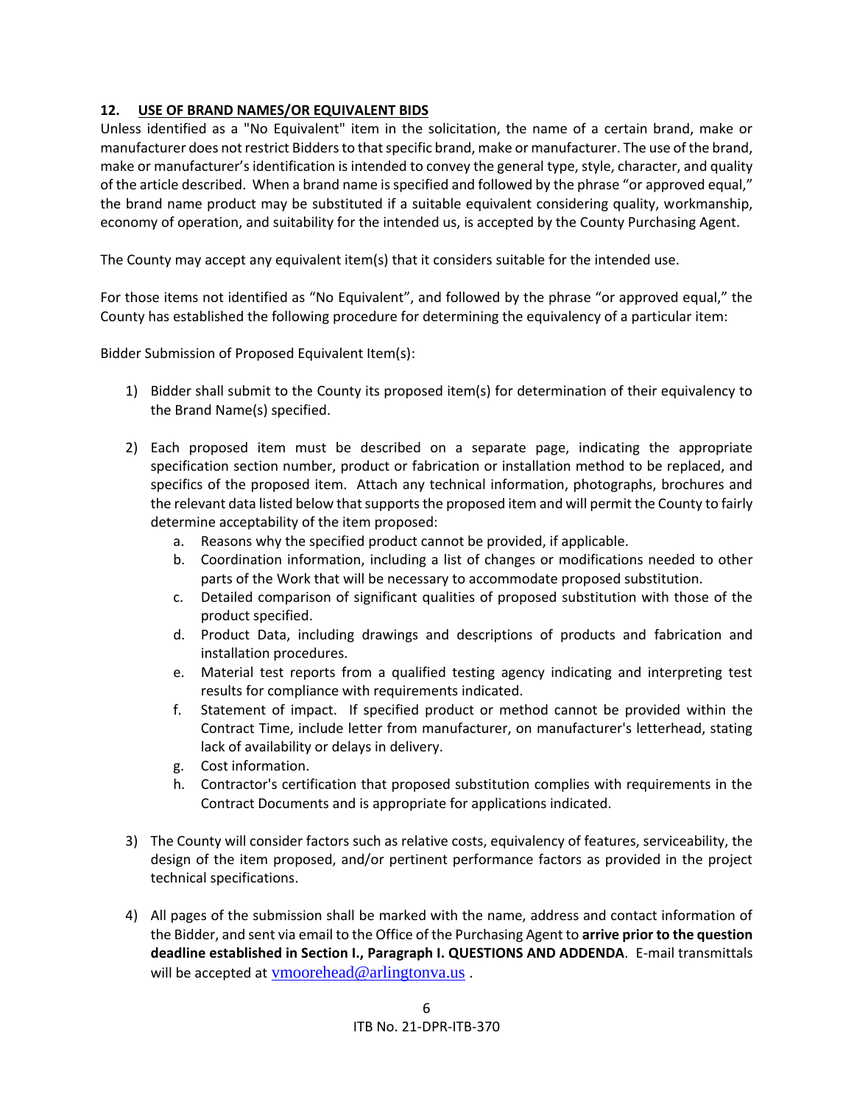# **12. USE OF BRAND NAMES/OR EQUIVALENT BIDS**

Unless identified as a "No Equivalent" item in the solicitation, the name of a certain brand, make or manufacturer does not restrict Bidders to that specific brand, make or manufacturer. The use of the brand, make or manufacturer's identification is intended to convey the general type, style, character, and quality of the article described. When a brand name is specified and followed by the phrase "or approved equal," the brand name product may be substituted if a suitable equivalent considering quality, workmanship, economy of operation, and suitability for the intended us, is accepted by the County Purchasing Agent.

The County may accept any equivalent item(s) that it considers suitable for the intended use.

For those items not identified as "No Equivalent", and followed by the phrase "or approved equal," the County has established the following procedure for determining the equivalency of a particular item:

Bidder Submission of Proposed Equivalent Item(s):

- 1) Bidder shall submit to the County its proposed item(s) for determination of their equivalency to the Brand Name(s) specified.
- 2) Each proposed item must be described on a separate page, indicating the appropriate specification section number, product or fabrication or installation method to be replaced, and specifics of the proposed item. Attach any technical information, photographs, brochures and the relevant data listed below that supports the proposed item and will permit the County to fairly determine acceptability of the item proposed:
	- a. Reasons why the specified product cannot be provided, if applicable.
	- b. Coordination information, including a list of changes or modifications needed to other parts of the Work that will be necessary to accommodate proposed substitution.
	- c. Detailed comparison of significant qualities of proposed substitution with those of the product specified.
	- d. Product Data, including drawings and descriptions of products and fabrication and installation procedures.
	- e. Material test reports from a qualified testing agency indicating and interpreting test results for compliance with requirements indicated.
	- f. Statement of impact. If specified product or method cannot be provided within the Contract Time, include letter from manufacturer, on manufacturer's letterhead, stating lack of availability or delays in delivery.
	- g. Cost information.
	- h. Contractor's certification that proposed substitution complies with requirements in the Contract Documents and is appropriate for applications indicated.
- 3) The County will consider factors such as relative costs, equivalency of features, serviceability, the design of the item proposed, and/or pertinent performance factors as provided in the project technical specifications.
- 4) All pages of the submission shall be marked with the name, address and contact information of the Bidder, and sent via email to the Office of the Purchasing Agent to **arrive prior to the question deadline established in Section I., Paragraph I. QUESTIONS AND ADDENDA**. E-mail transmittals will be accepted at  $vmoorehead@arlingtonva.us$ .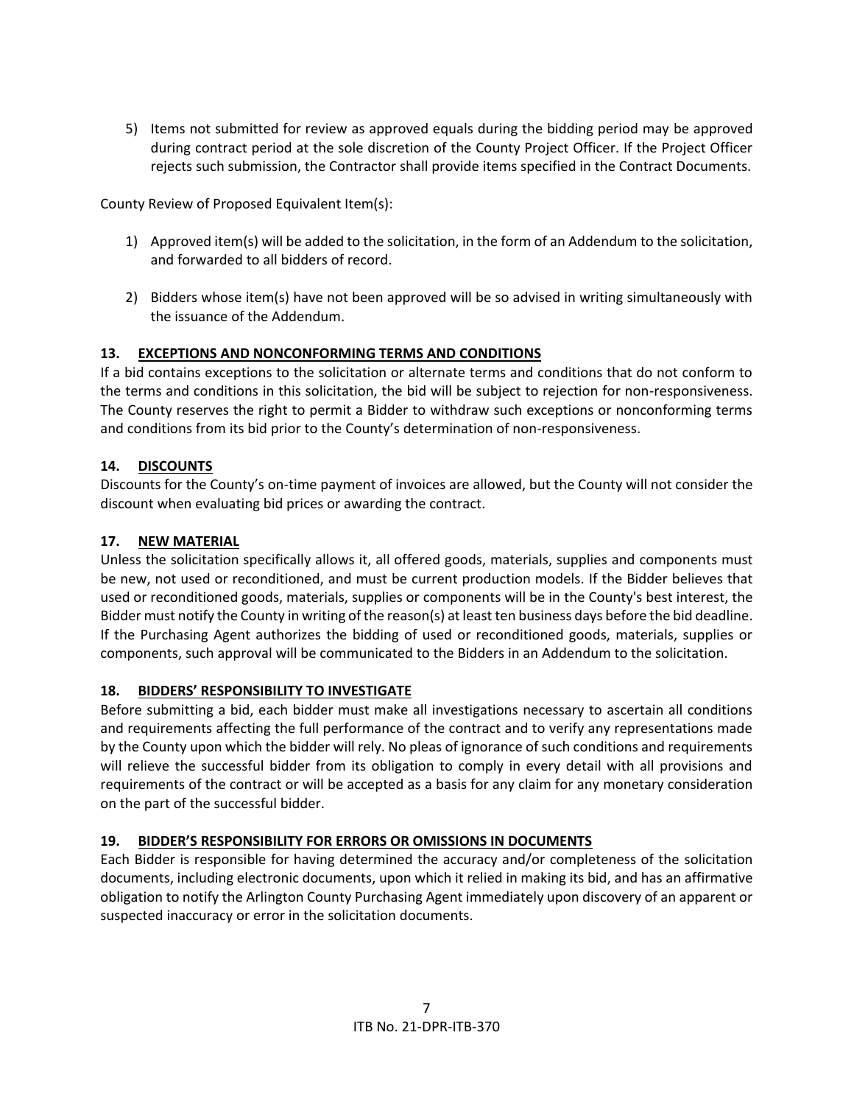5) Items not submitted for review as approved equals during the bidding period may be approved during contract period at the sole discretion of the County Project Officer. If the Project Officer rejects such submission, the Contractor shall provide items specified in the Contract Documents.

County Review of Proposed Equivalent Item(s):

- 1) Approved item(s) will be added to the solicitation, in the form of an Addendum to the solicitation, and forwarded to all bidders of record.
- 2) Bidders whose item(s) have not been approved will be so advised in writing simultaneously with the issuance of the Addendum.

## **13. EXCEPTIONS AND NONCONFORMING TERMS AND CONDITIONS**

If a bid contains exceptions to the solicitation or alternate terms and conditions that do not conform to the terms and conditions in this solicitation, the bid will be subject to rejection for non-responsiveness. The County reserves the right to permit a Bidder to withdraw such exceptions or nonconforming terms and conditions from its bid prior to the County's determination of non-responsiveness.

#### **14. DISCOUNTS**

Discounts for the County's on-time payment of invoices are allowed, but the County will not consider the discount when evaluating bid prices or awarding the contract.

#### **17. NEW MATERIAL**

Unless the solicitation specifically allows it, all offered goods, materials, supplies and components must be new, not used or reconditioned, and must be current production models. If the Bidder believes that used or reconditioned goods, materials, supplies or components will be in the County's best interest, the Bidder must notify the County in writing of the reason(s) at least ten business days before the bid deadline. If the Purchasing Agent authorizes the bidding of used or reconditioned goods, materials, supplies or components, such approval will be communicated to the Bidders in an Addendum to the solicitation.

#### **18. BIDDERS' RESPONSIBILITY TO INVESTIGATE**

Before submitting a bid, each bidder must make all investigations necessary to ascertain all conditions and requirements affecting the full performance of the contract and to verify any representations made by the County upon which the bidder will rely. No pleas of ignorance of such conditions and requirements will relieve the successful bidder from its obligation to comply in every detail with all provisions and requirements of the contract or will be accepted as a basis for any claim for any monetary consideration on the part of the successful bidder.

#### **19. BIDDER'S RESPONSIBILITY FOR ERRORS OR OMISSIONS IN DOCUMENTS**

Each Bidder is responsible for having determined the accuracy and/or completeness of the solicitation documents, including electronic documents, upon which it relied in making its bid, and has an affirmative obligation to notify the Arlington County Purchasing Agent immediately upon discovery of an apparent or suspected inaccuracy or error in the solicitation documents.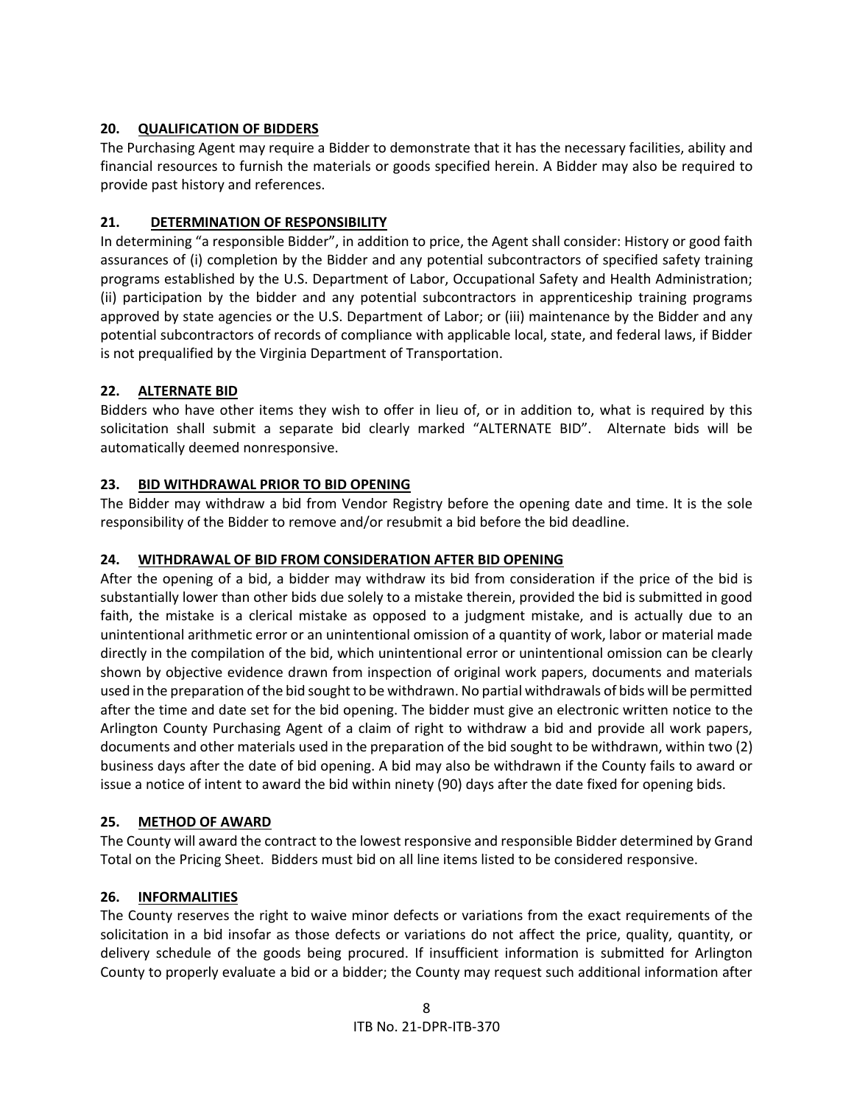# **20. QUALIFICATION OF BIDDERS**

The Purchasing Agent may require a Bidder to demonstrate that it has the necessary facilities, ability and financial resources to furnish the materials or goods specified herein. A Bidder may also be required to provide past history and references.

# **21. DETERMINATION OF RESPONSIBILITY**

In determining "a responsible Bidder", in addition to price, the Agent shall consider: History or good faith assurances of (i) completion by the Bidder and any potential subcontractors of specified safety training programs established by the U.S. Department of Labor, Occupational Safety and Health Administration; (ii) participation by the bidder and any potential subcontractors in apprenticeship training programs approved by state agencies or the U.S. Department of Labor; or (iii) maintenance by the Bidder and any potential subcontractors of records of compliance with applicable local, state, and federal laws, if Bidder is not prequalified by the Virginia Department of Transportation.

# **22. ALTERNATE BID**

Bidders who have other items they wish to offer in lieu of, or in addition to, what is required by this solicitation shall submit a separate bid clearly marked "ALTERNATE BID". Alternate bids will be automatically deemed nonresponsive.

# **23. BID WITHDRAWAL PRIOR TO BID OPENING**

The Bidder may withdraw a bid from Vendor Registry before the opening date and time. It is the sole responsibility of the Bidder to remove and/or resubmit a bid before the bid deadline.

# **24. WITHDRAWAL OF BID FROM CONSIDERATION AFTER BID OPENING**

After the opening of a bid, a bidder may withdraw its bid from consideration if the price of the bid is substantially lower than other bids due solely to a mistake therein, provided the bid is submitted in good faith, the mistake is a clerical mistake as opposed to a judgment mistake, and is actually due to an unintentional arithmetic error or an unintentional omission of a quantity of work, labor or material made directly in the compilation of the bid, which unintentional error or unintentional omission can be clearly shown by objective evidence drawn from inspection of original work papers, documents and materials used in the preparation of the bid sought to be withdrawn. No partial withdrawals of bids will be permitted after the time and date set for the bid opening. The bidder must give an electronic written notice to the Arlington County Purchasing Agent of a claim of right to withdraw a bid and provide all work papers, documents and other materials used in the preparation of the bid sought to be withdrawn, within two (2) business days after the date of bid opening. A bid may also be withdrawn if the County fails to award or issue a notice of intent to award the bid within ninety (90) days after the date fixed for opening bids.

## **25. METHOD OF AWARD**

The County will award the contract to the lowest responsive and responsible Bidder determined by Grand Total on the Pricing Sheet. Bidders must bid on all line items listed to be considered responsive.

# **26. INFORMALITIES**

The County reserves the right to waive minor defects or variations from the exact requirements of the solicitation in a bid insofar as those defects or variations do not affect the price, quality, quantity, or delivery schedule of the goods being procured. If insufficient information is submitted for Arlington County to properly evaluate a bid or a bidder; the County may request such additional information after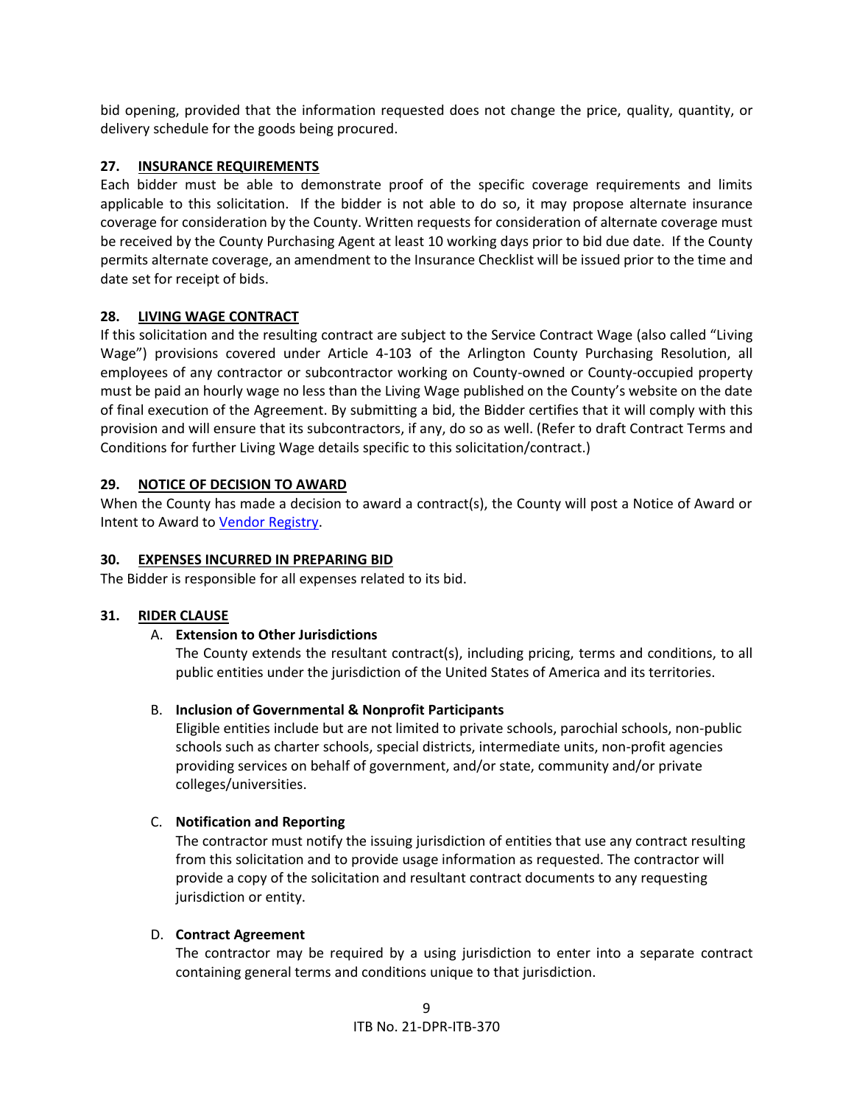bid opening, provided that the information requested does not change the price, quality, quantity, or delivery schedule for the goods being procured.

#### **27. INSURANCE REQUIREMENTS**

Each bidder must be able to demonstrate proof of the specific coverage requirements and limits applicable to this solicitation. If the bidder is not able to do so, it may propose alternate insurance coverage for consideration by the County. Written requests for consideration of alternate coverage must be received by the County Purchasing Agent at least 10 working days prior to bid due date. If the County permits alternate coverage, an amendment to the Insurance Checklist will be issued prior to the time and date set for receipt of bids.

#### **28. LIVING WAGE CONTRACT**

If this solicitation and the resulting contract are subject to the Service Contract Wage (also called "Living Wage") provisions covered under Article 4-103 of the Arlington County Purchasing Resolution, all employees of any contractor or subcontractor working on County-owned or County-occupied property must be paid an hourly wage no less than the Living Wage published on the County's website on the date of final execution of the Agreement. By submitting a bid, the Bidder certifies that it will comply with this provision and will ensure that its subcontractors, if any, do so as well. (Refer to draft Contract Terms and Conditions for further Living Wage details specific to this solicitation/contract.)

## **29. NOTICE OF DECISION TO AWARD**

When the County has made a decision to award a contract(s), the County will post a Notice of Award or Intent to Award to [Vendor Registry.](https://vrapp.vendorregistry.com/Bids/View/BidsList?BuyerId=a596c7c4-0123-4202-bf15-3583300ee088)

#### **30. EXPENSES INCURRED IN PREPARING BID**

The Bidder is responsible for all expenses related to its bid.

#### **31. RIDER CLAUSE**

## A. **Extension to Other Jurisdictions**

The County extends the resultant contract(s), including pricing, terms and conditions, to all public entities under the jurisdiction of the United States of America and its territories.

## B. **Inclusion of Governmental & Nonprofit Participants**

Eligible entities include but are not limited to private schools, parochial schools, non-public schools such as charter schools, special districts, intermediate units, non-profit agencies providing services on behalf of government, and/or state, community and/or private colleges/universities.

## C. **Notification and Reporting**

The contractor must notify the issuing jurisdiction of entities that use any contract resulting from this solicitation and to provide usage information as requested. The contractor will provide a copy of the solicitation and resultant contract documents to any requesting jurisdiction or entity.

#### D. **Contract Agreement**

The contractor may be required by a using jurisdiction to enter into a separate contract containing general terms and conditions unique to that jurisdiction.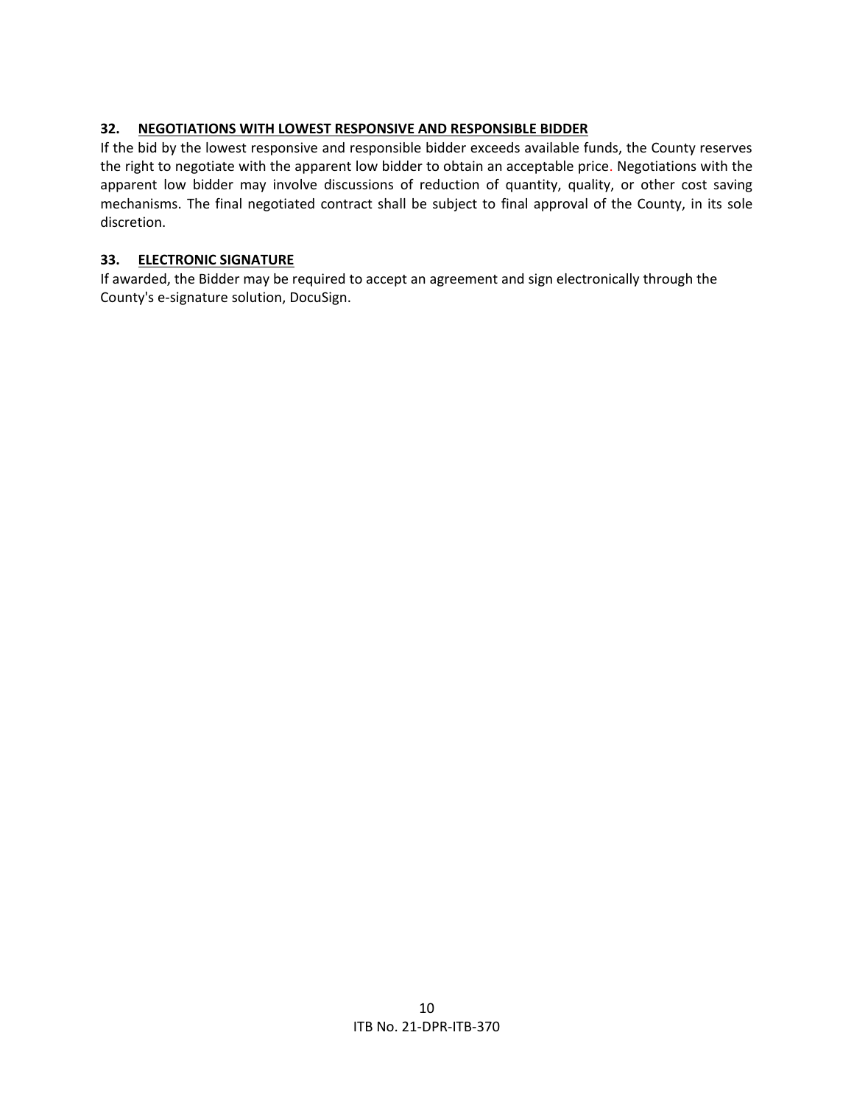## **32. NEGOTIATIONS WITH LOWEST RESPONSIVE AND RESPONSIBLE BIDDER**

If the bid by the lowest responsive and responsible bidder exceeds available funds, the County reserves the right to negotiate with the apparent low bidder to obtain an acceptable price. Negotiations with the apparent low bidder may involve discussions of reduction of quantity, quality, or other cost saving mechanisms. The final negotiated contract shall be subject to final approval of the County, in its sole discretion.

#### **33. ELECTRONIC SIGNATURE**

If awarded, the Bidder may be required to accept an agreement and sign electronically through the County's e-signature solution, DocuSign.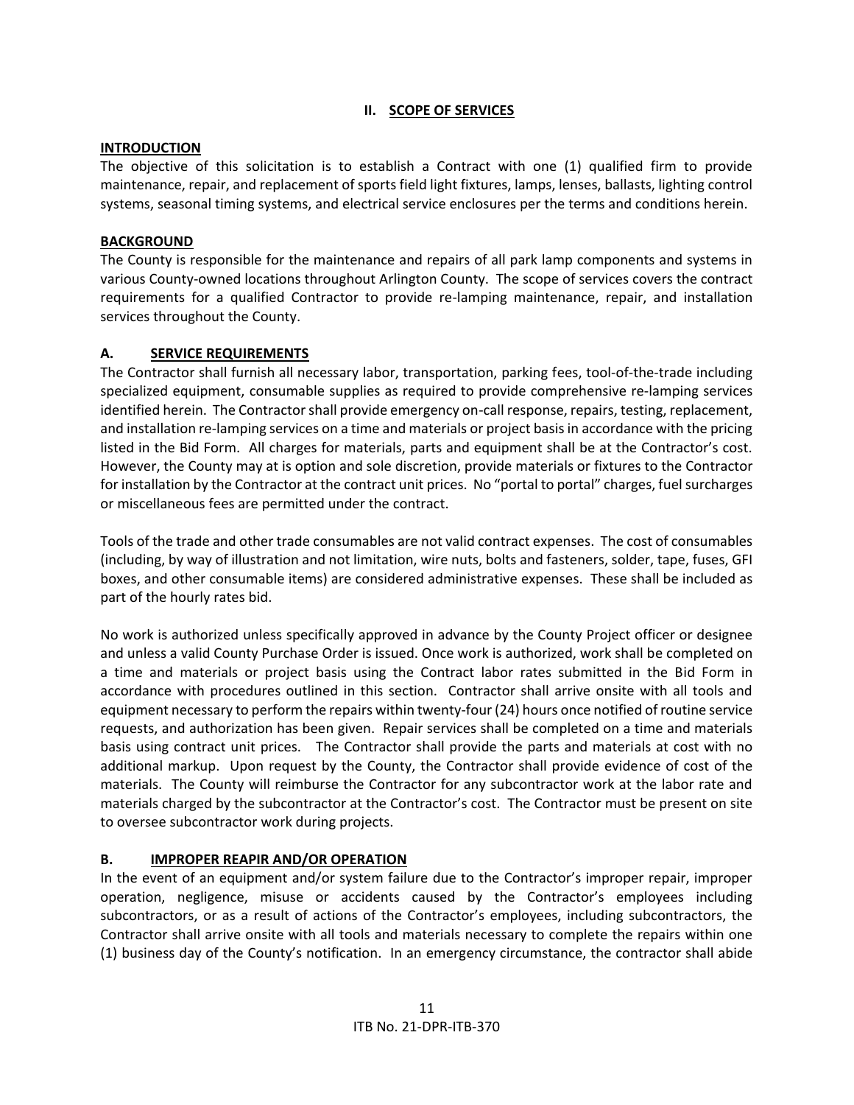#### **II. SCOPE OF SERVICES**

#### <span id="page-10-0"></span>**INTRODUCTION**

The objective of this solicitation is to establish a Contract with one (1) qualified firm to provide maintenance, repair, and replacement of sports field light fixtures, lamps, lenses, ballasts, lighting control systems, seasonal timing systems, and electrical service enclosures per the terms and conditions herein.

#### **BACKGROUND**

The County is responsible for the maintenance and repairs of all park lamp components and systems in various County-owned locations throughout Arlington County. The scope of services covers the contract requirements for a qualified Contractor to provide re-lamping maintenance, repair, and installation services throughout the County.

#### **A. SERVICE REQUIREMENTS**

The Contractor shall furnish all necessary labor, transportation, parking fees, tool-of-the-trade including specialized equipment, consumable supplies as required to provide comprehensive re-lamping services identified herein. The Contractor shall provide emergency on-call response, repairs, testing, replacement, and installation re-lamping services on a time and materials or project basis in accordance with the pricing listed in the Bid Form. All charges for materials, parts and equipment shall be at the Contractor's cost. However, the County may at is option and sole discretion, provide materials or fixtures to the Contractor for installation by the Contractor at the contract unit prices. No "portal to portal" charges, fuel surcharges or miscellaneous fees are permitted under the contract.

Tools of the trade and other trade consumables are not valid contract expenses. The cost of consumables (including, by way of illustration and not limitation, wire nuts, bolts and fasteners, solder, tape, fuses, GFI boxes, and other consumable items) are considered administrative expenses. These shall be included as part of the hourly rates bid.

No work is authorized unless specifically approved in advance by the County Project officer or designee and unless a valid County Purchase Order is issued. Once work is authorized, work shall be completed on a time and materials or project basis using the Contract labor rates submitted in the Bid Form in accordance with procedures outlined in this section. Contractor shall arrive onsite with all tools and equipment necessary to perform the repairs within twenty-four (24) hours once notified of routine service requests, and authorization has been given. Repair services shall be completed on a time and materials basis using contract unit prices. The Contractor shall provide the parts and materials at cost with no additional markup. Upon request by the County, the Contractor shall provide evidence of cost of the materials. The County will reimburse the Contractor for any subcontractor work at the labor rate and materials charged by the subcontractor at the Contractor's cost. The Contractor must be present on site to oversee subcontractor work during projects.

## **B. IMPROPER REAPIR AND/OR OPERATION**

In the event of an equipment and/or system failure due to the Contractor's improper repair, improper operation, negligence, misuse or accidents caused by the Contractor's employees including subcontractors, or as a result of actions of the Contractor's employees, including subcontractors, the Contractor shall arrive onsite with all tools and materials necessary to complete the repairs within one (1) business day of the County's notification. In an emergency circumstance, the contractor shall abide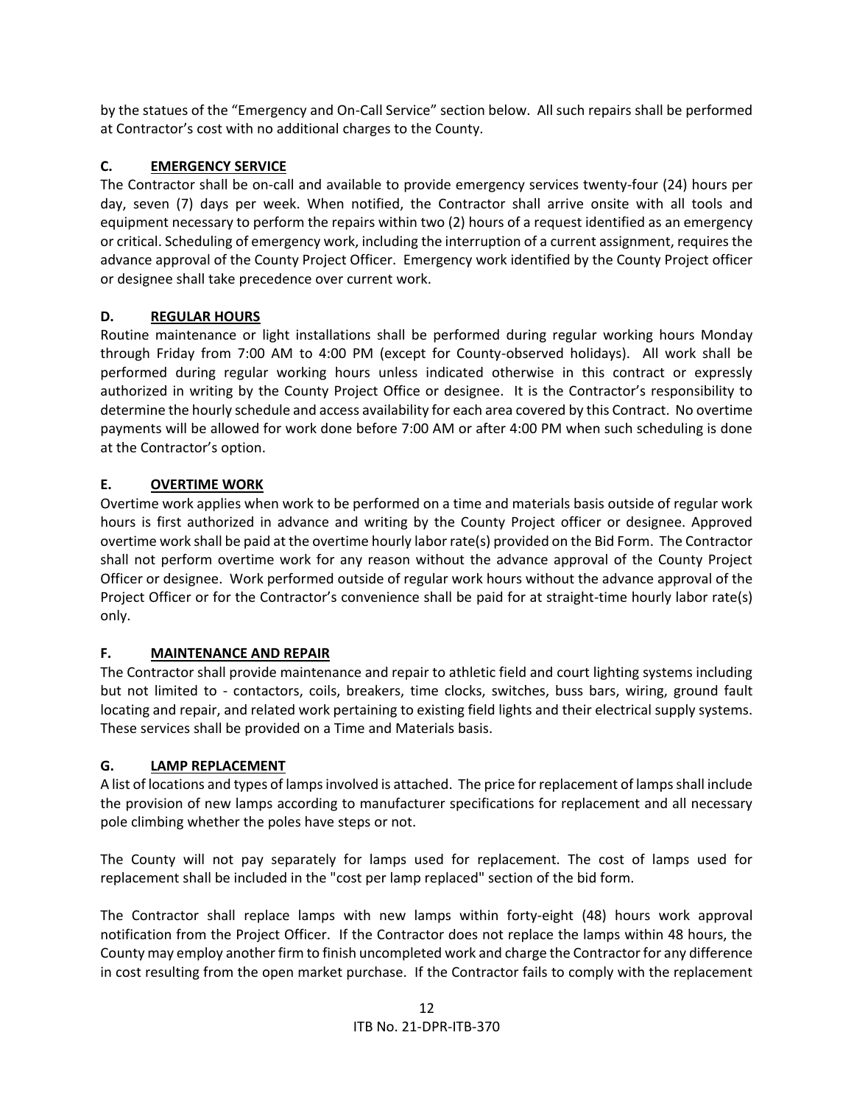by the statues of the "Emergency and On-Call Service" section below. All such repairs shall be performed at Contractor's cost with no additional charges to the County.

# **C. EMERGENCY SERVICE**

The Contractor shall be on-call and available to provide emergency services twenty-four (24) hours per day, seven (7) days per week. When notified, the Contractor shall arrive onsite with all tools and equipment necessary to perform the repairs within two (2) hours of a request identified as an emergency or critical. Scheduling of emergency work, including the interruption of a current assignment, requires the advance approval of the County Project Officer. Emergency work identified by the County Project officer or designee shall take precedence over current work.

# **D. REGULAR HOURS**

Routine maintenance or light installations shall be performed during regular working hours Monday through Friday from 7:00 AM to 4:00 PM (except for County-observed holidays). All work shall be performed during regular working hours unless indicated otherwise in this contract or expressly authorized in writing by the County Project Office or designee. It is the Contractor's responsibility to determine the hourly schedule and access availability for each area covered by this Contract. No overtime payments will be allowed for work done before 7:00 AM or after 4:00 PM when such scheduling is done at the Contractor's option.

# **E. OVERTIME WORK**

Overtime work applies when work to be performed on a time and materials basis outside of regular work hours is first authorized in advance and writing by the County Project officer or designee. Approved overtime work shall be paid at the overtime hourly labor rate(s) provided on the Bid Form. The Contractor shall not perform overtime work for any reason without the advance approval of the County Project Officer or designee. Work performed outside of regular work hours without the advance approval of the Project Officer or for the Contractor's convenience shall be paid for at straight-time hourly labor rate(s) only.

## **F. MAINTENANCE AND REPAIR**

The Contractor shall provide maintenance and repair to athletic field and court lighting systems including but not limited to - contactors, coils, breakers, time clocks, switches, buss bars, wiring, ground fault locating and repair, and related work pertaining to existing field lights and their electrical supply systems. These services shall be provided on a Time and Materials basis.

## **G. LAMP REPLACEMENT**

A list of locations and types of lamps involved is attached. The price for replacement of lamps shall include the provision of new lamps according to manufacturer specifications for replacement and all necessary pole climbing whether the poles have steps or not.

The County will not pay separately for lamps used for replacement. The cost of lamps used for replacement shall be included in the "cost per lamp replaced" section of the bid form.

The Contractor shall replace lamps with new lamps within forty-eight (48) hours work approval notification from the Project Officer. If the Contractor does not replace the lamps within 48 hours, the County may employ another firm to finish uncompleted work and charge the Contractor for any difference in cost resulting from the open market purchase. If the Contractor fails to comply with the replacement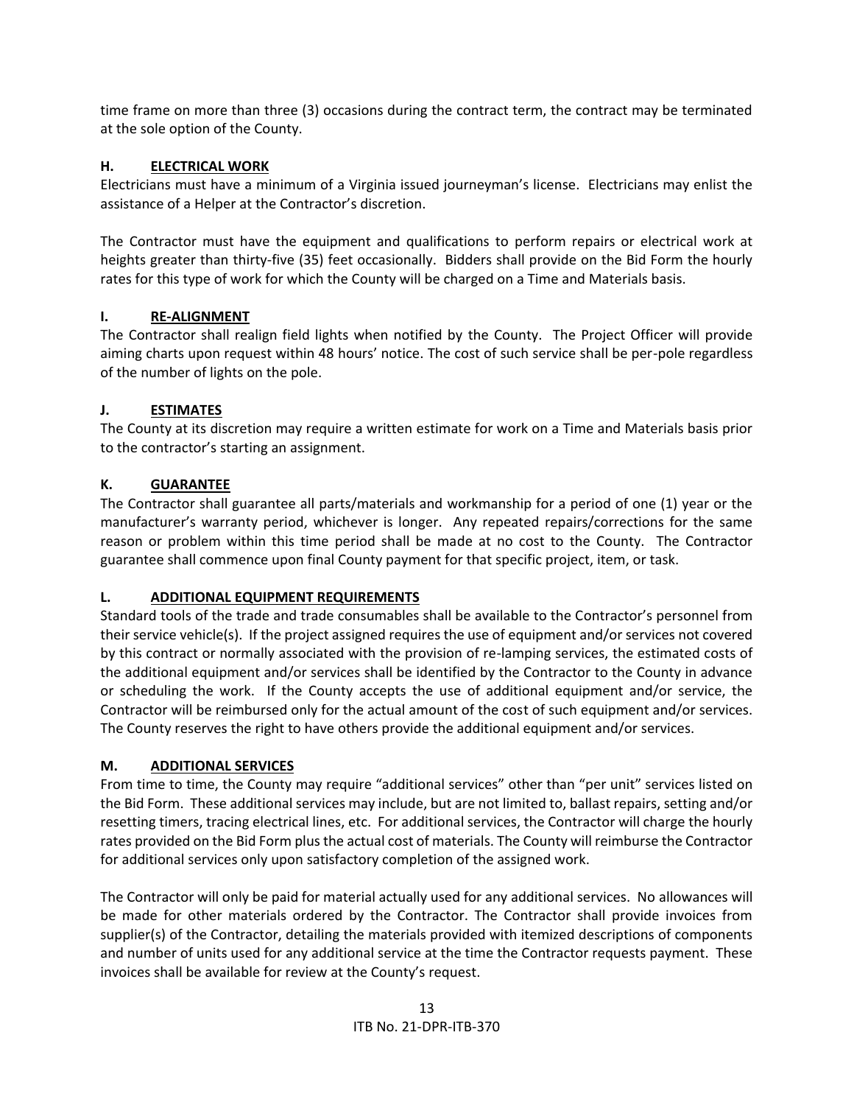time frame on more than three (3) occasions during the contract term, the contract may be terminated at the sole option of the County.

# **H. ELECTRICAL WORK**

Electricians must have a minimum of a Virginia issued journeyman's license. Electricians may enlist the assistance of a Helper at the Contractor's discretion.

The Contractor must have the equipment and qualifications to perform repairs or electrical work at heights greater than thirty-five (35) feet occasionally. Bidders shall provide on the Bid Form the hourly rates for this type of work for which the County will be charged on a Time and Materials basis.

# **I. RE-ALIGNMENT**

The Contractor shall realign field lights when notified by the County. The Project Officer will provide aiming charts upon request within 48 hours' notice. The cost of such service shall be per-pole regardless of the number of lights on the pole.

# **J. ESTIMATES**

The County at its discretion may require a written estimate for work on a Time and Materials basis prior to the contractor's starting an assignment.

# **K. GUARANTEE**

The Contractor shall guarantee all parts/materials and workmanship for a period of one (1) year or the manufacturer's warranty period, whichever is longer. Any repeated repairs/corrections for the same reason or problem within this time period shall be made at no cost to the County. The Contractor guarantee shall commence upon final County payment for that specific project, item, or task.

## **L. ADDITIONAL EQUIPMENT REQUIREMENTS**

Standard tools of the trade and trade consumables shall be available to the Contractor's personnel from their service vehicle(s). If the project assigned requires the use of equipment and/or services not covered by this contract or normally associated with the provision of re-lamping services, the estimated costs of the additional equipment and/or services shall be identified by the Contractor to the County in advance or scheduling the work. If the County accepts the use of additional equipment and/or service, the Contractor will be reimbursed only for the actual amount of the cost of such equipment and/or services. The County reserves the right to have others provide the additional equipment and/or services.

# **M. ADDITIONAL SERVICES**

From time to time, the County may require "additional services" other than "per unit" services listed on the Bid Form. These additional services may include, but are not limited to, ballast repairs, setting and/or resetting timers, tracing electrical lines, etc. For additional services, the Contractor will charge the hourly rates provided on the Bid Form plus the actual cost of materials. The County will reimburse the Contractor for additional services only upon satisfactory completion of the assigned work.

The Contractor will only be paid for material actually used for any additional services. No allowances will be made for other materials ordered by the Contractor. The Contractor shall provide invoices from supplier(s) of the Contractor, detailing the materials provided with itemized descriptions of components and number of units used for any additional service at the time the Contractor requests payment. These invoices shall be available for review at the County's request.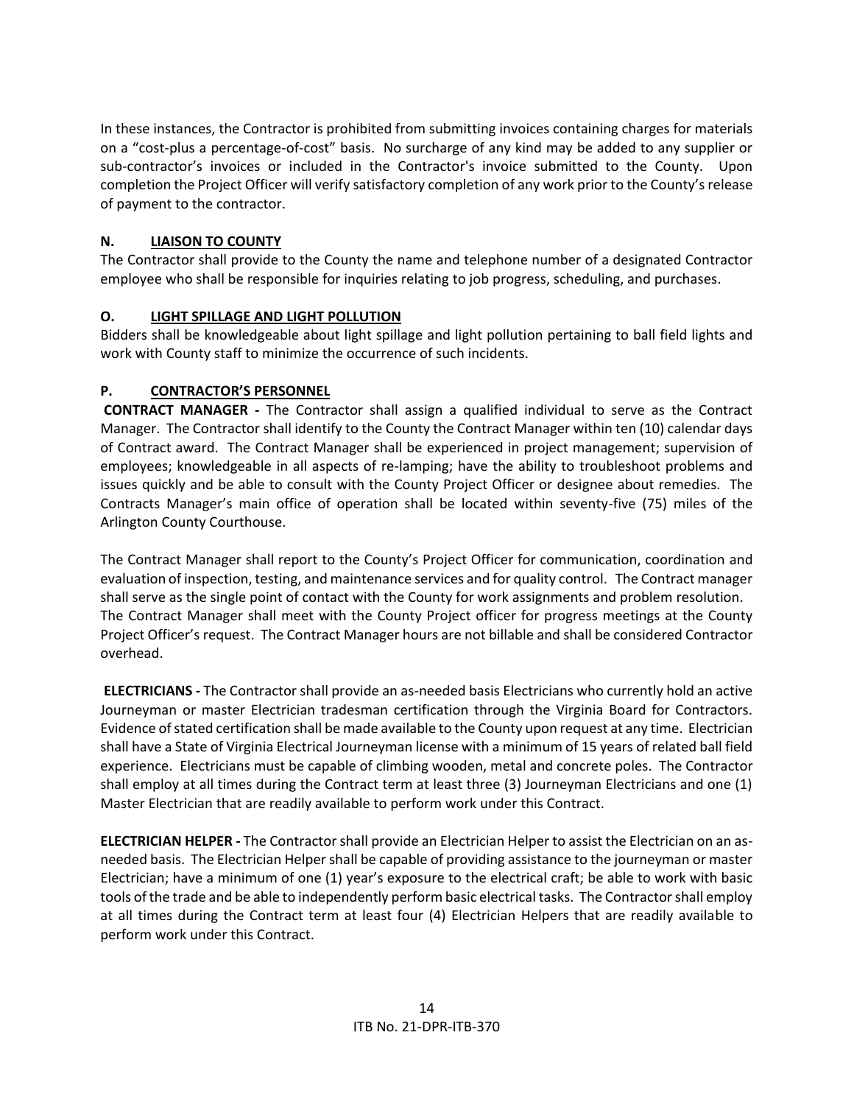In these instances, the Contractor is prohibited from submitting invoices containing charges for materials on a "cost-plus a percentage-of-cost" basis. No surcharge of any kind may be added to any supplier or sub-contractor's invoices or included in the Contractor's invoice submitted to the County. Upon completion the Project Officer will verify satisfactory completion of any work prior to the County's release of payment to the contractor.

# **N. LIAISON TO COUNTY**

The Contractor shall provide to the County the name and telephone number of a designated Contractor employee who shall be responsible for inquiries relating to job progress, scheduling, and purchases.

# **O. LIGHT SPILLAGE AND LIGHT POLLUTION**

Bidders shall be knowledgeable about light spillage and light pollution pertaining to ball field lights and work with County staff to minimize the occurrence of such incidents.

# **P. CONTRACTOR'S PERSONNEL**

**CONTRACT MANAGER** *-* The Contractor shall assign a qualified individual to serve as the Contract Manager. The Contractor shall identify to the County the Contract Manager within ten (10) calendar days of Contract award. The Contract Manager shall be experienced in project management; supervision of employees; knowledgeable in all aspects of re-lamping; have the ability to troubleshoot problems and issues quickly and be able to consult with the County Project Officer or designee about remedies. The Contracts Manager's main office of operation shall be located within seventy-five (75) miles of the Arlington County Courthouse.

The Contract Manager shall report to the County's Project Officer for communication, coordination and evaluation of inspection, testing, and maintenance services and for quality control. The Contract manager shall serve as the single point of contact with the County for work assignments and problem resolution. The Contract Manager shall meet with the County Project officer for progress meetings at the County Project Officer's request. The Contract Manager hours are not billable and shall be considered Contractor overhead.

**ELECTRICIANS** *-* The Contractor shall provide an as-needed basis Electricians who currently hold an active Journeyman or master Electrician tradesman certification through the Virginia Board for Contractors. Evidence of stated certification shall be made available to the County upon request at any time. Electrician shall have a State of Virginia Electrical Journeyman license with a minimum of 15 years of related ball field experience. Electricians must be capable of climbing wooden, metal and concrete poles. The Contractor shall employ at all times during the Contract term at least three (3) Journeyman Electricians and one (1) Master Electrician that are readily available to perform work under this Contract.

**ELECTRICIAN HELPER** *-* The Contractor shall provide an Electrician Helper to assist the Electrician on an asneeded basis. The Electrician Helper shall be capable of providing assistance to the journeyman or master Electrician; have a minimum of one (1) year's exposure to the electrical craft; be able to work with basic tools of the trade and be able to independently perform basic electrical tasks. The Contractor shall employ at all times during the Contract term at least four (4) Electrician Helpers that are readily available to perform work under this Contract.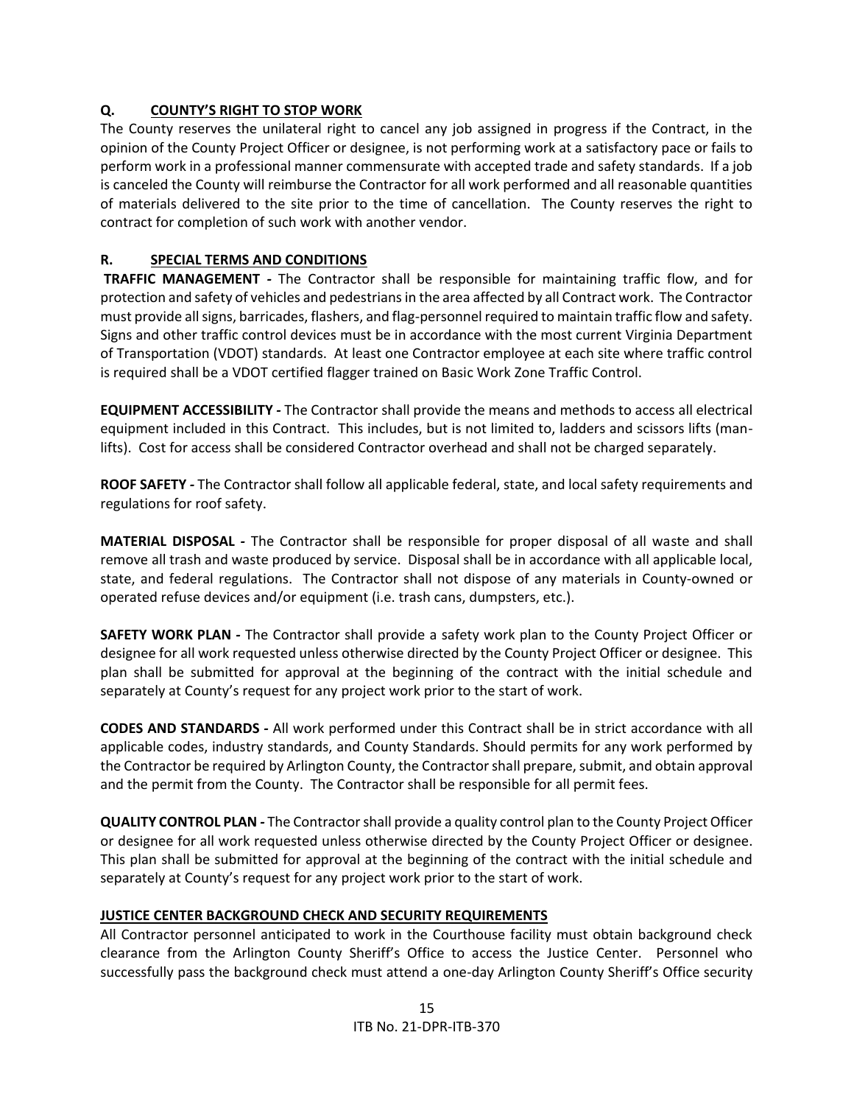# **Q. COUNTY'S RIGHT TO STOP WORK**

The County reserves the unilateral right to cancel any job assigned in progress if the Contract, in the opinion of the County Project Officer or designee, is not performing work at a satisfactory pace or fails to perform work in a professional manner commensurate with accepted trade and safety standards. If a job is canceled the County will reimburse the Contractor for all work performed and all reasonable quantities of materials delivered to the site prior to the time of cancellation. The County reserves the right to contract for completion of such work with another vendor.

# **R. SPECIAL TERMS AND CONDITIONS**

**TRAFFIC MANAGEMENT** *-* The Contractor shall be responsible for maintaining traffic flow, and for protection and safety of vehicles and pedestrians in the area affected by all Contract work. The Contractor must provide all signs, barricades, flashers, and flag-personnel required to maintain traffic flow and safety. Signs and other traffic control devices must be in accordance with the most current Virginia Department of Transportation (VDOT) standards. At least one Contractor employee at each site where traffic control is required shall be a VDOT certified flagger trained on Basic Work Zone Traffic Control.

**EQUIPMENT ACCESSIBILITY** *-* The Contractor shall provide the means and methods to access all electrical equipment included in this Contract. This includes, but is not limited to, ladders and scissors lifts (manlifts). Cost for access shall be considered Contractor overhead and shall not be charged separately.

**ROOF SAFETY** *-* The Contractor shall follow all applicable federal, state, and local safety requirements and regulations for roof safety.

**MATERIAL DISPOSAL** *-* The Contractor shall be responsible for proper disposal of all waste and shall remove all trash and waste produced by service. Disposal shall be in accordance with all applicable local, state, and federal regulations. The Contractor shall not dispose of any materials in County-owned or operated refuse devices and/or equipment (i.e. trash cans, dumpsters, etc.).

**SAFETY WORK PLAN** *-* The Contractor shall provide a safety work plan to the County Project Officer or designee for all work requested unless otherwise directed by the County Project Officer or designee. This plan shall be submitted for approval at the beginning of the contract with the initial schedule and separately at County's request for any project work prior to the start of work.

**CODES AND STANDARDS** *-* All work performed under this Contract shall be in strict accordance with all applicable codes, industry standards, and County Standards. Should permits for any work performed by the Contractor be required by Arlington County, the Contractor shall prepare, submit, and obtain approval and the permit from the County. The Contractor shall be responsible for all permit fees.

**QUALITY CONTROL PLAN** *-* The Contractor shall provide a quality control plan to the County Project Officer or designee for all work requested unless otherwise directed by the County Project Officer or designee. This plan shall be submitted for approval at the beginning of the contract with the initial schedule and separately at County's request for any project work prior to the start of work.

## **JUSTICE CENTER BACKGROUND CHECK AND SECURITY REQUIREMENTS**

All Contractor personnel anticipated to work in the Courthouse facility must obtain background check clearance from the Arlington County Sheriff's Office to access the Justice Center. Personnel who successfully pass the background check must attend a one-day Arlington County Sheriff's Office security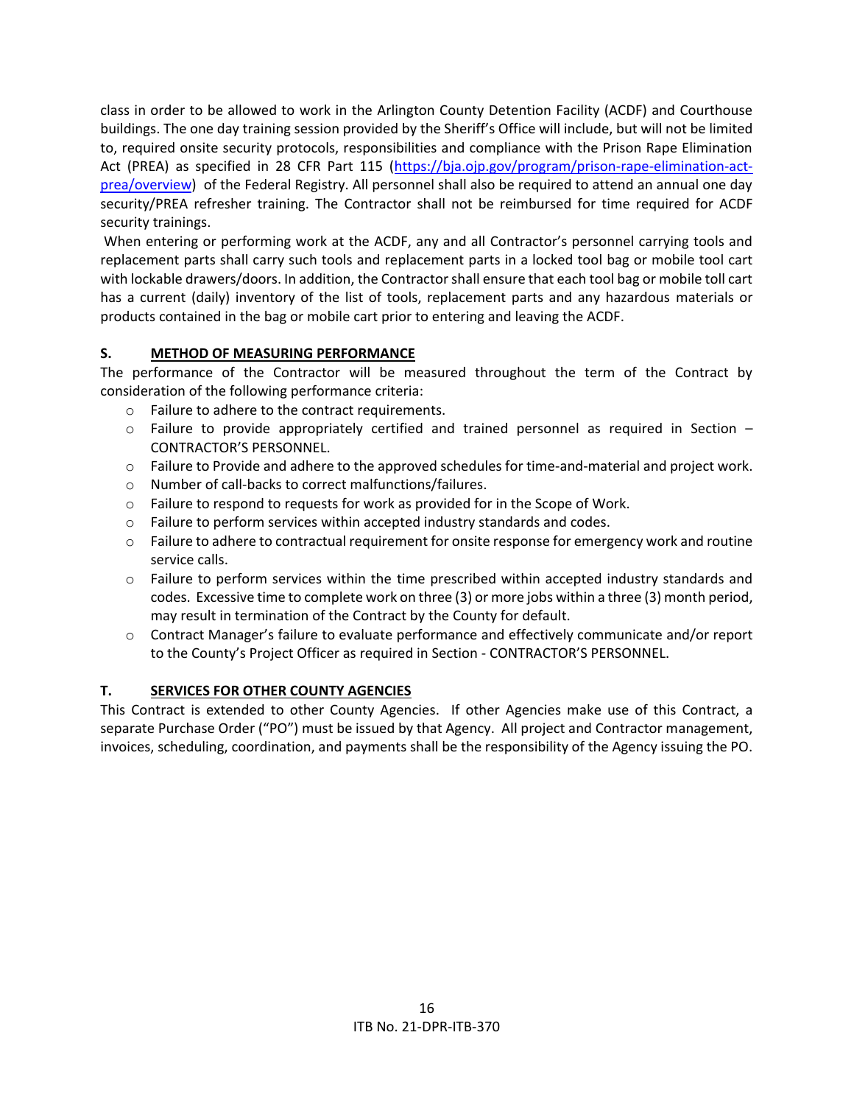class in order to be allowed to work in the Arlington County Detention Facility (ACDF) and Courthouse buildings. The one day training session provided by the Sheriff's Office will include, but will not be limited to, required onsite security protocols, responsibilities and compliance with the Prison Rape Elimination Act (PREA) as specified in 28 CFR Part 115 [\(https://bja.ojp.gov/program/prison-rape-elimination-act](https://bja.ojp.gov/program/prison-rape-elimination-act-prea/overview)[prea/overview\)](https://bja.ojp.gov/program/prison-rape-elimination-act-prea/overview) of the Federal Registry. All personnel shall also be required to attend an annual one day security/PREA refresher training. The Contractor shall not be reimbursed for time required for ACDF security trainings.

When entering or performing work at the ACDF, any and all Contractor's personnel carrying tools and replacement parts shall carry such tools and replacement parts in a locked tool bag or mobile tool cart with lockable drawers/doors. In addition, the Contractor shall ensure that each tool bag or mobile toll cart has a current (daily) inventory of the list of tools, replacement parts and any hazardous materials or products contained in the bag or mobile cart prior to entering and leaving the ACDF.

## **S. METHOD OF MEASURING PERFORMANCE**

The performance of the Contractor will be measured throughout the term of the Contract by consideration of the following performance criteria:

- o Failure to adhere to the contract requirements.
- $\circ$  Failure to provide appropriately certified and trained personnel as required in Section CONTRACTOR'S PERSONNEL.
- o Failure to Provide and adhere to the approved schedules for time-and-material and project work.
- o Number of call-backs to correct malfunctions/failures.
- $\circ$  Failure to respond to requests for work as provided for in the Scope of Work.
- o Failure to perform services within accepted industry standards and codes.
- $\circ$  Failure to adhere to contractual requirement for onsite response for emergency work and routine service calls.
- $\circ$  Failure to perform services within the time prescribed within accepted industry standards and codes. Excessive time to complete work on three (3) or more jobs within a three (3) month period, may result in termination of the Contract by the County for default.
- o Contract Manager's failure to evaluate performance and effectively communicate and/or report to the County's Project Officer as required in Section - CONTRACTOR'S PERSONNEL.

## **T. SERVICES FOR OTHER COUNTY AGENCIES**

This Contract is extended to other County Agencies. If other Agencies make use of this Contract, a separate Purchase Order ("PO") must be issued by that Agency. All project and Contractor management, invoices, scheduling, coordination, and payments shall be the responsibility of the Agency issuing the PO.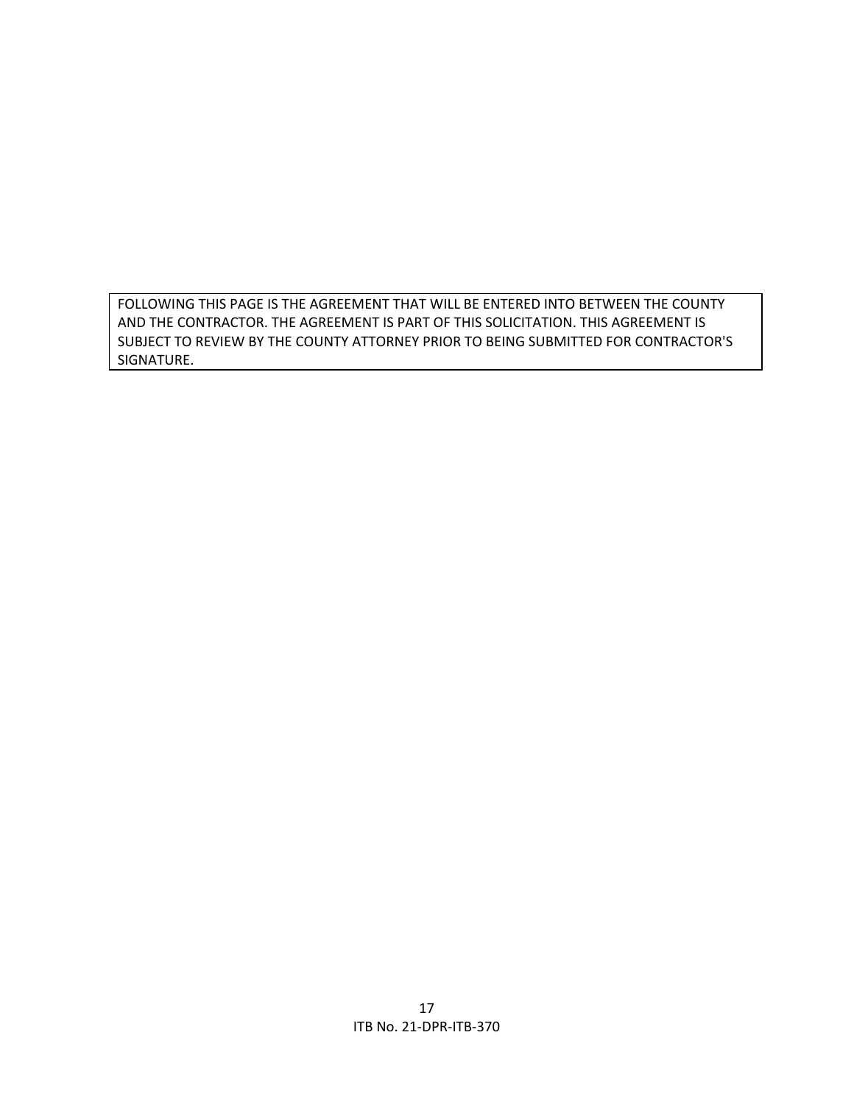<span id="page-16-0"></span>FOLLOWING THIS PAGE IS THE AGREEMENT THAT WILL BE ENTERED INTO BETWEEN THE COUNTY AND THE CONTRACTOR. THE AGREEMENT IS PART OF THIS SOLICITATION. THIS AGREEMENT IS SUBJECT TO REVIEW BY THE COUNTY ATTORNEY PRIOR TO BEING SUBMITTED FOR CONTRACTOR'S SIGNATURE.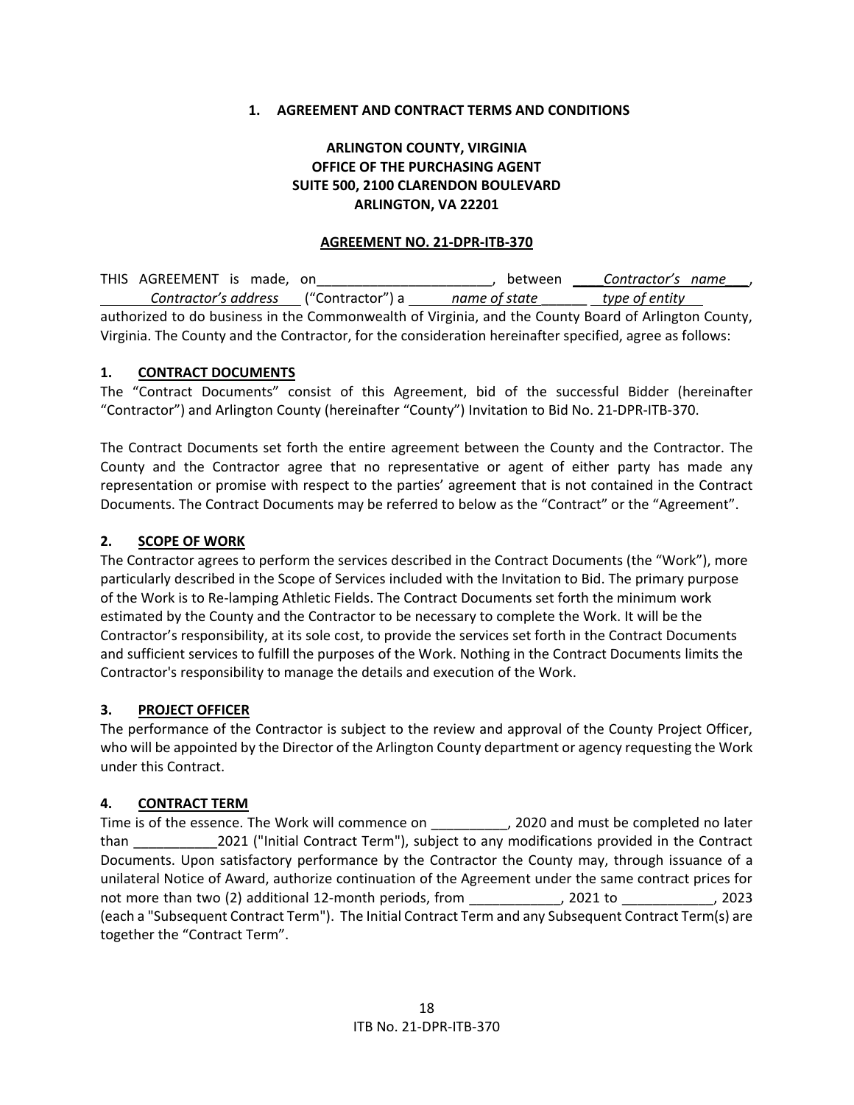#### **1. AGREEMENT AND CONTRACT TERMS AND CONDITIONS**

# **ARLINGTON COUNTY, VIRGINIA OFFICE OF THE PURCHASING AGENT SUITE 500, 2100 CLARENDON BOULEVARD ARLINGTON, VA 22201**

#### **AGREEMENT NO. 21-DPR-ITB-370**

THIS AGREEMENT is made, on\_\_\_\_\_\_\_\_\_\_\_\_\_\_\_\_\_\_\_\_\_\_\_, between \_\_\_\_*Contractor's name\_\_\_*, *Contractor's address* ("Contractor") a *name of state* \_\_\_\_\_\_ *type of entity*  authorized to do business in the Commonwealth of Virginia, and the County Board of Arlington County, Virginia. The County and the Contractor, for the consideration hereinafter specified, agree as follows:

#### **1. CONTRACT DOCUMENTS**

The "Contract Documents" consist of this Agreement, bid of the successful Bidder (hereinafter "Contractor") and Arlington County (hereinafter "County") Invitation to Bid No. 21-DPR-ITB-370.

The Contract Documents set forth the entire agreement between the County and the Contractor. The County and the Contractor agree that no representative or agent of either party has made any representation or promise with respect to the parties' agreement that is not contained in the Contract Documents. The Contract Documents may be referred to below as the "Contract" or the "Agreement".

#### **2. SCOPE OF WORK**

The Contractor agrees to perform the services described in the Contract Documents (the "Work"), more particularly described in the Scope of Services included with the Invitation to Bid. The primary purpose of the Work is to Re-lamping Athletic Fields. The Contract Documents set forth the minimum work estimated by the County and the Contractor to be necessary to complete the Work. It will be the Contractor's responsibility, at its sole cost, to provide the services set forth in the Contract Documents and sufficient services to fulfill the purposes of the Work. Nothing in the Contract Documents limits the Contractor's responsibility to manage the details and execution of the Work.

#### **3. PROJECT OFFICER**

The performance of the Contractor is subject to the review and approval of the County Project Officer, who will be appointed by the Director of the Arlington County department or agency requesting the Work under this Contract.

#### **4. CONTRACT TERM**

Time is of the essence. The Work will commence on Time is of the essence. The Work will commence on than \_\_\_\_\_\_\_\_\_\_\_2021 ("Initial Contract Term"), subject to any modifications provided in the Contract Documents. Upon satisfactory performance by the Contractor the County may, through issuance of a unilateral Notice of Award, authorize continuation of the Agreement under the same contract prices for not more than two (2) additional 12-month periods, from equal points are continuous points of the control of t (each a "Subsequent Contract Term"). The Initial Contract Term and any Subsequent Contract Term(s) are together the "Contract Term".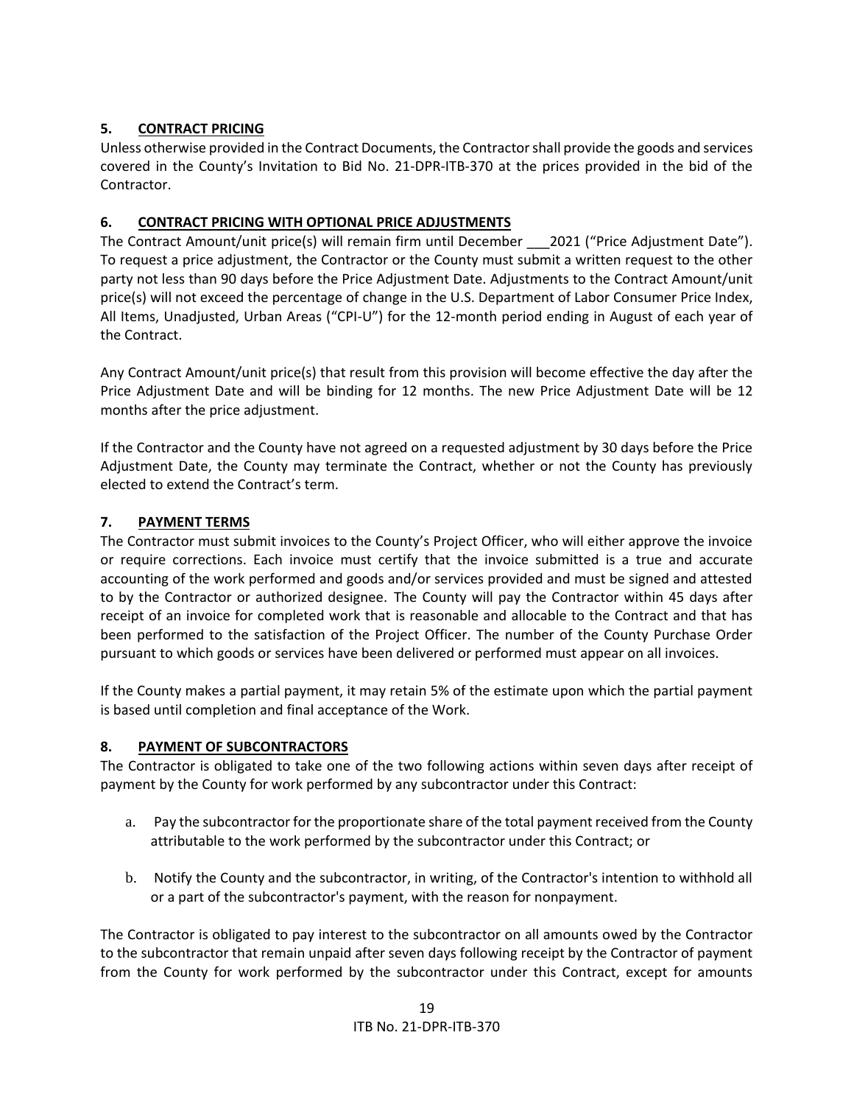# **5. CONTRACT PRICING**

Unless otherwise provided in the Contract Documents, the Contractor shall provide the goods and services covered in the County's Invitation to Bid No. 21-DPR-ITB-370 at the prices provided in the bid of the Contractor.

# **6. CONTRACT PRICING WITH OPTIONAL PRICE ADJUSTMENTS**

The Contract Amount/unit price(s) will remain firm until December \_\_\_2021 ("Price Adjustment Date"). To request a price adjustment, the Contractor or the County must submit a written request to the other party not less than 90 days before the Price Adjustment Date. Adjustments to the Contract Amount/unit price(s) will not exceed the percentage of change in the U.S. Department of Labor Consumer Price Index, All Items, Unadjusted, Urban Areas ("CPI-U") for the 12-month period ending in August of each year of the Contract.

Any Contract Amount/unit price(s) that result from this provision will become effective the day after the Price Adjustment Date and will be binding for 12 months. The new Price Adjustment Date will be 12 months after the price adjustment.

If the Contractor and the County have not agreed on a requested adjustment by 30 days before the Price Adjustment Date, the County may terminate the Contract, whether or not the County has previously elected to extend the Contract's term.

# **7. PAYMENT TERMS**

The Contractor must submit invoices to the County's Project Officer, who will either approve the invoice or require corrections. Each invoice must certify that the invoice submitted is a true and accurate accounting of the work performed and goods and/or services provided and must be signed and attested to by the Contractor or authorized designee. The County will pay the Contractor within 45 days after receipt of an invoice for completed work that is reasonable and allocable to the Contract and that has been performed to the satisfaction of the Project Officer. The number of the County Purchase Order pursuant to which goods or services have been delivered or performed must appear on all invoices.

If the County makes a partial payment, it may retain 5% of the estimate upon which the partial payment is based until completion and final acceptance of the Work.

## **8. PAYMENT OF SUBCONTRACTORS**

The Contractor is obligated to take one of the two following actions within seven days after receipt of payment by the County for work performed by any subcontractor under this Contract:

- a. Pay the subcontractor for the proportionate share of the total payment received from the County attributable to the work performed by the subcontractor under this Contract; or
- b. Notify the County and the subcontractor, in writing, of the Contractor's intention to withhold all or a part of the subcontractor's payment, with the reason for nonpayment.

The Contractor is obligated to pay interest to the subcontractor on all amounts owed by the Contractor to the subcontractor that remain unpaid after seven days following receipt by the Contractor of payment from the County for work performed by the subcontractor under this Contract, except for amounts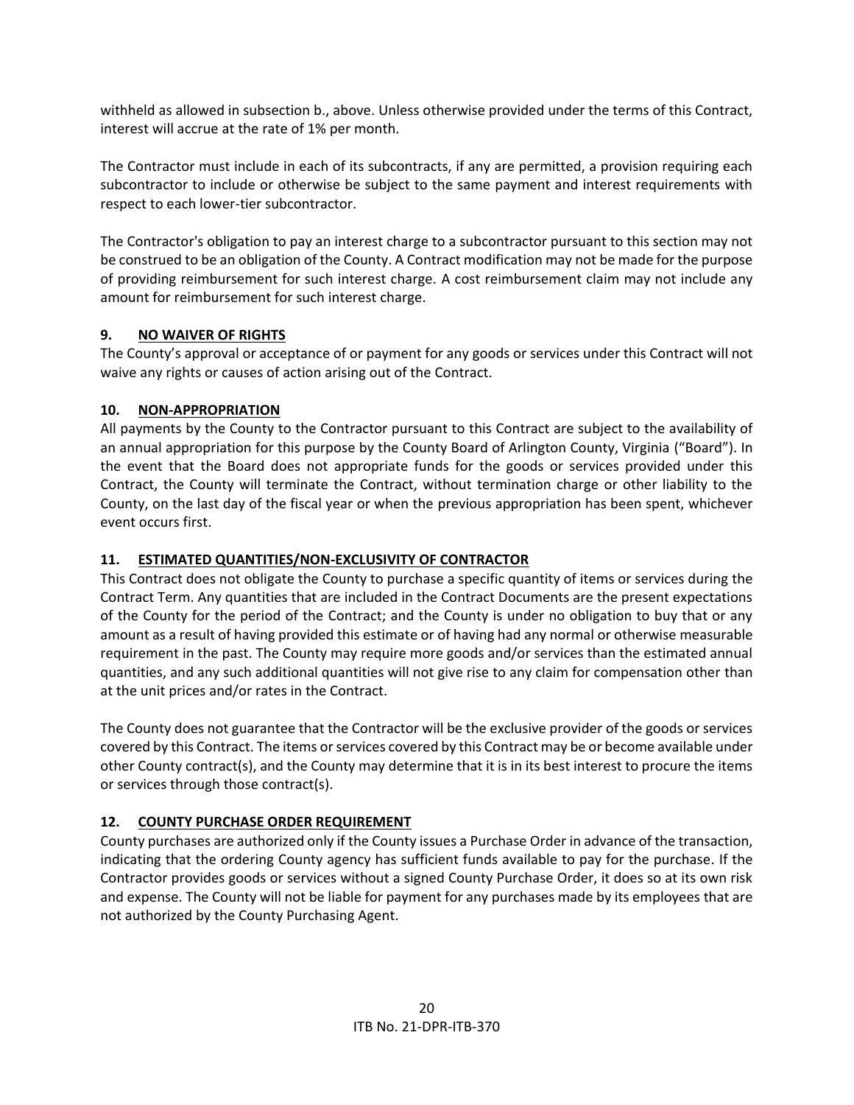withheld as allowed in subsection b., above. Unless otherwise provided under the terms of this Contract, interest will accrue at the rate of 1% per month.

The Contractor must include in each of its subcontracts, if any are permitted, a provision requiring each subcontractor to include or otherwise be subject to the same payment and interest requirements with respect to each lower-tier subcontractor.

The Contractor's obligation to pay an interest charge to a subcontractor pursuant to this section may not be construed to be an obligation of the County. A Contract modification may not be made for the purpose of providing reimbursement for such interest charge. A cost reimbursement claim may not include any amount for reimbursement for such interest charge.

## **9. NO WAIVER OF RIGHTS**

The County's approval or acceptance of or payment for any goods or services under this Contract will not waive any rights or causes of action arising out of the Contract.

#### **10. NON-APPROPRIATION**

All payments by the County to the Contractor pursuant to this Contract are subject to the availability of an annual appropriation for this purpose by the County Board of Arlington County, Virginia ("Board"). In the event that the Board does not appropriate funds for the goods or services provided under this Contract, the County will terminate the Contract, without termination charge or other liability to the County, on the last day of the fiscal year or when the previous appropriation has been spent, whichever event occurs first.

#### **11. ESTIMATED QUANTITIES/NON-EXCLUSIVITY OF CONTRACTOR**

This Contract does not obligate the County to purchase a specific quantity of items or services during the Contract Term. Any quantities that are included in the Contract Documents are the present expectations of the County for the period of the Contract; and the County is under no obligation to buy that or any amount as a result of having provided this estimate or of having had any normal or otherwise measurable requirement in the past. The County may require more goods and/or services than the estimated annual quantities, and any such additional quantities will not give rise to any claim for compensation other than at the unit prices and/or rates in the Contract.

The County does not guarantee that the Contractor will be the exclusive provider of the goods or services covered by this Contract. The items or services covered by this Contract may be or become available under other County contract(s), and the County may determine that it is in its best interest to procure the items or services through those contract(s).

## **12. COUNTY PURCHASE ORDER REQUIREMENT**

County purchases are authorized only if the County issues a Purchase Order in advance of the transaction, indicating that the ordering County agency has sufficient funds available to pay for the purchase. If the Contractor provides goods or services without a signed County Purchase Order, it does so at its own risk and expense. The County will not be liable for payment for any purchases made by its employees that are not authorized by the County Purchasing Agent.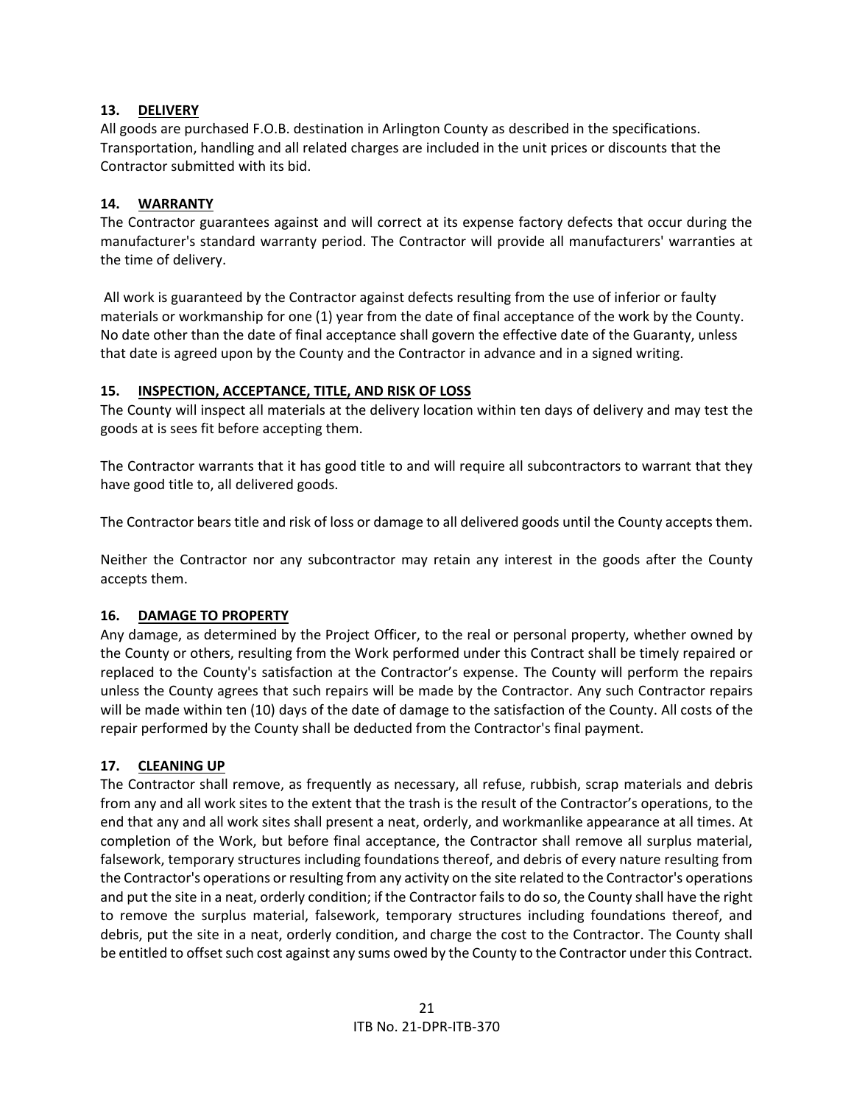#### **13. DELIVERY**

All goods are purchased F.O.B. destination in Arlington County as described in the specifications. Transportation, handling and all related charges are included in the unit prices or discounts that the Contractor submitted with its bid.

## **14. WARRANTY**

The Contractor guarantees against and will correct at its expense factory defects that occur during the manufacturer's standard warranty period. The Contractor will provide all manufacturers' warranties at the time of delivery.

All work is guaranteed by the Contractor against defects resulting from the use of inferior or faulty materials or workmanship for one (1) year from the date of final acceptance of the work by the County. No date other than the date of final acceptance shall govern the effective date of the Guaranty, unless that date is agreed upon by the County and the Contractor in advance and in a signed writing.

## **15. INSPECTION, ACCEPTANCE, TITLE, AND RISK OF LOSS**

The County will inspect all materials at the delivery location within ten days of delivery and may test the goods at is sees fit before accepting them.

The Contractor warrants that it has good title to and will require all subcontractors to warrant that they have good title to, all delivered goods.

The Contractor bears title and risk of loss or damage to all delivered goods until the County accepts them.

Neither the Contractor nor any subcontractor may retain any interest in the goods after the County accepts them.

## **16. DAMAGE TO PROPERTY**

Any damage, as determined by the Project Officer, to the real or personal property, whether owned by the County or others, resulting from the Work performed under this Contract shall be timely repaired or replaced to the County's satisfaction at the Contractor's expense. The County will perform the repairs unless the County agrees that such repairs will be made by the Contractor. Any such Contractor repairs will be made within ten (10) days of the date of damage to the satisfaction of the County. All costs of the repair performed by the County shall be deducted from the Contractor's final payment.

## **17. CLEANING UP**

The Contractor shall remove, as frequently as necessary, all refuse, rubbish, scrap materials and debris from any and all work sites to the extent that the trash is the result of the Contractor's operations, to the end that any and all work sites shall present a neat, orderly, and workmanlike appearance at all times. At completion of the Work, but before final acceptance, the Contractor shall remove all surplus material, falsework, temporary structures including foundations thereof, and debris of every nature resulting from the Contractor's operations or resulting from any activity on the site related to the Contractor's operations and put the site in a neat, orderly condition; if the Contractor fails to do so, the County shall have the right to remove the surplus material, falsework, temporary structures including foundations thereof, and debris, put the site in a neat, orderly condition, and charge the cost to the Contractor. The County shall be entitled to offset such cost against any sums owed by the County to the Contractor under this Contract.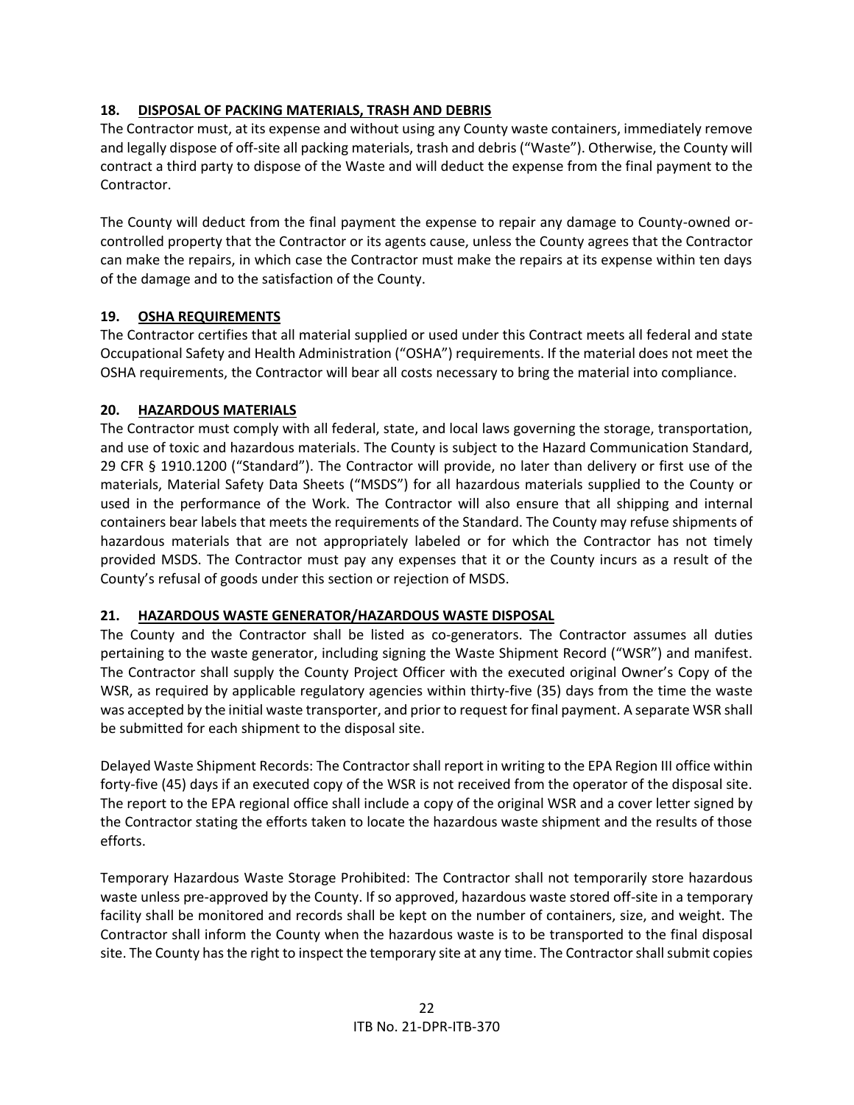# **18. DISPOSAL OF PACKING MATERIALS, TRASH AND DEBRIS**

The Contractor must, at its expense and without using any County waste containers, immediately remove and legally dispose of off-site all packing materials, trash and debris ("Waste"). Otherwise, the County will contract a third party to dispose of the Waste and will deduct the expense from the final payment to the Contractor.

The County will deduct from the final payment the expense to repair any damage to County-owned orcontrolled property that the Contractor or its agents cause, unless the County agrees that the Contractor can make the repairs, in which case the Contractor must make the repairs at its expense within ten days of the damage and to the satisfaction of the County.

## **19. OSHA REQUIREMENTS**

The Contractor certifies that all material supplied or used under this Contract meets all federal and state Occupational Safety and Health Administration ("OSHA") requirements. If the material does not meet the OSHA requirements, the Contractor will bear all costs necessary to bring the material into compliance.

#### **20. HAZARDOUS MATERIALS**

The Contractor must comply with all federal, state, and local laws governing the storage, transportation, and use of toxic and hazardous materials. The County is subject to the Hazard Communication Standard, 29 CFR § 1910.1200 ("Standard"). The Contractor will provide, no later than delivery or first use of the materials, Material Safety Data Sheets ("MSDS") for all hazardous materials supplied to the County or used in the performance of the Work. The Contractor will also ensure that all shipping and internal containers bear labels that meets the requirements of the Standard. The County may refuse shipments of hazardous materials that are not appropriately labeled or for which the Contractor has not timely provided MSDS. The Contractor must pay any expenses that it or the County incurs as a result of the County's refusal of goods under this section or rejection of MSDS.

## **21. HAZARDOUS WASTE GENERATOR/HAZARDOUS WASTE DISPOSAL**

The County and the Contractor shall be listed as co-generators. The Contractor assumes all duties pertaining to the waste generator, including signing the Waste Shipment Record ("WSR") and manifest. The Contractor shall supply the County Project Officer with the executed original Owner's Copy of the WSR, as required by applicable regulatory agencies within thirty-five (35) days from the time the waste was accepted by the initial waste transporter, and prior to request for final payment. A separate WSR shall be submitted for each shipment to the disposal site.

Delayed Waste Shipment Records: The Contractor shall report in writing to the EPA Region III office within forty-five (45) days if an executed copy of the WSR is not received from the operator of the disposal site. The report to the EPA regional office shall include a copy of the original WSR and a cover letter signed by the Contractor stating the efforts taken to locate the hazardous waste shipment and the results of those efforts.

Temporary Hazardous Waste Storage Prohibited: The Contractor shall not temporarily store hazardous waste unless pre-approved by the County. If so approved, hazardous waste stored off-site in a temporary facility shall be monitored and records shall be kept on the number of containers, size, and weight. The Contractor shall inform the County when the hazardous waste is to be transported to the final disposal site. The County has the right to inspect the temporary site at any time. The Contractor shall submit copies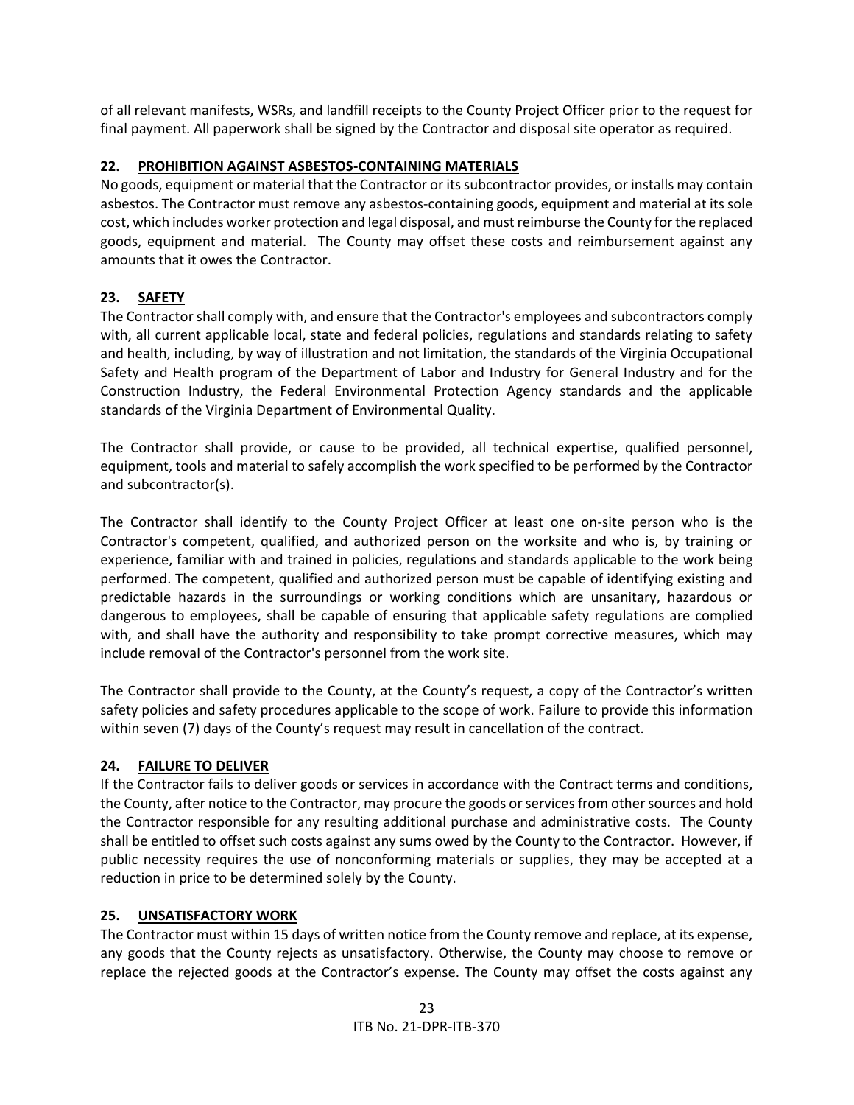of all relevant manifests, WSRs, and landfill receipts to the County Project Officer prior to the request for final payment. All paperwork shall be signed by the Contractor and disposal site operator as required.

#### **22. PROHIBITION AGAINST ASBESTOS-CONTAINING MATERIALS**

No goods, equipment or material that the Contractor or its subcontractor provides, or installs may contain asbestos. The Contractor must remove any asbestos-containing goods, equipment and material at its sole cost, which includes worker protection and legal disposal, and must reimburse the County for the replaced goods, equipment and material. The County may offset these costs and reimbursement against any amounts that it owes the Contractor.

## **23. SAFETY**

The Contractor shall comply with, and ensure that the Contractor's employees and subcontractors comply with, all current applicable local, state and federal policies, regulations and standards relating to safety and health, including, by way of illustration and not limitation, the standards of the Virginia Occupational Safety and Health program of the Department of Labor and Industry for General Industry and for the Construction Industry, the Federal Environmental Protection Agency standards and the applicable standards of the Virginia Department of Environmental Quality.

The Contractor shall provide, or cause to be provided, all technical expertise, qualified personnel, equipment, tools and material to safely accomplish the work specified to be performed by the Contractor and subcontractor(s).

The Contractor shall identify to the County Project Officer at least one on-site person who is the Contractor's competent, qualified, and authorized person on the worksite and who is, by training or experience, familiar with and trained in policies, regulations and standards applicable to the work being performed. The competent, qualified and authorized person must be capable of identifying existing and predictable hazards in the surroundings or working conditions which are unsanitary, hazardous or dangerous to employees, shall be capable of ensuring that applicable safety regulations are complied with, and shall have the authority and responsibility to take prompt corrective measures, which may include removal of the Contractor's personnel from the work site.

The Contractor shall provide to the County, at the County's request, a copy of the Contractor's written safety policies and safety procedures applicable to the scope of work. Failure to provide this information within seven (7) days of the County's request may result in cancellation of the contract.

## **24. FAILURE TO DELIVER**

If the Contractor fails to deliver goods or services in accordance with the Contract terms and conditions, the County, after notice to the Contractor, may procure the goods or services from other sources and hold the Contractor responsible for any resulting additional purchase and administrative costs. The County shall be entitled to offset such costs against any sums owed by the County to the Contractor. However, if public necessity requires the use of nonconforming materials or supplies, they may be accepted at a reduction in price to be determined solely by the County.

## **25. UNSATISFACTORY WORK**

The Contractor must within 15 days of written notice from the County remove and replace, at its expense, any goods that the County rejects as unsatisfactory. Otherwise, the County may choose to remove or replace the rejected goods at the Contractor's expense. The County may offset the costs against any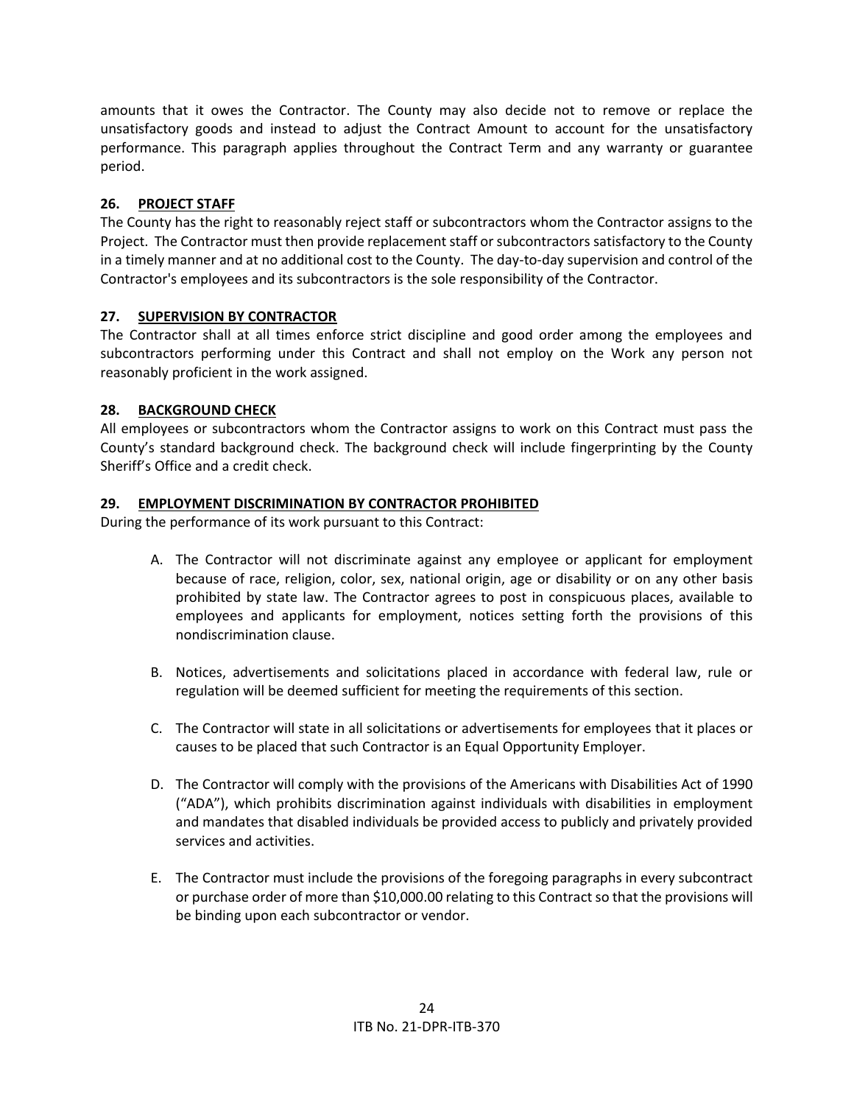amounts that it owes the Contractor. The County may also decide not to remove or replace the unsatisfactory goods and instead to adjust the Contract Amount to account for the unsatisfactory performance. This paragraph applies throughout the Contract Term and any warranty or guarantee period.

# **26. PROJECT STAFF**

The County has the right to reasonably reject staff or subcontractors whom the Contractor assigns to the Project. The Contractor must then provide replacement staff or subcontractors satisfactory to the County in a timely manner and at no additional cost to the County. The day-to-day supervision and control of the Contractor's employees and its subcontractors is the sole responsibility of the Contractor.

## **27. SUPERVISION BY CONTRACTOR**

The Contractor shall at all times enforce strict discipline and good order among the employees and subcontractors performing under this Contract and shall not employ on the Work any person not reasonably proficient in the work assigned.

# **28. BACKGROUND CHECK**

All employees or subcontractors whom the Contractor assigns to work on this Contract must pass the County's standard background check. The background check will include fingerprinting by the County Sheriff's Office and a credit check.

## **29. EMPLOYMENT DISCRIMINATION BY CONTRACTOR PROHIBITED**

During the performance of its work pursuant to this Contract:

- A. The Contractor will not discriminate against any employee or applicant for employment because of race, religion, color, sex, national origin, age or disability or on any other basis prohibited by state law. The Contractor agrees to post in conspicuous places, available to employees and applicants for employment, notices setting forth the provisions of this nondiscrimination clause.
- B. Notices, advertisements and solicitations placed in accordance with federal law, rule or regulation will be deemed sufficient for meeting the requirements of this section.
- C. The Contractor will state in all solicitations or advertisements for employees that it places or causes to be placed that such Contractor is an Equal Opportunity Employer.
- D. The Contractor will comply with the provisions of the Americans with Disabilities Act of 1990 ("ADA"), which prohibits discrimination against individuals with disabilities in employment and mandates that disabled individuals be provided access to publicly and privately provided services and activities.
- E. The Contractor must include the provisions of the foregoing paragraphs in every subcontract or purchase order of more than \$10,000.00 relating to this Contract so that the provisions will be binding upon each subcontractor or vendor.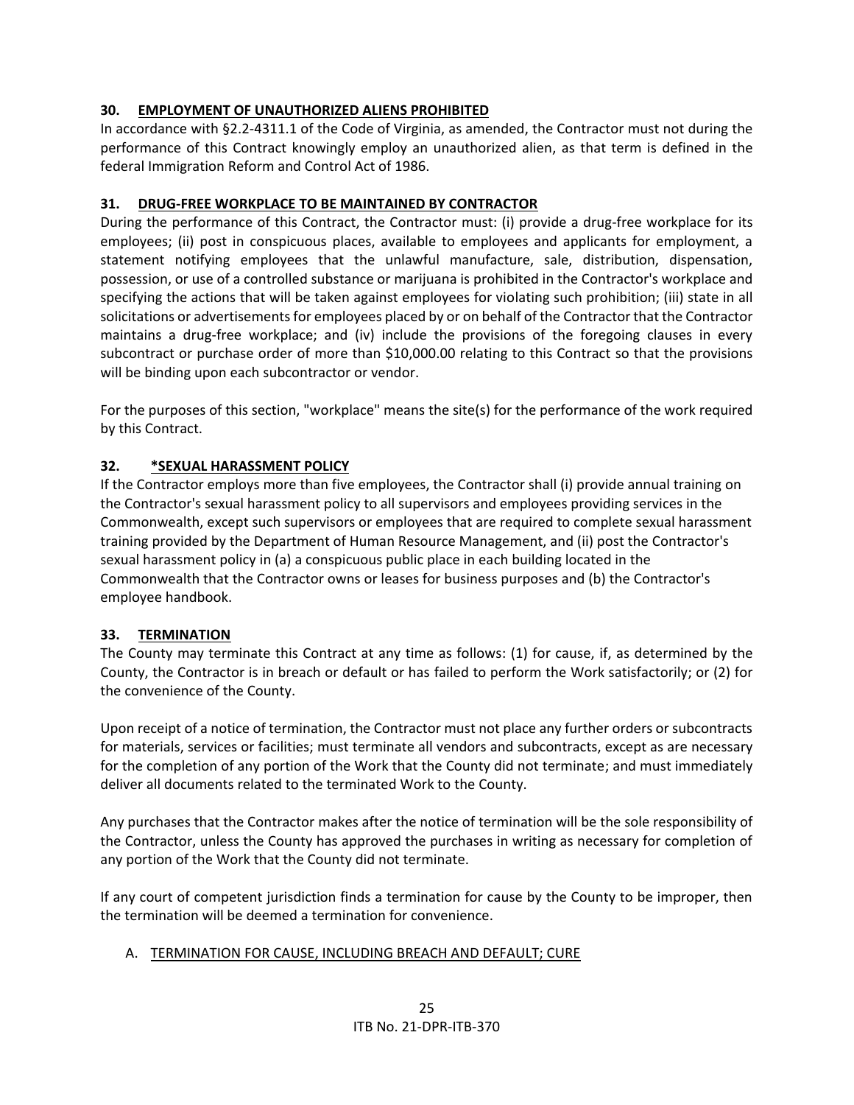# **30. EMPLOYMENT OF UNAUTHORIZED ALIENS PROHIBITED**

In accordance with §2.2-4311.1 of the Code of Virginia, as amended, the Contractor must not during the performance of this Contract knowingly employ an unauthorized alien, as that term is defined in the federal Immigration Reform and Control Act of 1986.

## **31. DRUG-FREE WORKPLACE TO BE MAINTAINED BY CONTRACTOR**

During the performance of this Contract, the Contractor must: (i) provide a drug-free workplace for its employees; (ii) post in conspicuous places, available to employees and applicants for employment, a statement notifying employees that the unlawful manufacture, sale, distribution, dispensation, possession, or use of a controlled substance or marijuana is prohibited in the Contractor's workplace and specifying the actions that will be taken against employees for violating such prohibition; (iii) state in all solicitations or advertisements for employees placed by or on behalf of the Contractor that the Contractor maintains a drug-free workplace; and (iv) include the provisions of the foregoing clauses in every subcontract or purchase order of more than \$10,000.00 relating to this Contract so that the provisions will be binding upon each subcontractor or vendor.

For the purposes of this section, "workplace" means the site(s) for the performance of the work required by this Contract.

# **32. \*SEXUAL HARASSMENT POLICY**

If the Contractor employs more than five employees, the Contractor shall (i) provide annual training on the Contractor's sexual harassment policy to all supervisors and employees providing services in the Commonwealth, except such supervisors or employees that are required to complete sexual harassment training provided by the Department of Human Resource Management, and (ii) post the Contractor's sexual harassment policy in (a) a conspicuous public place in each building located in the Commonwealth that the Contractor owns or leases for business purposes and (b) the Contractor's employee handbook.

## **33. TERMINATION**

The County may terminate this Contract at any time as follows: (1) for cause, if, as determined by the County, the Contractor is in breach or default or has failed to perform the Work satisfactorily; or (2) for the convenience of the County.

Upon receipt of a notice of termination, the Contractor must not place any further orders or subcontracts for materials, services or facilities; must terminate all vendors and subcontracts, except as are necessary for the completion of any portion of the Work that the County did not terminate; and must immediately deliver all documents related to the terminated Work to the County.

Any purchases that the Contractor makes after the notice of termination will be the sole responsibility of the Contractor, unless the County has approved the purchases in writing as necessary for completion of any portion of the Work that the County did not terminate.

If any court of competent jurisdiction finds a termination for cause by the County to be improper, then the termination will be deemed a termination for convenience.

## A. TERMINATION FOR CAUSE, INCLUDING BREACH AND DEFAULT; CURE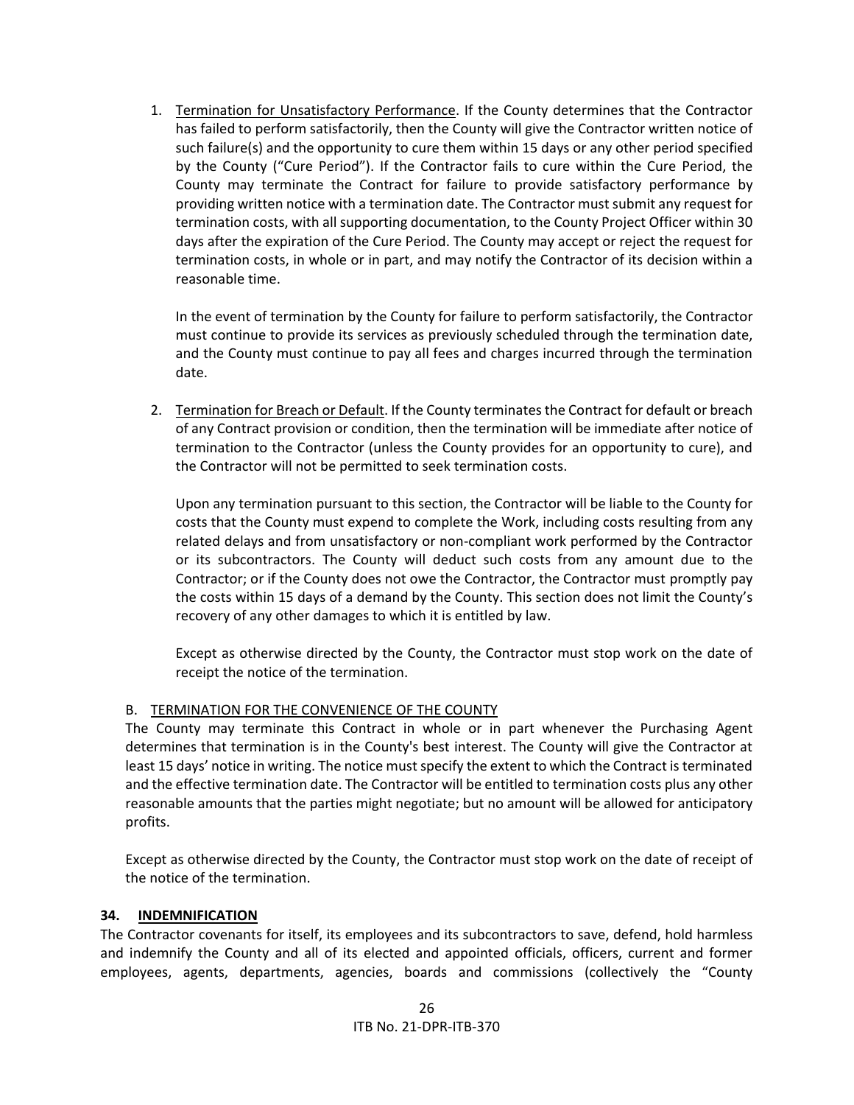1. Termination for Unsatisfactory Performance. If the County determines that the Contractor has failed to perform satisfactorily, then the County will give the Contractor written notice of such failure(s) and the opportunity to cure them within 15 days or any other period specified by the County ("Cure Period"). If the Contractor fails to cure within the Cure Period, the County may terminate the Contract for failure to provide satisfactory performance by providing written notice with a termination date. The Contractor must submit any request for termination costs, with all supporting documentation, to the County Project Officer within 30 days after the expiration of the Cure Period. The County may accept or reject the request for termination costs, in whole or in part, and may notify the Contractor of its decision within a reasonable time.

In the event of termination by the County for failure to perform satisfactorily, the Contractor must continue to provide its services as previously scheduled through the termination date, and the County must continue to pay all fees and charges incurred through the termination date.

2. Termination for Breach or Default. If the County terminates the Contract for default or breach of any Contract provision or condition, then the termination will be immediate after notice of termination to the Contractor (unless the County provides for an opportunity to cure), and the Contractor will not be permitted to seek termination costs.

Upon any termination pursuant to this section, the Contractor will be liable to the County for costs that the County must expend to complete the Work, including costs resulting from any related delays and from unsatisfactory or non-compliant work performed by the Contractor or its subcontractors. The County will deduct such costs from any amount due to the Contractor; or if the County does not owe the Contractor, the Contractor must promptly pay the costs within 15 days of a demand by the County. This section does not limit the County's recovery of any other damages to which it is entitled by law.

Except as otherwise directed by the County, the Contractor must stop work on the date of receipt the notice of the termination.

## B. TERMINATION FOR THE CONVENIENCE OF THE COUNTY

The County may terminate this Contract in whole or in part whenever the Purchasing Agent determines that termination is in the County's best interest. The County will give the Contractor at least 15 days' notice in writing. The notice must specify the extent to which the Contract is terminated and the effective termination date. The Contractor will be entitled to termination costs plus any other reasonable amounts that the parties might negotiate; but no amount will be allowed for anticipatory profits.

Except as otherwise directed by the County, the Contractor must stop work on the date of receipt of the notice of the termination.

## **34. INDEMNIFICATION**

The Contractor covenants for itself, its employees and its subcontractors to save, defend, hold harmless and indemnify the County and all of its elected and appointed officials, officers, current and former employees, agents, departments, agencies, boards and commissions (collectively the "County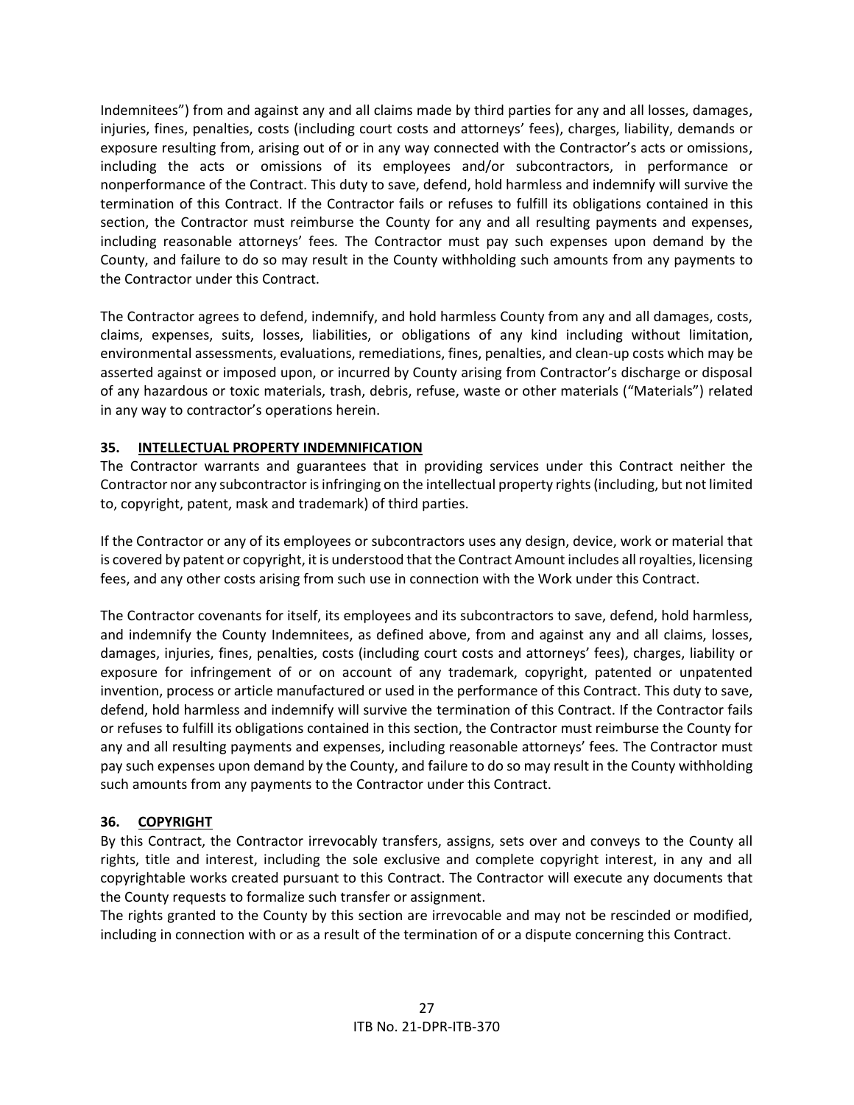Indemnitees") from and against any and all claims made by third parties for any and all losses, damages, injuries, fines, penalties, costs (including court costs and attorneys' fees), charges, liability, demands or exposure resulting from, arising out of or in any way connected with the Contractor's acts or omissions, including the acts or omissions of its employees and/or subcontractors, in performance or nonperformance of the Contract. This duty to save, defend, hold harmless and indemnify will survive the termination of this Contract. If the Contractor fails or refuses to fulfill its obligations contained in this section, the Contractor must reimburse the County for any and all resulting payments and expenses, including reasonable attorneys' fees*.* The Contractor must pay such expenses upon demand by the County, and failure to do so may result in the County withholding such amounts from any payments to the Contractor under this Contract.

The Contractor agrees to defend, indemnify, and hold harmless County from any and all damages, costs, claims, expenses, suits, losses, liabilities, or obligations of any kind including without limitation, environmental assessments, evaluations, remediations, fines, penalties, and clean-up costs which may be asserted against or imposed upon, or incurred by County arising from Contractor's discharge or disposal of any hazardous or toxic materials, trash, debris, refuse, waste or other materials ("Materials") related in any way to contractor's operations herein.

## **35. INTELLECTUAL PROPERTY INDEMNIFICATION**

The Contractor warrants and guarantees that in providing services under this Contract neither the Contractor nor any subcontractor is infringing on the intellectual property rights (including, but not limited to, copyright, patent, mask and trademark) of third parties.

If the Contractor or any of its employees or subcontractors uses any design, device, work or material that is covered by patent or copyright, it is understood that the Contract Amount includes all royalties, licensing fees, and any other costs arising from such use in connection with the Work under this Contract.

The Contractor covenants for itself, its employees and its subcontractors to save, defend, hold harmless, and indemnify the County Indemnitees, as defined above, from and against any and all claims, losses, damages, injuries, fines, penalties, costs (including court costs and attorneys' fees), charges, liability or exposure for infringement of or on account of any trademark, copyright, patented or unpatented invention, process or article manufactured or used in the performance of this Contract. This duty to save, defend, hold harmless and indemnify will survive the termination of this Contract. If the Contractor fails or refuses to fulfill its obligations contained in this section, the Contractor must reimburse the County for any and all resulting payments and expenses, including reasonable attorneys' fees*.* The Contractor must pay such expenses upon demand by the County, and failure to do so may result in the County withholding such amounts from any payments to the Contractor under this Contract.

#### **36. COPYRIGHT**

By this Contract, the Contractor irrevocably transfers, assigns, sets over and conveys to the County all rights, title and interest, including the sole exclusive and complete copyright interest, in any and all copyrightable works created pursuant to this Contract. The Contractor will execute any documents that the County requests to formalize such transfer or assignment.

The rights granted to the County by this section are irrevocable and may not be rescinded or modified, including in connection with or as a result of the termination of or a dispute concerning this Contract.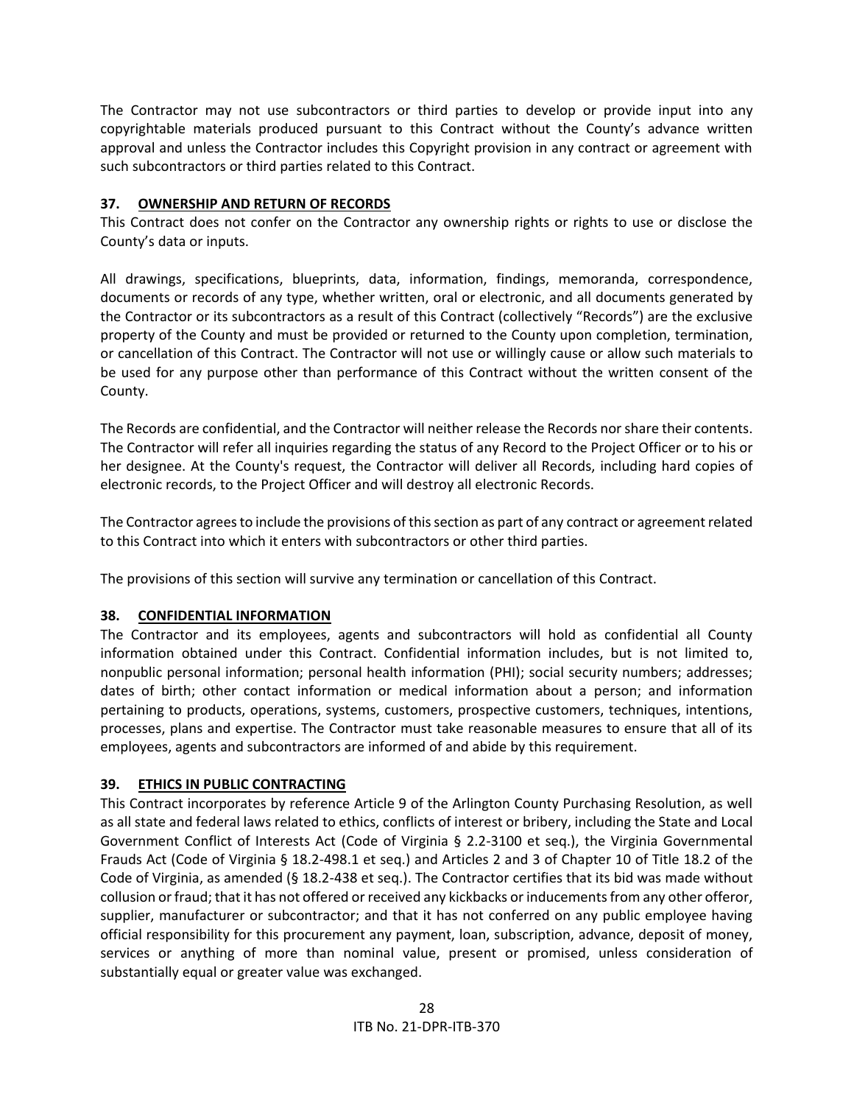The Contractor may not use subcontractors or third parties to develop or provide input into any copyrightable materials produced pursuant to this Contract without the County's advance written approval and unless the Contractor includes this Copyright provision in any contract or agreement with such subcontractors or third parties related to this Contract.

# **37. OWNERSHIP AND RETURN OF RECORDS**

This Contract does not confer on the Contractor any ownership rights or rights to use or disclose the County's data or inputs.

All drawings, specifications, blueprints, data, information, findings, memoranda, correspondence, documents or records of any type, whether written, oral or electronic, and all documents generated by the Contractor or its subcontractors as a result of this Contract (collectively "Records") are the exclusive property of the County and must be provided or returned to the County upon completion, termination, or cancellation of this Contract. The Contractor will not use or willingly cause or allow such materials to be used for any purpose other than performance of this Contract without the written consent of the County.

The Records are confidential, and the Contractor will neither release the Records norshare their contents. The Contractor will refer all inquiries regarding the status of any Record to the Project Officer or to his or her designee. At the County's request, the Contractor will deliver all Records, including hard copies of electronic records, to the Project Officer and will destroy all electronic Records.

The Contractor agrees to include the provisions of this section as part of any contract or agreementrelated to this Contract into which it enters with subcontractors or other third parties.

The provisions of this section will survive any termination or cancellation of this Contract.

## **38. CONFIDENTIAL INFORMATION**

The Contractor and its employees, agents and subcontractors will hold as confidential all County information obtained under this Contract. Confidential information includes, but is not limited to, nonpublic personal information; personal health information (PHI); social security numbers; addresses; dates of birth; other contact information or medical information about a person; and information pertaining to products, operations, systems, customers, prospective customers, techniques, intentions, processes, plans and expertise. The Contractor must take reasonable measures to ensure that all of its employees, agents and subcontractors are informed of and abide by this requirement.

## **39. ETHICS IN PUBLIC CONTRACTING**

This Contract incorporates by reference Article 9 of the Arlington County Purchasing Resolution, as well as all state and federal laws related to ethics, conflicts of interest or bribery, including the State and Local Government Conflict of Interests Act (Code of Virginia § 2.2-3100 et seq.), the Virginia Governmental Frauds Act (Code of Virginia § 18.2-498.1 et seq.) and Articles 2 and 3 of Chapter 10 of Title 18.2 of the Code of Virginia, as amended (§ 18.2-438 et seq.). The Contractor certifies that its bid was made without collusion or fraud; that it has not offered or received any kickbacks or inducements from any other offeror, supplier, manufacturer or subcontractor; and that it has not conferred on any public employee having official responsibility for this procurement any payment, loan, subscription, advance, deposit of money, services or anything of more than nominal value, present or promised, unless consideration of substantially equal or greater value was exchanged.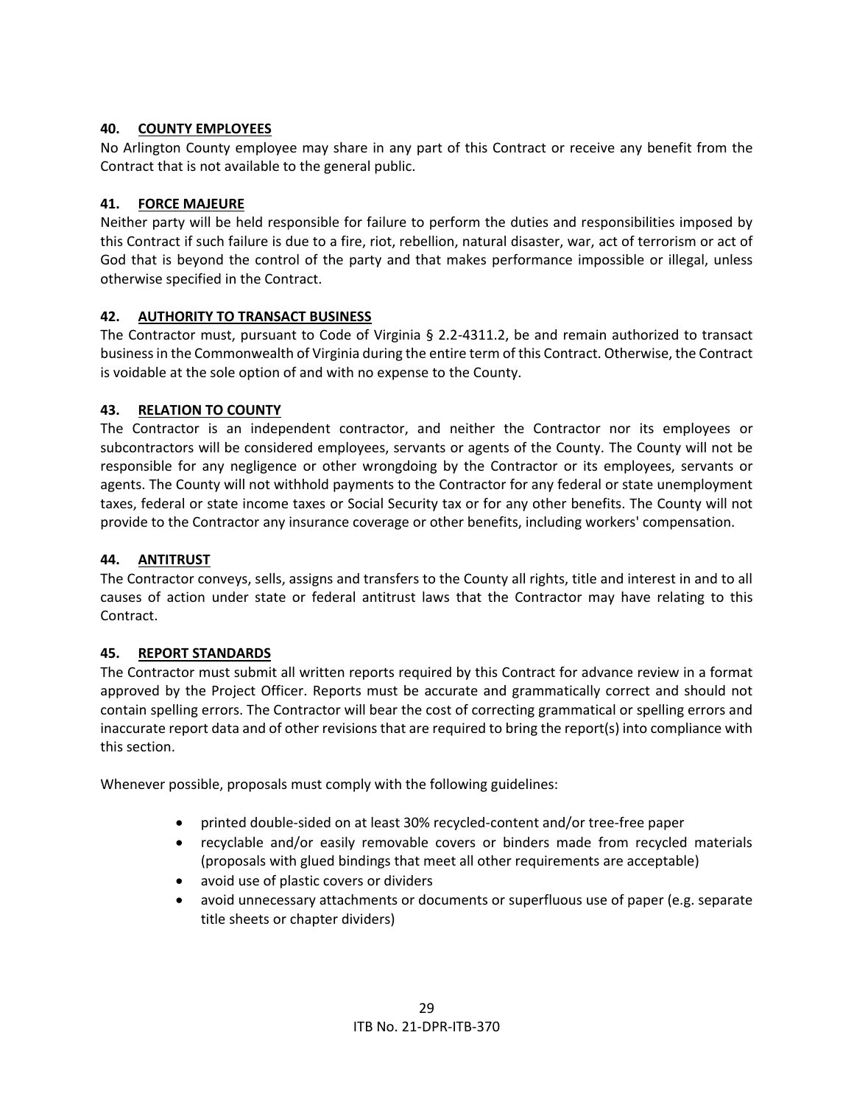#### **40. COUNTY EMPLOYEES**

No Arlington County employee may share in any part of this Contract or receive any benefit from the Contract that is not available to the general public.

#### **41. FORCE MAJEURE**

Neither party will be held responsible for failure to perform the duties and responsibilities imposed by this Contract if such failure is due to a fire, riot, rebellion, natural disaster, war, act of terrorism or act of God that is beyond the control of the party and that makes performance impossible or illegal, unless otherwise specified in the Contract.

#### **42. AUTHORITY TO TRANSACT BUSINESS**

The Contractor must, pursuant to Code of Virginia § 2.2-4311.2, be and remain authorized to transact business in the Commonwealth of Virginia during the entire term of this Contract. Otherwise, the Contract is voidable at the sole option of and with no expense to the County.

#### **43. RELATION TO COUNTY**

The Contractor is an independent contractor, and neither the Contractor nor its employees or subcontractors will be considered employees, servants or agents of the County. The County will not be responsible for any negligence or other wrongdoing by the Contractor or its employees, servants or agents. The County will not withhold payments to the Contractor for any federal or state unemployment taxes, federal or state income taxes or Social Security tax or for any other benefits. The County will not provide to the Contractor any insurance coverage or other benefits, including workers' compensation.

#### **44. ANTITRUST**

The Contractor conveys, sells, assigns and transfers to the County all rights, title and interest in and to all causes of action under state or federal antitrust laws that the Contractor may have relating to this Contract.

#### **45. REPORT STANDARDS**

The Contractor must submit all written reports required by this Contract for advance review in a format approved by the Project Officer. Reports must be accurate and grammatically correct and should not contain spelling errors. The Contractor will bear the cost of correcting grammatical or spelling errors and inaccurate report data and of other revisions that are required to bring the report(s) into compliance with this section.

Whenever possible, proposals must comply with the following guidelines:

- printed double-sided on at least 30% recycled-content and/or tree-free paper
- recyclable and/or easily removable covers or binders made from recycled materials (proposals with glued bindings that meet all other requirements are acceptable)
- avoid use of plastic covers or dividers
- avoid unnecessary attachments or documents or superfluous use of paper (e.g. separate title sheets or chapter dividers)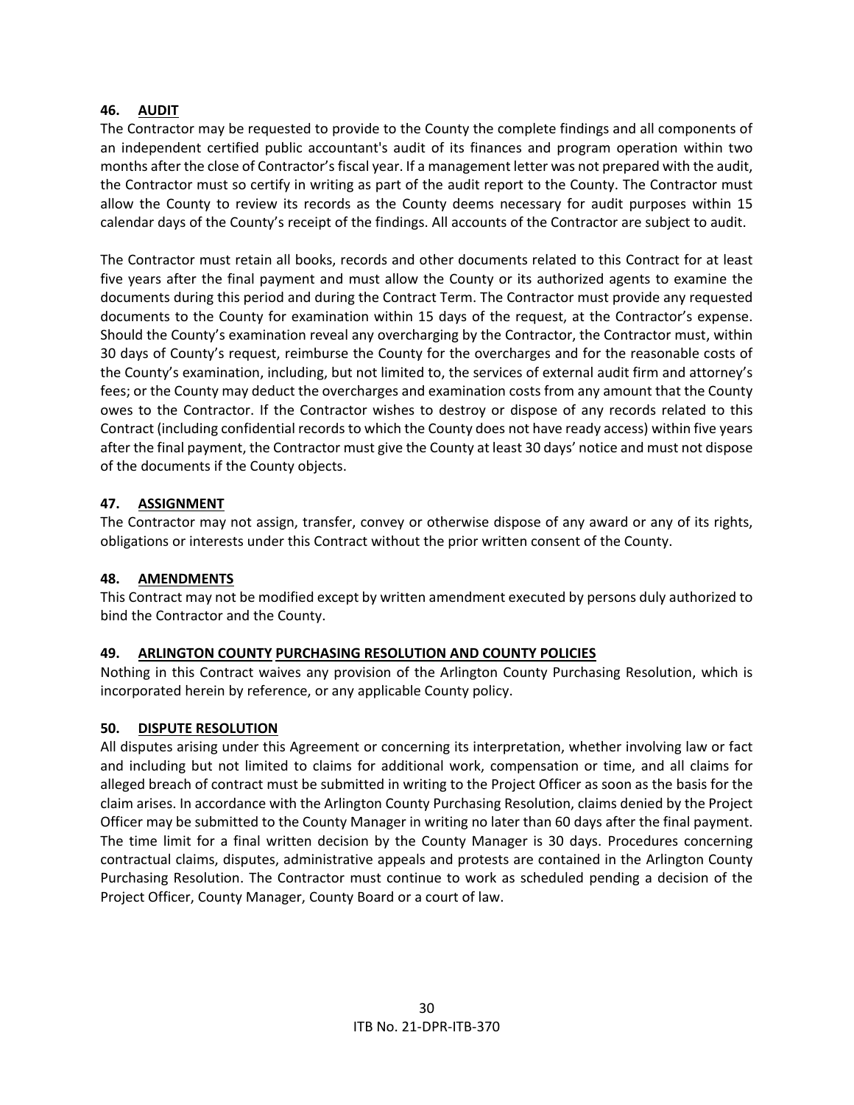#### **46. AUDIT**

The Contractor may be requested to provide to the County the complete findings and all components of an independent certified public accountant's audit of its finances and program operation within two months after the close of Contractor's fiscal year. If a management letter was not prepared with the audit, the Contractor must so certify in writing as part of the audit report to the County. The Contractor must allow the County to review its records as the County deems necessary for audit purposes within 15 calendar days of the County's receipt of the findings. All accounts of the Contractor are subject to audit.

The Contractor must retain all books, records and other documents related to this Contract for at least five years after the final payment and must allow the County or its authorized agents to examine the documents during this period and during the Contract Term. The Contractor must provide any requested documents to the County for examination within 15 days of the request, at the Contractor's expense. Should the County's examination reveal any overcharging by the Contractor, the Contractor must, within 30 days of County's request, reimburse the County for the overcharges and for the reasonable costs of the County's examination, including, but not limited to, the services of external audit firm and attorney's fees; or the County may deduct the overcharges and examination costs from any amount that the County owes to the Contractor. If the Contractor wishes to destroy or dispose of any records related to this Contract (including confidential records to which the County does not have ready access) within five years after the final payment, the Contractor must give the County at least 30 days' notice and must not dispose of the documents if the County objects.

## **47. ASSIGNMENT**

The Contractor may not assign, transfer, convey or otherwise dispose of any award or any of its rights, obligations or interests under this Contract without the prior written consent of the County.

## **48. AMENDMENTS**

This Contract may not be modified except by written amendment executed by persons duly authorized to bind the Contractor and the County.

#### **49. ARLINGTON COUNTY PURCHASING RESOLUTION AND COUNTY POLICIES**

Nothing in this Contract waives any provision of the Arlington County Purchasing Resolution, which is incorporated herein by reference, or any applicable County policy.

#### **50. DISPUTE RESOLUTION**

All disputes arising under this Agreement or concerning its interpretation, whether involving law or fact and including but not limited to claims for additional work, compensation or time, and all claims for alleged breach of contract must be submitted in writing to the Project Officer as soon as the basis for the claim arises. In accordance with the Arlington County Purchasing Resolution, claims denied by the Project Officer may be submitted to the County Manager in writing no later than 60 days after the final payment. The time limit for a final written decision by the County Manager is 30 days. Procedures concerning contractual claims, disputes, administrative appeals and protests are contained in the Arlington County Purchasing Resolution. The Contractor must continue to work as scheduled pending a decision of the Project Officer, County Manager, County Board or a court of law.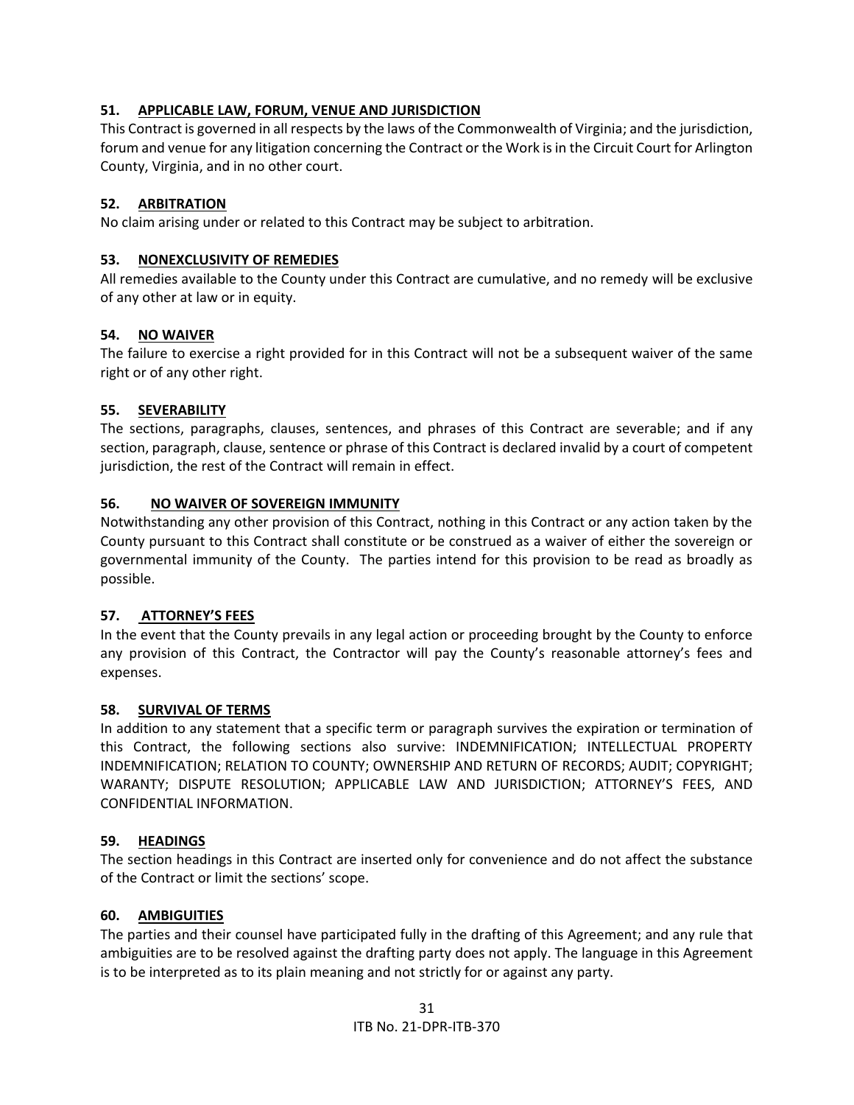#### **51. APPLICABLE LAW, FORUM, VENUE AND JURISDICTION**

This Contract is governed in all respects by the laws of the Commonwealth of Virginia; and the jurisdiction, forum and venue for any litigation concerning the Contract or the Work is in the Circuit Court for Arlington County, Virginia, and in no other court.

#### **52. ARBITRATION**

No claim arising under or related to this Contract may be subject to arbitration.

#### **53. NONEXCLUSIVITY OF REMEDIES**

All remedies available to the County under this Contract are cumulative, and no remedy will be exclusive of any other at law or in equity.

#### **54. NO WAIVER**

The failure to exercise a right provided for in this Contract will not be a subsequent waiver of the same right or of any other right.

#### **55. SEVERABILITY**

The sections, paragraphs, clauses, sentences, and phrases of this Contract are severable; and if any section, paragraph, clause, sentence or phrase of this Contract is declared invalid by a court of competent jurisdiction, the rest of the Contract will remain in effect.

#### **56. NO WAIVER OF SOVEREIGN IMMUNITY**

Notwithstanding any other provision of this Contract, nothing in this Contract or any action taken by the County pursuant to this Contract shall constitute or be construed as a waiver of either the sovereign or governmental immunity of the County. The parties intend for this provision to be read as broadly as possible.

#### **57. ATTORNEY'S FEES**

In the event that the County prevails in any legal action or proceeding brought by the County to enforce any provision of this Contract, the Contractor will pay the County's reasonable attorney's fees and expenses.

#### **58. SURVIVAL OF TERMS**

In addition to any statement that a specific term or paragraph survives the expiration or termination of this Contract, the following sections also survive: INDEMNIFICATION; INTELLECTUAL PROPERTY INDEMNIFICATION; RELATION TO COUNTY; OWNERSHIP AND RETURN OF RECORDS; AUDIT; COPYRIGHT; WARANTY; DISPUTE RESOLUTION; APPLICABLE LAW AND JURISDICTION; ATTORNEY'S FEES, AND CONFIDENTIAL INFORMATION.

## **59. HEADINGS**

The section headings in this Contract are inserted only for convenience and do not affect the substance of the Contract or limit the sections' scope.

#### **60. AMBIGUITIES**

The parties and their counsel have participated fully in the drafting of this Agreement; and any rule that ambiguities are to be resolved against the drafting party does not apply. The language in this Agreement is to be interpreted as to its plain meaning and not strictly for or against any party.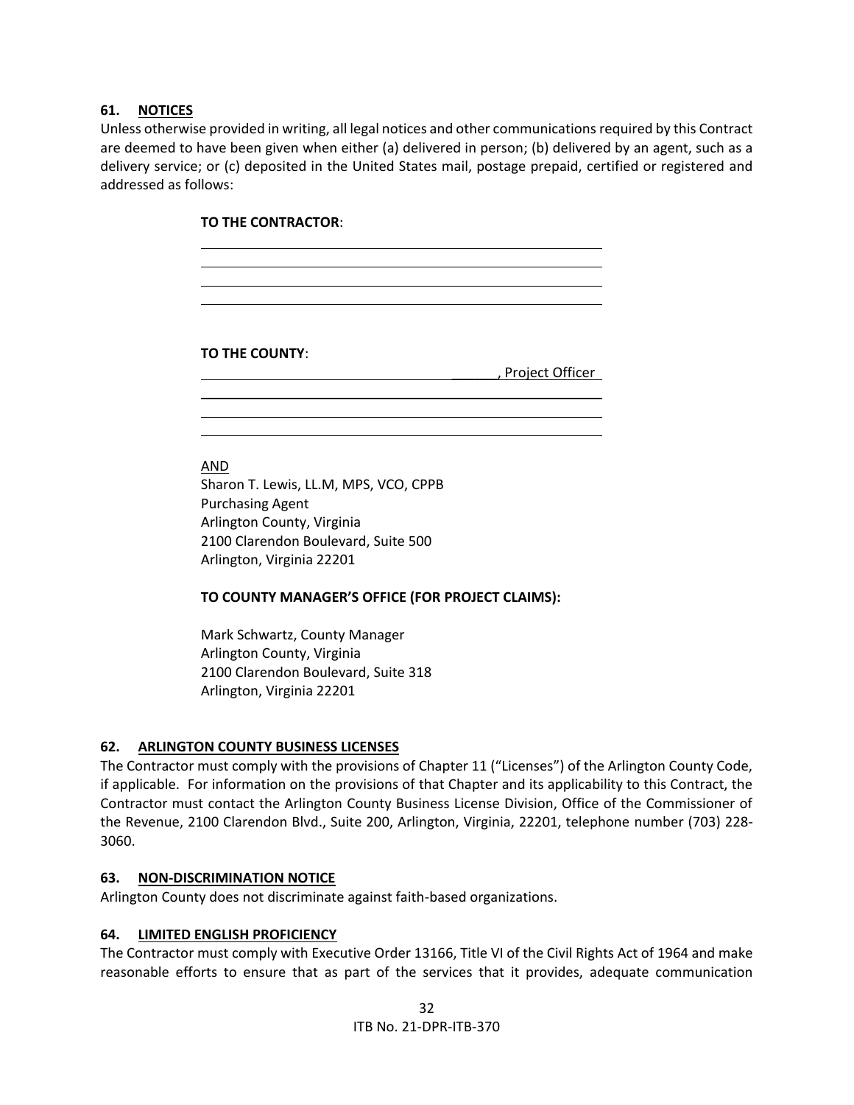#### **61. NOTICES**

Unless otherwise provided in writing, all legal notices and other communications required by this Contract are deemed to have been given when either (a) delivered in person; (b) delivered by an agent, such as a delivery service; or (c) deposited in the United States mail, postage prepaid, certified or registered and addressed as follows:

# **TO THE CONTRACTOR**: **TO THE COUNTY**: \_\_\_\_\_\_, Project Officer AND Sharon T. Lewis, LL.M, MPS, VCO, CPPB

Purchasing Agent Arlington County, Virginia 2100 Clarendon Boulevard, Suite 500 Arlington, Virginia 22201

## **TO COUNTY MANAGER'S OFFICE (FOR PROJECT CLAIMS):**

Mark Schwartz, County Manager Arlington County, Virginia 2100 Clarendon Boulevard, Suite 318 Arlington, Virginia 22201

#### **62. ARLINGTON COUNTY BUSINESS LICENSES**

The Contractor must comply with the provisions of Chapter 11 ("Licenses") of the Arlington County Code, if applicable. For information on the provisions of that Chapter and its applicability to this Contract, the Contractor must contact the Arlington County Business License Division, Office of the Commissioner of the Revenue, 2100 Clarendon Blvd., Suite 200, Arlington, Virginia, 22201, telephone number (703) 228- 3060.

#### **63. NON-DISCRIMINATION NOTICE**

Arlington County does not discriminate against faith-based organizations.

#### **64. LIMITED ENGLISH PROFICIENCY**

The Contractor must comply with Executive Order 13166, Title VI of the Civil Rights Act of 1964 and make reasonable efforts to ensure that as part of the services that it provides, adequate communication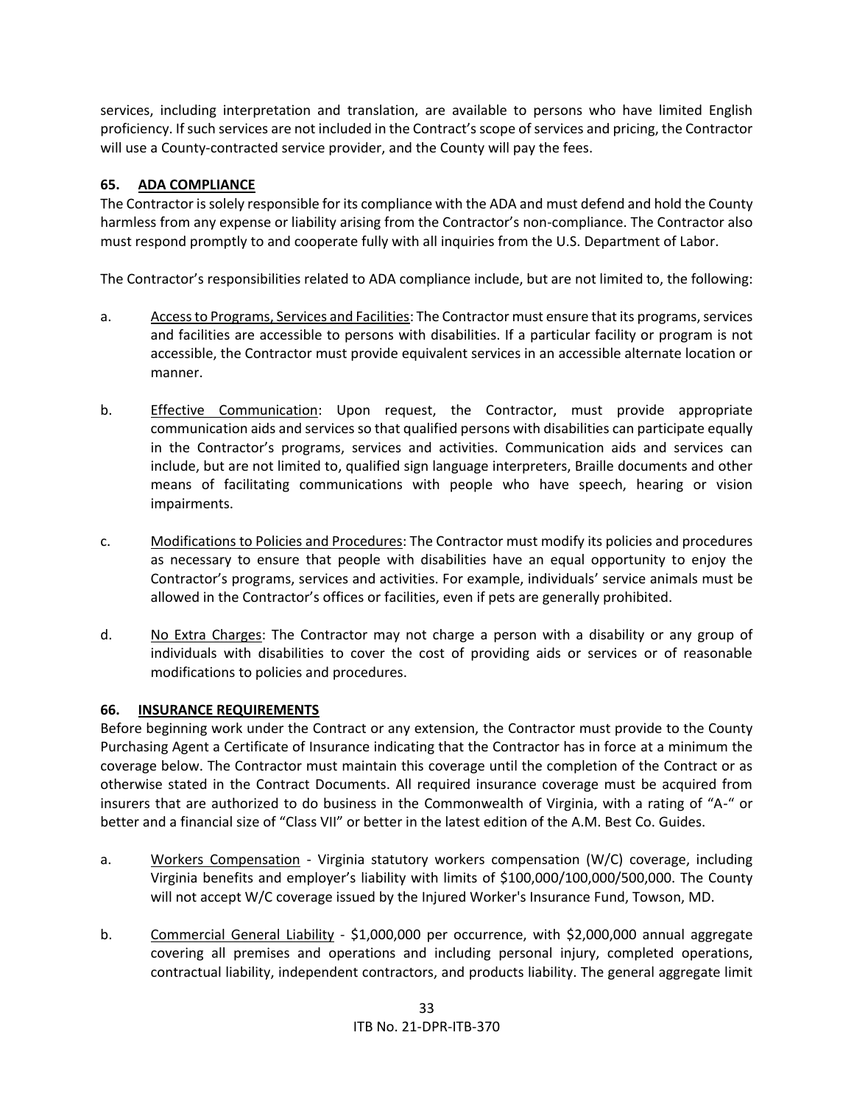services, including interpretation and translation, are available to persons who have limited English proficiency. If such services are not included in the Contract's scope of services and pricing, the Contractor will use a County-contracted service provider, and the County will pay the fees.

# **65. ADA COMPLIANCE**

The Contractor is solely responsible for its compliance with the ADA and must defend and hold the County harmless from any expense or liability arising from the Contractor's non-compliance. The Contractor also must respond promptly to and cooperate fully with all inquiries from the U.S. Department of Labor.

The Contractor's responsibilities related to ADA compliance include, but are not limited to, the following:

- a. Access to Programs, Services and Facilities: The Contractor must ensure that its programs, services and facilities are accessible to persons with disabilities. If a particular facility or program is not accessible, the Contractor must provide equivalent services in an accessible alternate location or manner.
- b. Effective Communication: Upon request, the Contractor, must provide appropriate communication aids and services so that qualified persons with disabilities can participate equally in the Contractor's programs, services and activities. Communication aids and services can include, but are not limited to, qualified sign language interpreters, Braille documents and other means of facilitating communications with people who have speech, hearing or vision impairments.
- c. Modifications to Policies and Procedures: The Contractor must modify its policies and procedures as necessary to ensure that people with disabilities have an equal opportunity to enjoy the Contractor's programs, services and activities. For example, individuals' service animals must be allowed in the Contractor's offices or facilities, even if pets are generally prohibited.
- d. No Extra Charges: The Contractor may not charge a person with a disability or any group of individuals with disabilities to cover the cost of providing aids or services or of reasonable modifications to policies and procedures.

## **66. INSURANCE REQUIREMENTS**

Before beginning work under the Contract or any extension, the Contractor must provide to the County Purchasing Agent a Certificate of Insurance indicating that the Contractor has in force at a minimum the coverage below. The Contractor must maintain this coverage until the completion of the Contract or as otherwise stated in the Contract Documents. All required insurance coverage must be acquired from insurers that are authorized to do business in the Commonwealth of Virginia, with a rating of "A-" or better and a financial size of "Class VII" or better in the latest edition of the A.M. Best Co. Guides.

- a. Workers Compensation Virginia statutory workers compensation (W/C) coverage, including Virginia benefits and employer's liability with limits of \$100,000/100,000/500,000. The County will not accept W/C coverage issued by the Injured Worker's Insurance Fund, Towson, MD.
- b. Commercial General Liability \$1,000,000 per occurrence, with \$2,000,000 annual aggregate covering all premises and operations and including personal injury, completed operations, contractual liability, independent contractors, and products liability. The general aggregate limit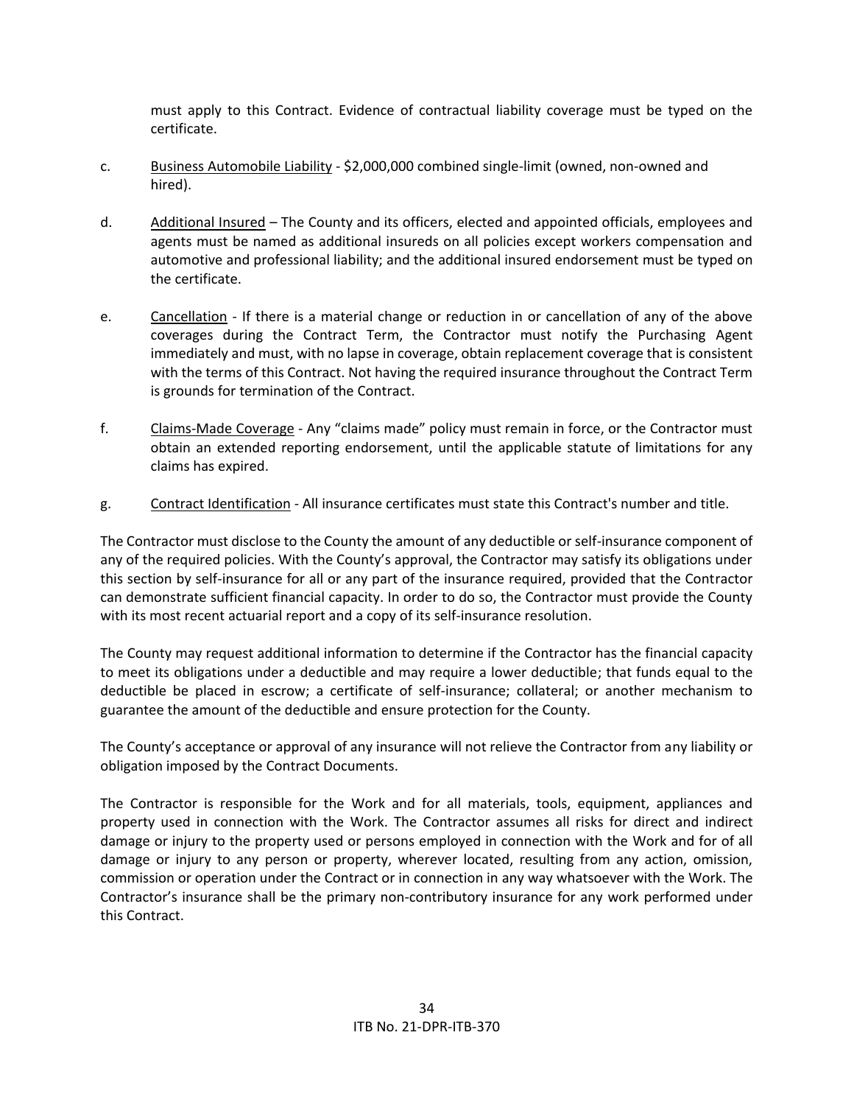must apply to this Contract. Evidence of contractual liability coverage must be typed on the certificate.

- c. Business Automobile Liability \$2,000,000 combined single-limit (owned, non-owned and hired).
- d. Additional Insured The County and its officers, elected and appointed officials, employees and agents must be named as additional insureds on all policies except workers compensation and automotive and professional liability; and the additional insured endorsement must be typed on the certificate.
- e. Cancellation If there is a material change or reduction in or cancellation of any of the above coverages during the Contract Term, the Contractor must notify the Purchasing Agent immediately and must, with no lapse in coverage, obtain replacement coverage that is consistent with the terms of this Contract. Not having the required insurance throughout the Contract Term is grounds for termination of the Contract.
- f. Claims-Made Coverage Any "claims made" policy must remain in force, or the Contractor must obtain an extended reporting endorsement, until the applicable statute of limitations for any claims has expired.
- g. Contract Identification All insurance certificates must state this Contract's number and title.

The Contractor must disclose to the County the amount of any deductible or self-insurance component of any of the required policies. With the County's approval, the Contractor may satisfy its obligations under this section by self-insurance for all or any part of the insurance required, provided that the Contractor can demonstrate sufficient financial capacity. In order to do so, the Contractor must provide the County with its most recent actuarial report and a copy of its self-insurance resolution.

The County may request additional information to determine if the Contractor has the financial capacity to meet its obligations under a deductible and may require a lower deductible; that funds equal to the deductible be placed in escrow; a certificate of self-insurance; collateral; or another mechanism to guarantee the amount of the deductible and ensure protection for the County.

The County's acceptance or approval of any insurance will not relieve the Contractor from any liability or obligation imposed by the Contract Documents.

The Contractor is responsible for the Work and for all materials, tools, equipment, appliances and property used in connection with the Work. The Contractor assumes all risks for direct and indirect damage or injury to the property used or persons employed in connection with the Work and for of all damage or injury to any person or property, wherever located, resulting from any action, omission, commission or operation under the Contract or in connection in any way whatsoever with the Work. The Contractor's insurance shall be the primary non-contributory insurance for any work performed under this Contract.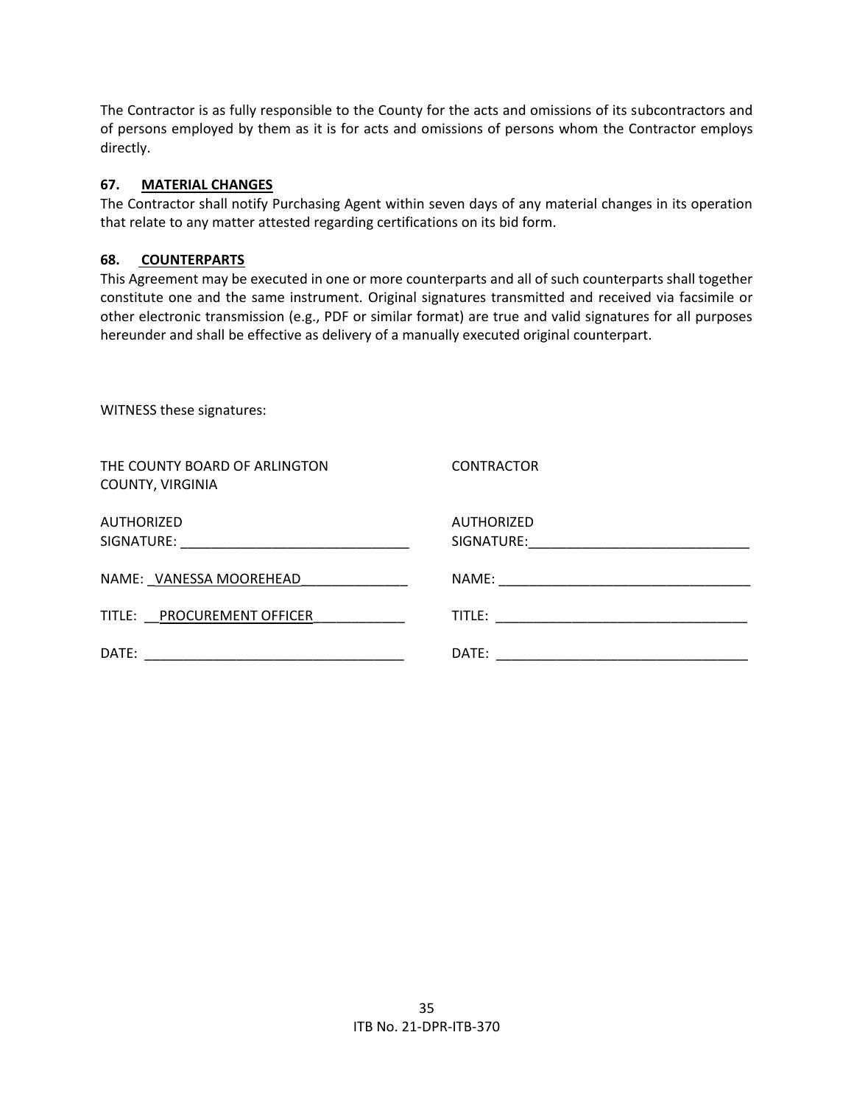The Contractor is as fully responsible to the County for the acts and omissions of its subcontractors and of persons employed by them as it is for acts and omissions of persons whom the Contractor employs directly.

#### **67. MATERIAL CHANGES**

The Contractor shall notify Purchasing Agent within seven days of any material changes in its operation that relate to any matter attested regarding certifications on its bid form.

#### **68. COUNTERPARTS**

This Agreement may be executed in one or more counterparts and all of such counterparts shall together constitute one and the same instrument. Original signatures transmitted and received via facsimile or other electronic transmission (e.g., PDF or similar format) are true and valid signatures for all purposes hereunder and shall be effective as delivery of a manually executed original counterpart.

| WITNESS these signatures:                         |                   |
|---------------------------------------------------|-------------------|
| THE COUNTY BOARD OF ARLINGTON<br>COUNTY, VIRGINIA | <b>CONTRACTOR</b> |
| AUTHORIZED                                        | <b>AUTHORIZED</b> |
| NAME: VANESSA MOOREHEAD                           |                   |
| TITLE: PROCUREMENT OFFICER                        |                   |
| DATE:                                             | DATE:             |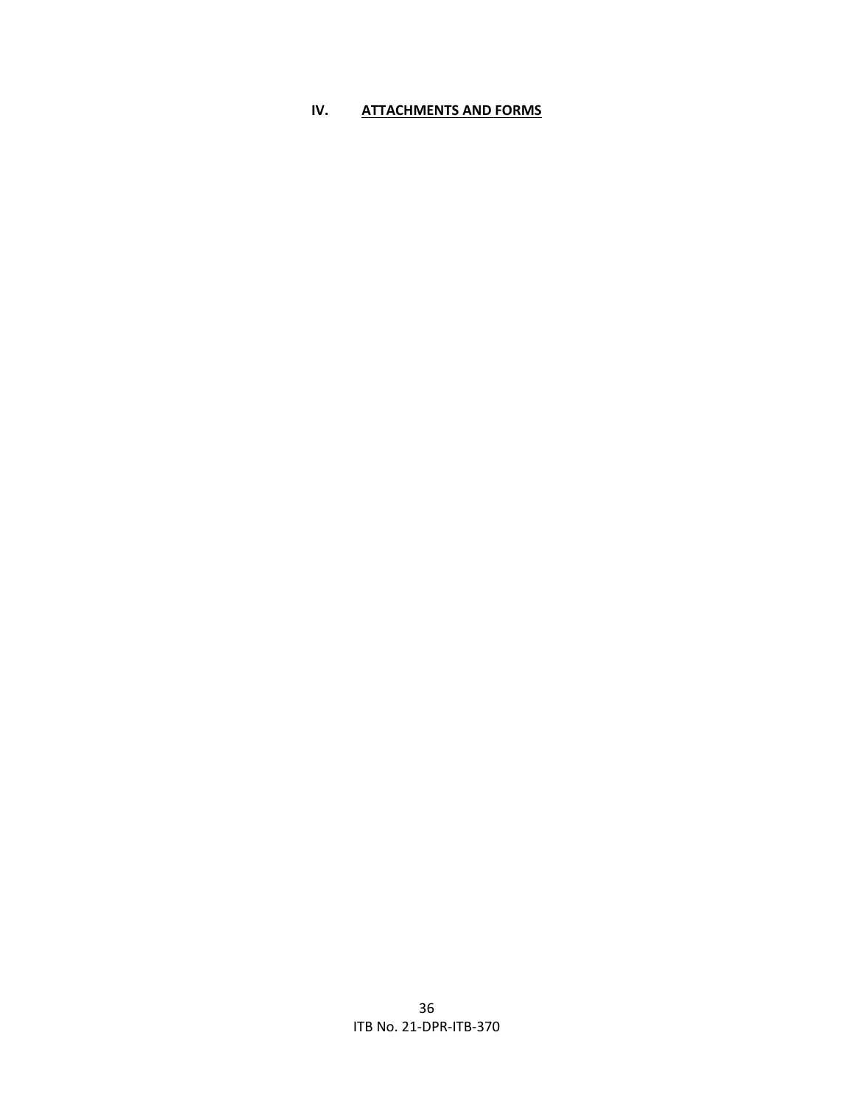# <span id="page-35-0"></span>**IV. ATTACHMENTS AND FORMS**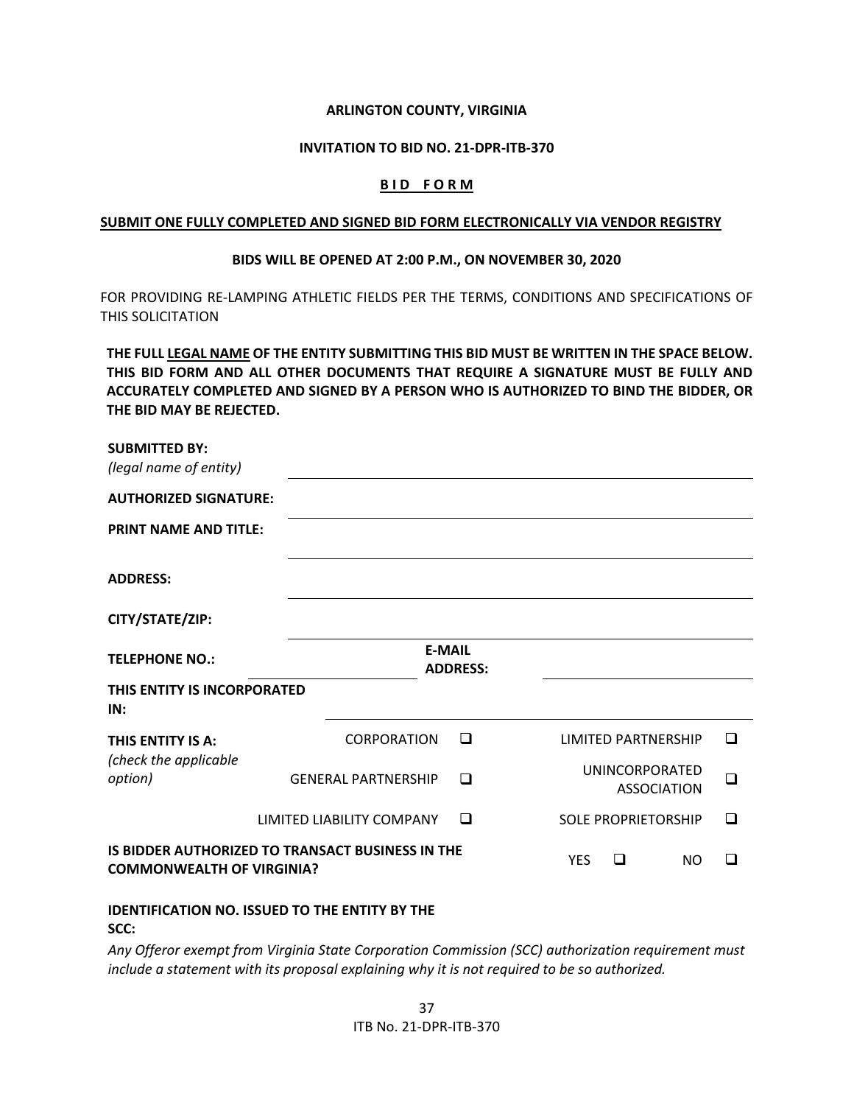#### **ARLINGTON COUNTY, VIRGINIA**

#### **INVITATION TO BID NO. 21-DPR-ITB-370**

#### **B I D F O R M**

#### <span id="page-36-0"></span>**SUBMIT ONE FULLY COMPLETED AND SIGNED BID FORM ELECTRONICALLY VIA VENDOR REGISTRY**

#### **BIDS WILL BE OPENED AT 2:00 P.M., ON NOVEMBER 30, 2020**

FOR PROVIDING RE-LAMPING ATHLETIC FIELDS PER THE TERMS, CONDITIONS AND SPECIFICATIONS OF THIS SOLICITATION

**THE FULL LEGAL NAME OF THE ENTITY SUBMITTING THIS BID MUST BE WRITTEN IN THE SPACE BELOW. THIS BID FORM AND ALL OTHER DOCUMENTS THAT REQUIRE A SIGNATURE MUST BE FULLY AND ACCURATELY COMPLETED AND SIGNED BY A PERSON WHO IS AUTHORIZED TO BIND THE BIDDER, OR THE BID MAY BE REJECTED.**

| <b>SUBMITTED BY:</b><br>(legal name of entity) |                                                  |                                             |   |
|------------------------------------------------|--------------------------------------------------|---------------------------------------------|---|
| <b>AUTHORIZED SIGNATURE:</b>                   |                                                  |                                             |   |
| <b>PRINT NAME AND TITLE:</b>                   |                                                  |                                             |   |
| <b>ADDRESS:</b>                                |                                                  |                                             |   |
| CITY/STATE/ZIP:                                |                                                  |                                             |   |
| <b>TELEPHONE NO.:</b>                          | <b>E-MAIL</b><br><b>ADDRESS:</b>                 |                                             |   |
| THIS ENTITY IS INCORPORATED<br>IN:             |                                                  |                                             |   |
| THIS ENTITY IS A:                              | <b>CORPORATION</b><br>◻                          | <b>LIMITED PARTNERSHIP</b>                  | □ |
| (check the applicable<br>option)               | <b>GENERAL PARTNERSHIP</b><br>$\Box$             | <b>UNINCORPORATED</b><br><b>ASSOCIATION</b> | ❏ |
|                                                | $\Box$<br>LIMITED LIABILITY COMPANY              | <b>SOLE PROPRIETORSHIP</b>                  | ◻ |
| <b>COMMONWEALTH OF VIRGINIA?</b>               | IS BIDDER AUTHORIZED TO TRANSACT BUSINESS IN THE | <b>YES</b><br>□<br>N <sub>O</sub>           | ◻ |

**IDENTIFICATION NO. ISSUED TO THE ENTITY BY THE SCC:**

*Any Offeror exempt from Virginia State Corporation Commission (SCC) authorization requirement must include a statement with its proposal explaining why it is not required to be so authorized.*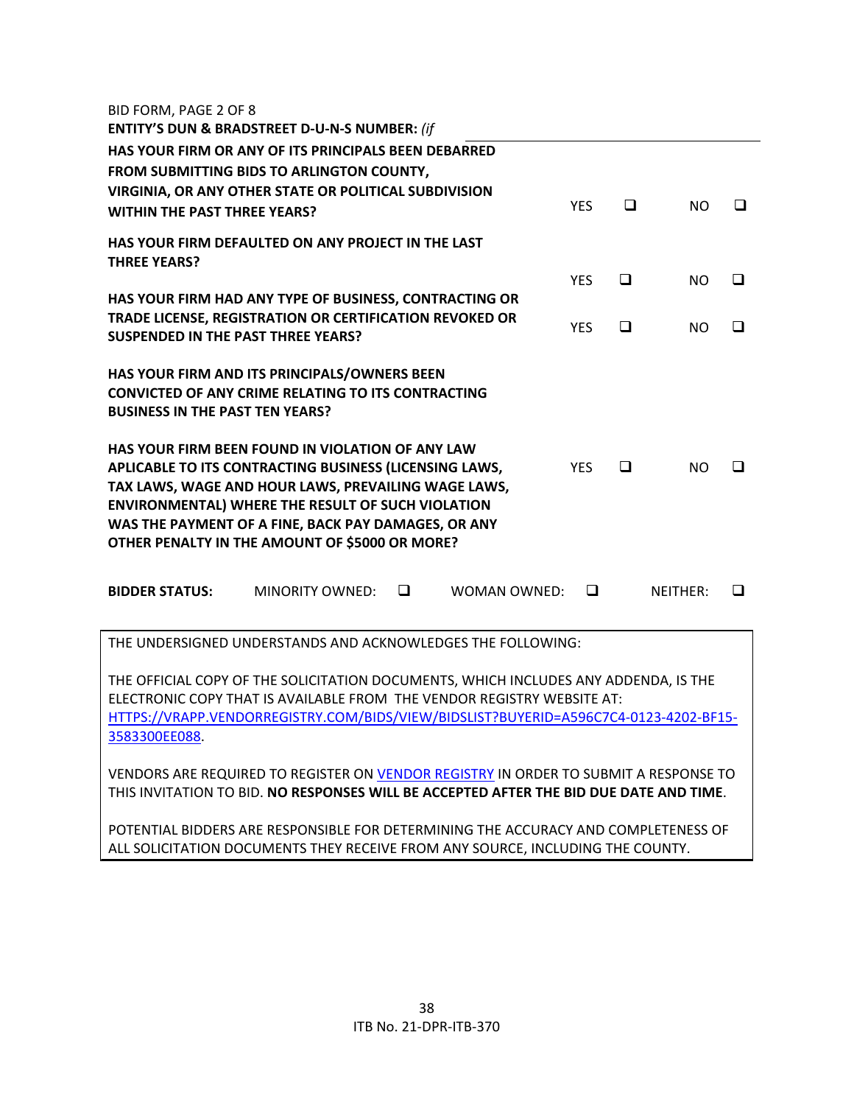| BID FORM, PAGE 2 OF 8<br>ENTITY'S DUN & BRADSTREET D-U-N-S NUMBER: (if                                                                                                                                                                                                                                                                 |                 |   |              |            |        |          |        |
|----------------------------------------------------------------------------------------------------------------------------------------------------------------------------------------------------------------------------------------------------------------------------------------------------------------------------------------|-----------------|---|--------------|------------|--------|----------|--------|
| HAS YOUR FIRM OR ANY OF ITS PRINCIPALS BEEN DEBARRED<br>FROM SUBMITTING BIDS TO ARLINGTON COUNTY,<br>VIRGINIA, OR ANY OTHER STATE OR POLITICAL SUBDIVISION<br><b>WITHIN THE PAST THREE YEARS?</b>                                                                                                                                      |                 |   |              | <b>YES</b> | $\Box$ | NO.      | □      |
| HAS YOUR FIRM DEFAULTED ON ANY PROJECT IN THE LAST<br><b>THREE YEARS?</b>                                                                                                                                                                                                                                                              |                 |   |              |            |        |          |        |
| HAS YOUR FIRM HAD ANY TYPE OF BUSINESS, CONTRACTING OR                                                                                                                                                                                                                                                                                 |                 |   |              | <b>YES</b> | $\Box$ | NO.      | $\Box$ |
| TRADE LICENSE, REGISTRATION OR CERTIFICATION REVOKED OR<br><b>SUSPENDED IN THE PAST THREE YEARS?</b>                                                                                                                                                                                                                                   |                 |   |              | <b>YES</b> | □      | NO.      | ◻      |
| HAS YOUR FIRM AND ITS PRINCIPALS/OWNERS BEEN<br><b>CONVICTED OF ANY CRIME RELATING TO ITS CONTRACTING</b><br><b>BUSINESS IN THE PAST TEN YEARS?</b>                                                                                                                                                                                    |                 |   |              |            |        |          |        |
| HAS YOUR FIRM BEEN FOUND IN VIOLATION OF ANY LAW<br>APLICABLE TO ITS CONTRACTING BUSINESS (LICENSING LAWS,<br>TAX LAWS, WAGE AND HOUR LAWS, PREVAILING WAGE LAWS,<br><b>ENVIRONMENTAL) WHERE THE RESULT OF SUCH VIOLATION</b><br>WAS THE PAYMENT OF A FINE, BACK PAY DAMAGES, OR ANY<br>OTHER PENALTY IN THE AMOUNT OF \$5000 OR MORE? |                 |   |              | <b>YES</b> | □      | NO.      | $\Box$ |
| <b>BIDDER STATUS:</b>                                                                                                                                                                                                                                                                                                                  | MINORITY OWNED: | □ | WOMAN OWNED: | □          |        | NEITHER: | □      |
| THE UNDERSIGNED UNDERSTANDS AND ACKNOWLEDGES THE FOLLOWING:                                                                                                                                                                                                                                                                            |                 |   |              |            |        |          |        |
| THE OFFICIAL COPY OF THE SOLICITATION DOCUMENTS, WHICH INCLUDES ANY ADDENDA, IS THE<br>ELECTRONIC COPY THAT IS AVAILABLE FROM THE VENDOR REGISTRY WEBSITE AT:<br>HTTPS://VRAPP.VENDORREGISTRY.COM/BIDS/VIEW/BIDSLIST?BUYERID=A596C7C4-0123-4202-BF15-<br>3583300EE088.                                                                 |                 |   |              |            |        |          |        |
|                                                                                                                                                                                                                                                                                                                                        |                 |   |              |            |        |          |        |

VENDORS ARE REQUIRED TO REGISTER O[N VENDOR REGISTRY](https://vrapp.vendorregistry.com/Vendor/Register/Index/arlington-county-government-va-vendor-registration) IN ORDER TO SUBMIT A RESPONSE TO THIS INVITATION TO BID. **NO RESPONSES WILL BE ACCEPTED AFTER THE BID DUE DATE AND TIME**.

POTENTIAL BIDDERS ARE RESPONSIBLE FOR DETERMINING THE ACCURACY AND COMPLETENESS OF ALL SOLICITATION DOCUMENTS THEY RECEIVE FROM ANY SOURCE, INCLUDING THE COUNTY.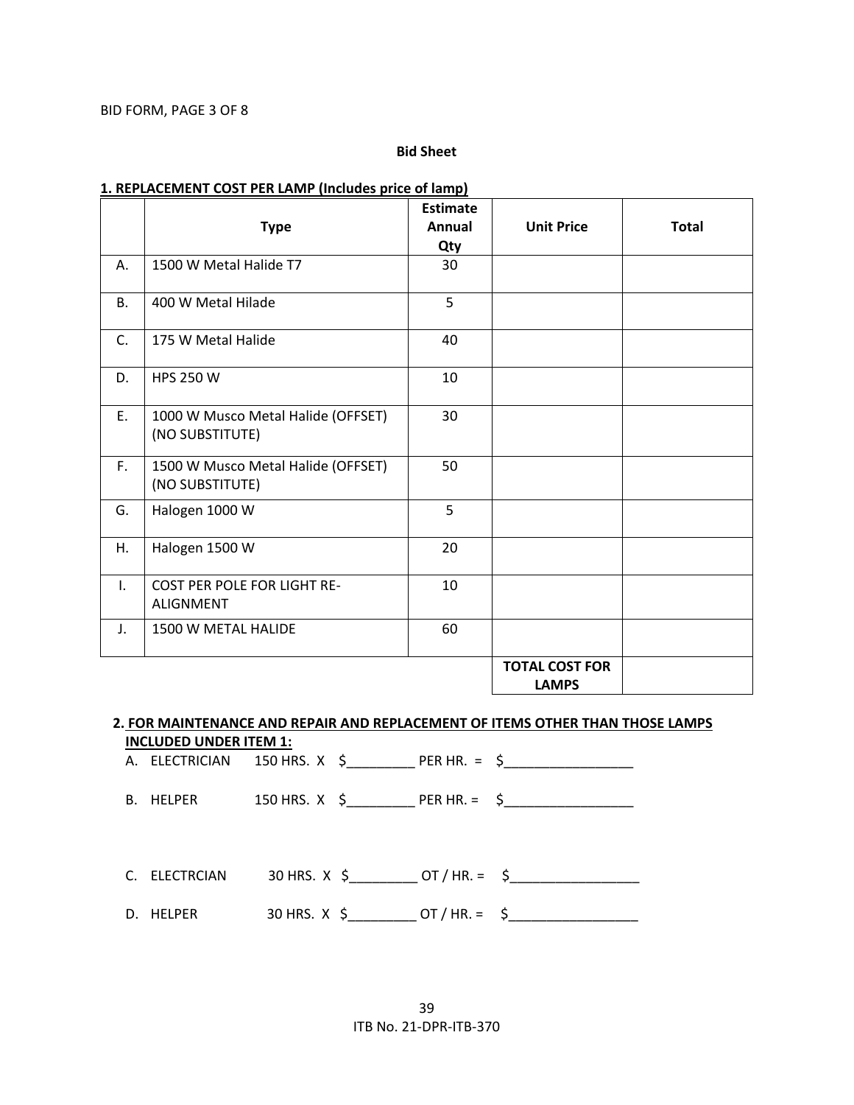#### **Bid Sheet**

|    | <u>monde of price or rempt</u>                         | <b>Estimate</b> |                                       |              |
|----|--------------------------------------------------------|-----------------|---------------------------------------|--------------|
|    | <b>Type</b>                                            | Annual          | <b>Unit Price</b>                     | <b>Total</b> |
|    |                                                        | Qty             |                                       |              |
| А. | 1500 W Metal Halide T7                                 | 30              |                                       |              |
| В. | 400 W Metal Hilade                                     | 5               |                                       |              |
| C. | 175 W Metal Halide                                     | 40              |                                       |              |
| D. | HPS 250 W                                              | 10              |                                       |              |
| E. | 1000 W Musco Metal Halide (OFFSET)<br>(NO SUBSTITUTE)  | 30              |                                       |              |
| F. | 1500 W Musco Metal Halide (OFFSET)<br>(NO SUBSTITUTE)  | 50              |                                       |              |
| G. | Halogen 1000 W                                         | 5               |                                       |              |
| Η. | Halogen 1500 W                                         | 20              |                                       |              |
| I. | <b>COST PER POLE FOR LIGHT RE-</b><br><b>ALIGNMENT</b> | 10              |                                       |              |
| J. | 1500 W METAL HALIDE                                    | 60              |                                       |              |
|    |                                                        |                 | <b>TOTAL COST FOR</b><br><b>LAMPS</b> |              |

#### **1. REPLACEMENT COST PER LAMP (Includes price of lamp)**

**2. FOR MAINTENANCE AND REPAIR AND REPLACEMENT OF ITEMS OTHER THAN THOSE LAMPS INCLUDED UNDER ITEM 1:**

|  |  | B. HELPER 150 HRS. X $\frac{2}{3}$ PER HR. = $\frac{2}{3}$  |
|--|--|-------------------------------------------------------------|
|  |  | C. ELECTRCIAN 30 HRS. $X \quad \xi$ OT / HR. = $\qquad \xi$ |
|  |  |                                                             |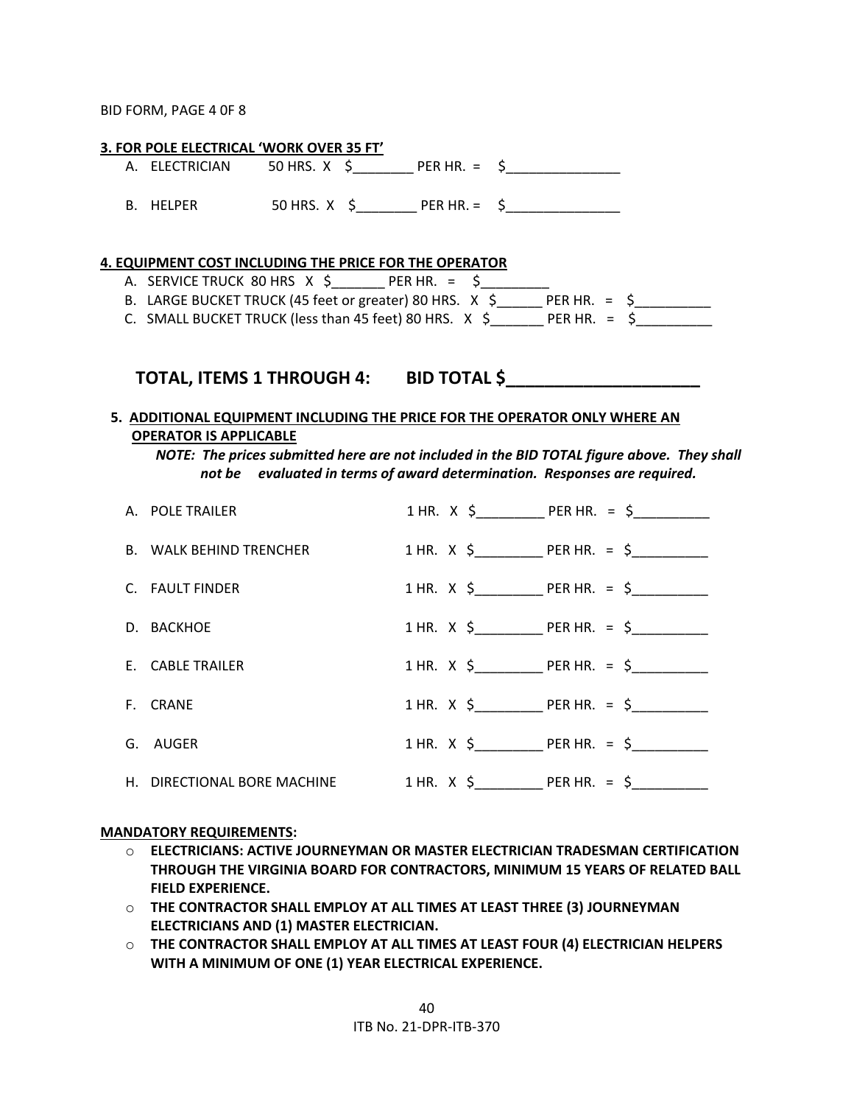BID FORM, PAGE 4 0F 8

| <b>3. FOR POLE ELECTRICAL 'WORK OVER 35 FT'</b>                                           |                                                                           |  |  |  |                                                                                            |
|-------------------------------------------------------------------------------------------|---------------------------------------------------------------------------|--|--|--|--------------------------------------------------------------------------------------------|
| A. ELECTRICIAN 50 HRS. X \$ __________ PER HR. = \$ ________________                      |                                                                           |  |  |  |                                                                                            |
| B. HELPER 50 HRS. X $\frac{6}{2}$ PER HR. = $\frac{6}{2}$                                 |                                                                           |  |  |  |                                                                                            |
| 4. EQUIPMENT COST INCLUDING THE PRICE FOR THE OPERATOR                                    |                                                                           |  |  |  |                                                                                            |
| A. SERVICE TRUCK 80 HRS X \$_______ PER HR. = \$______                                    |                                                                           |  |  |  |                                                                                            |
| B. LARGE BUCKET TRUCK (45 feet or greater) 80 HRS. X \$______ PER HR. = \$________        |                                                                           |  |  |  |                                                                                            |
| C. SMALL BUCKET TRUCK (less than 45 feet) 80 HRS. $X \S$ _______ PER HR. = $\S$ _________ |                                                                           |  |  |  |                                                                                            |
|                                                                                           |                                                                           |  |  |  |                                                                                            |
| TOTAL, ITEMS 1 THROUGH 4: BID TOTAL \$                                                    |                                                                           |  |  |  |                                                                                            |
|                                                                                           |                                                                           |  |  |  |                                                                                            |
| 5. ADDITIONAL EQUIPMENT INCLUDING THE PRICE FOR THE OPERATOR ONLY WHERE AN                |                                                                           |  |  |  |                                                                                            |
|                                                                                           |                                                                           |  |  |  |                                                                                            |
| <b>OPERATOR IS APPLICABLE</b>                                                             |                                                                           |  |  |  |                                                                                            |
|                                                                                           | not be evaluated in terms of award determination. Responses are required. |  |  |  | NOTE: The prices submitted here are not included in the BID TOTAL figure above. They shall |
| A. POLE TRAILER                                                                           |                                                                           |  |  |  |                                                                                            |
| <b>B. WALK BEHIND TRENCHER</b>                                                            |                                                                           |  |  |  | 1 HR. $X$ $\zeta$ PER HR. = $\zeta$                                                        |
| C. FAULT FINDER                                                                           |                                                                           |  |  |  | $1 \text{ HR.} \quad X \quad \text{S}$ PER HR. = $\text{S}$                                |
| D. BACKHOE                                                                                |                                                                           |  |  |  | 1 HR. $X \quad \xi$ PER HR. = $\zeta$                                                      |
| E. CABLE TRAILER                                                                          |                                                                           |  |  |  | 1 HR. $X \quad \xi$ PER HR. = $\zeta$                                                      |
| F. CRANE                                                                                  |                                                                           |  |  |  |                                                                                            |
| G. AUGER                                                                                  |                                                                           |  |  |  | 1 HR. $X$ $\zeta$ PER HR. = $\zeta$                                                        |

#### **MANDATORY REQUIREMENTS:**

- o **ELECTRICIANS: ACTIVE JOURNEYMAN OR MASTER ELECTRICIAN TRADESMAN CERTIFICATION THROUGH THE VIRGINIA BOARD FOR CONTRACTORS, MINIMUM 15 YEARS OF RELATED BALL FIELD EXPERIENCE.**
- o **THE CONTRACTOR SHALL EMPLOY AT ALL TIMES AT LEAST THREE (3) JOURNEYMAN ELECTRICIANS AND (1) MASTER ELECTRICIAN.**
- o **THE CONTRACTOR SHALL EMPLOY AT ALL TIMES AT LEAST FOUR (4) ELECTRICIAN HELPERS WITH A MINIMUM OF ONE (1) YEAR ELECTRICAL EXPERIENCE.**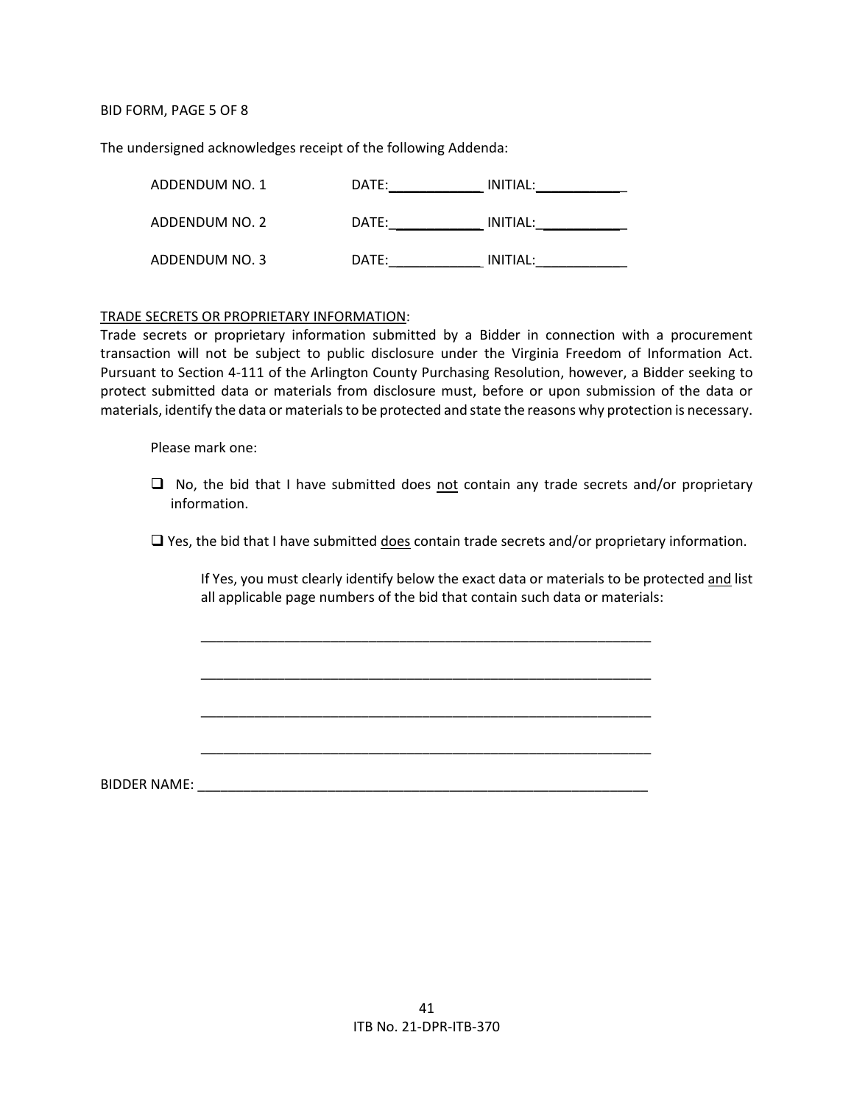#### BID FORM, PAGE 5 OF 8

The undersigned acknowledges receipt of the following Addenda:

| ADDENDUM NO. 1 | DATE: | INITIAL: |  |
|----------------|-------|----------|--|
| ADDENDUM NO. 2 | DATE: | INITIAL: |  |
| ADDENDUM NO. 3 | DATE: | INITIAL: |  |

#### TRADE SECRETS OR PROPRIETARY INFORMATION:

Trade secrets or proprietary information submitted by a Bidder in connection with a procurement transaction will not be subject to public disclosure under the Virginia Freedom of Information Act. Pursuant to Section 4-111 of the Arlington County Purchasing Resolution, however, a Bidder seeking to protect submitted data or materials from disclosure must, before or upon submission of the data or materials, identify the data or materials to be protected and state the reasons why protection is necessary.

Please mark one:

❑ No, the bid that I have submitted does not contain any trade secrets and/or proprietary information.

 $\square$  Yes, the bid that I have submitted does contain trade secrets and/or proprietary information.

\_\_\_\_\_\_\_\_\_\_\_\_\_\_\_\_\_\_\_\_\_\_\_\_\_\_\_\_\_\_\_\_\_\_\_\_\_\_\_\_\_\_\_\_\_\_\_\_\_\_\_\_\_\_\_\_\_\_\_

\_\_\_\_\_\_\_\_\_\_\_\_\_\_\_\_\_\_\_\_\_\_\_\_\_\_\_\_\_\_\_\_\_\_\_\_\_\_\_\_\_\_\_\_\_\_\_\_\_\_\_\_\_\_\_\_\_\_\_

\_\_\_\_\_\_\_\_\_\_\_\_\_\_\_\_\_\_\_\_\_\_\_\_\_\_\_\_\_\_\_\_\_\_\_\_\_\_\_\_\_\_\_\_\_\_\_\_\_\_\_\_\_\_\_\_\_\_\_

\_\_\_\_\_\_\_\_\_\_\_\_\_\_\_\_\_\_\_\_\_\_\_\_\_\_\_\_\_\_\_\_\_\_\_\_\_\_\_\_\_\_\_\_\_\_\_\_\_\_\_\_\_\_\_\_\_\_\_

If Yes, you must clearly identify below the exact data or materials to be protected and list all applicable page numbers of the bid that contain such data or materials:

BIDDER NAME: \_\_\_\_\_\_\_\_\_\_\_\_\_\_\_\_\_\_\_\_\_\_\_\_\_\_\_\_\_\_\_\_\_\_\_\_\_\_\_\_\_\_\_\_\_\_\_\_\_\_\_\_\_\_\_\_\_\_\_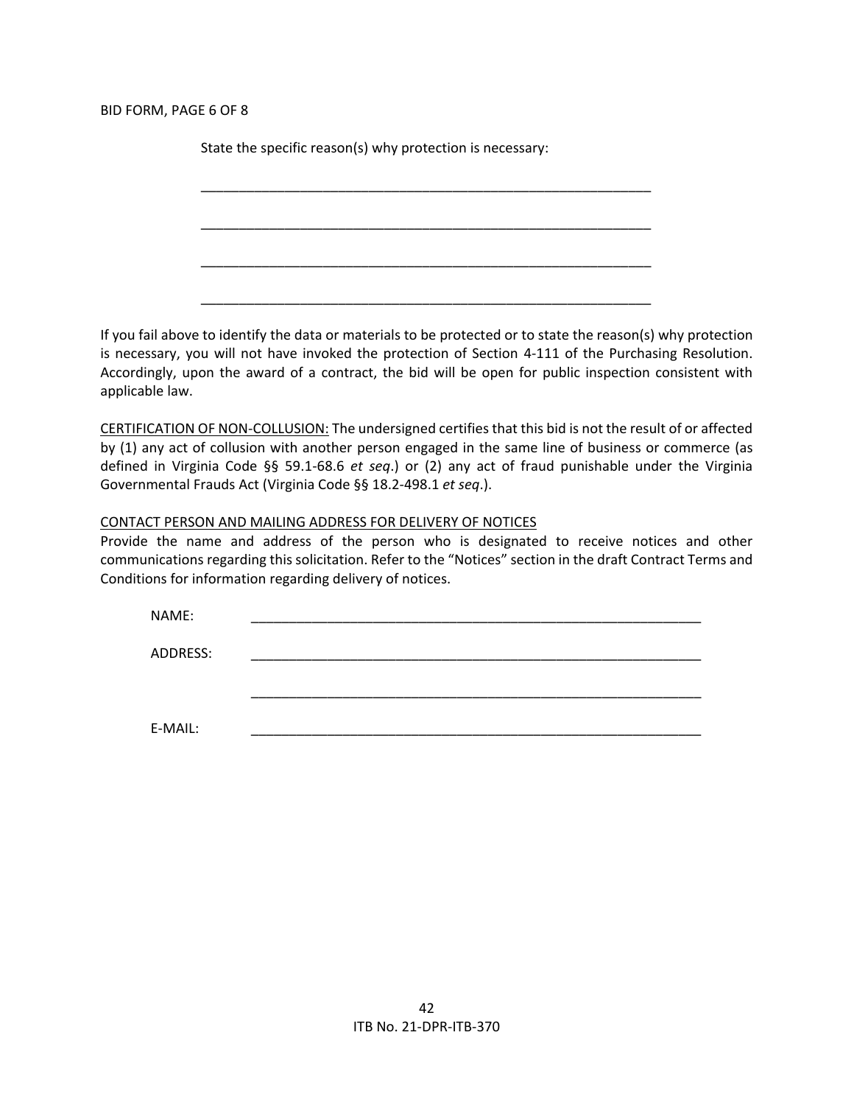BID FORM, PAGE 6 OF 8

State the specific reason(s) why protection is necessary:

If you fail above to identify the data or materials to be protected or to state the reason(s) why protection is necessary, you will not have invoked the protection of Section 4-111 of the Purchasing Resolution. Accordingly, upon the award of a contract, the bid will be open for public inspection consistent with applicable law.

\_\_\_\_\_\_\_\_\_\_\_\_\_\_\_\_\_\_\_\_\_\_\_\_\_\_\_\_\_\_\_\_\_\_\_\_\_\_\_\_\_\_\_\_\_\_\_\_\_\_\_\_\_\_\_\_\_\_\_

\_\_\_\_\_\_\_\_\_\_\_\_\_\_\_\_\_\_\_\_\_\_\_\_\_\_\_\_\_\_\_\_\_\_\_\_\_\_\_\_\_\_\_\_\_\_\_\_\_\_\_\_\_\_\_\_\_\_\_

\_\_\_\_\_\_\_\_\_\_\_\_\_\_\_\_\_\_\_\_\_\_\_\_\_\_\_\_\_\_\_\_\_\_\_\_\_\_\_\_\_\_\_\_\_\_\_\_\_\_\_\_\_\_\_\_\_\_\_

\_\_\_\_\_\_\_\_\_\_\_\_\_\_\_\_\_\_\_\_\_\_\_\_\_\_\_\_\_\_\_\_\_\_\_\_\_\_\_\_\_\_\_\_\_\_\_\_\_\_\_\_\_\_\_\_\_\_\_

CERTIFICATION OF NON-COLLUSION: The undersigned certifies that this bid is not the result of or affected by (1) any act of collusion with another person engaged in the same line of business or commerce (as defined in Virginia Code §§ 59.1-68.6 *et seq*.) or (2) any act of fraud punishable under the Virginia Governmental Frauds Act (Virginia Code §§ 18.2-498.1 *et seq*.).

#### CONTACT PERSON AND MAILING ADDRESS FOR DELIVERY OF NOTICES

Provide the name and address of the person who is designated to receive notices and other communications regarding this solicitation. Refer to the "Notices" section in the draft Contract Terms and Conditions for information regarding delivery of notices.

| NAME:    |  |  |  |
|----------|--|--|--|
| ADDRESS: |  |  |  |
|          |  |  |  |
|          |  |  |  |
| E-MAIL:  |  |  |  |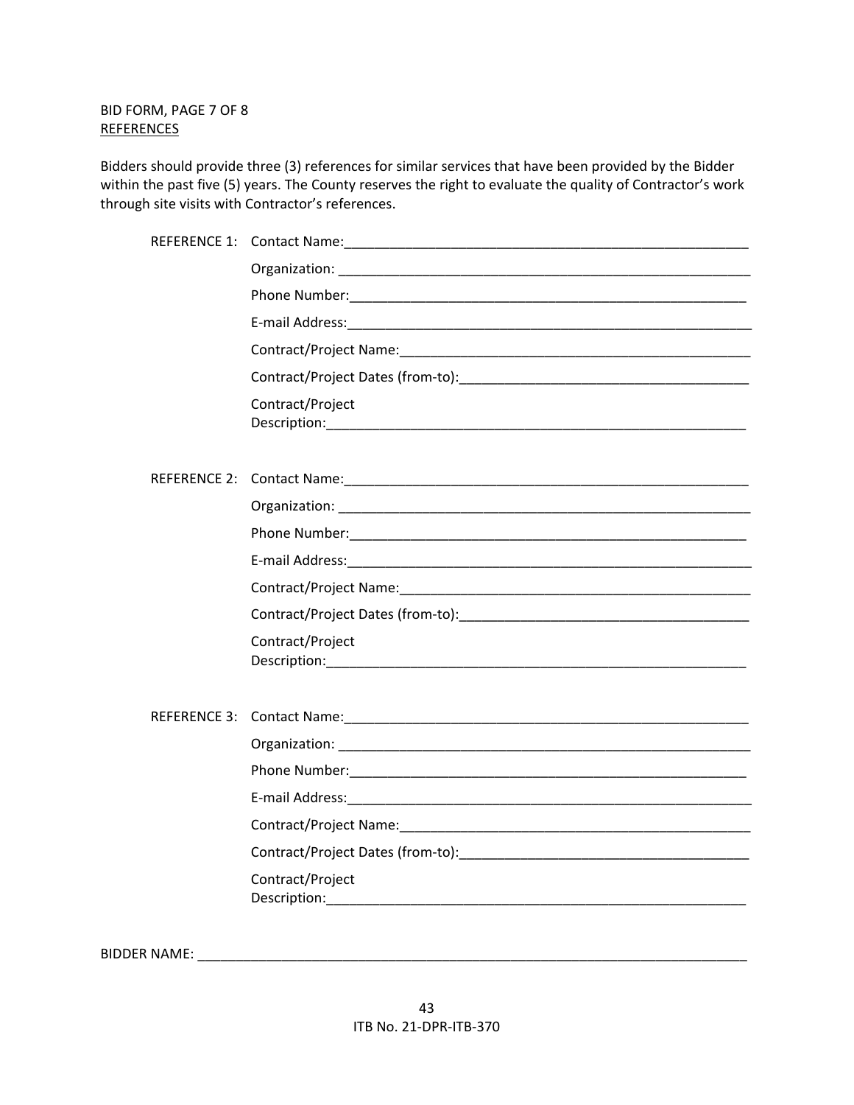BID FORM, PAGE 7 OF 8 REFERENCES

Bidders should provide three (3) references for similar services that have been provided by the Bidder within the past five (5) years. The County reserves the right to evaluate the quality of Contractor's work through site visits with Contractor's references.

| REFERENCE 1:        |                  |
|---------------------|------------------|
|                     |                  |
|                     |                  |
|                     |                  |
|                     |                  |
|                     |                  |
|                     | Contract/Project |
|                     |                  |
| <b>REFERENCE 2:</b> |                  |
|                     |                  |
|                     |                  |
|                     |                  |
|                     |                  |
|                     |                  |
|                     | Contract/Project |
|                     |                  |
|                     |                  |
|                     |                  |
|                     |                  |
|                     |                  |
|                     |                  |
|                     | Contract/Project |

BIDDER NAME: